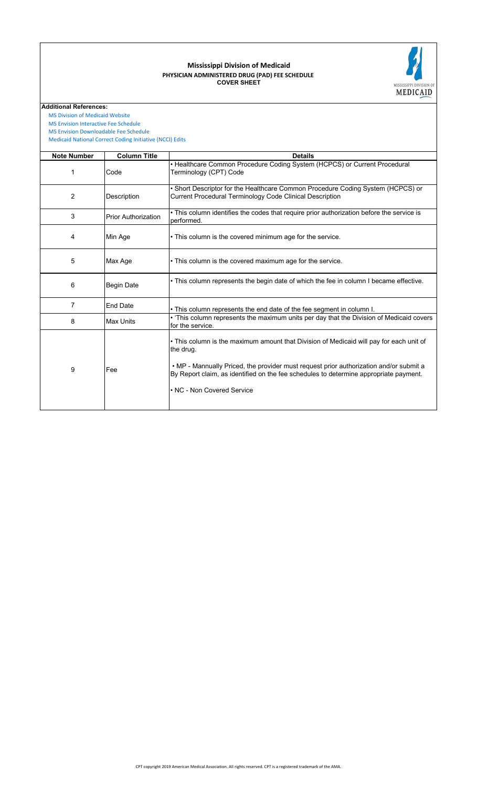#### **COVER SHEET PHYSICIAN ADMINISTERED DRUG (PAD) FEE SCHEDULE Mississippi Division of Medicaid**



**Additional References:**

 [MS Division of Medicai](https://medicaid.ms.gov/)d Website  [MS Envision Interactive](https://www.ms-medicaid.com/msenvision/feeScheduleInquiry.do) Fee Schedule

 [MS Envision Download](https://www.ms-medicaid.com/msenvision/AMA_ADA_licenseAgreement.do?strUrl=feeScheduleInquiry)able Fee Schedule

 [Medicaid National Corr](https://www.medicaid.gov/medicaid/program-integrity/national-correct-coding-initiative/medicaid-ncci-edit-files/index.html)ect Coding Initiative (NCCI) Edits

| <b>Note Number</b> | <b>Column Title</b>        | <b>Details</b>                                                                                                                                                                                                                                                                                                        |
|--------------------|----------------------------|-----------------------------------------------------------------------------------------------------------------------------------------------------------------------------------------------------------------------------------------------------------------------------------------------------------------------|
| 1                  | Code                       | • Healthcare Common Procedure Coding System (HCPCS) or Current Procedural<br>Terminology (CPT) Code                                                                                                                                                                                                                   |
| 2                  | Description                | . Short Descriptor for the Healthcare Common Procedure Coding System (HCPCS) or<br>Current Procedural Terminology Code Clinical Description                                                                                                                                                                           |
| 3                  | <b>Prior Authorization</b> | • This column identifies the codes that require prior authorization before the service is<br>performed.                                                                                                                                                                                                               |
| 4                  | Min Age                    | • This column is the covered minimum age for the service.                                                                                                                                                                                                                                                             |
| 5                  | Max Age                    | • This column is the covered maximum age for the service.                                                                                                                                                                                                                                                             |
| 6                  | <b>Begin Date</b>          | • This column represents the begin date of which the fee in column I became effective.                                                                                                                                                                                                                                |
| $\overline{7}$     | <b>End Date</b>            | . This column represents the end date of the fee segment in column I.                                                                                                                                                                                                                                                 |
| 8                  | <b>Max Units</b>           | . 'This column represents the maximum units per day that the Division of Medicaid covers<br>for the service.                                                                                                                                                                                                          |
| 9                  | Fee                        | • This column is the maximum amount that Division of Medicaid will pay for each unit of<br>the drug.<br>• MP - Mannually Priced, the provider must request prior authorization and/or submit a<br>By Report claim, as identified on the fee schedules to determine appropriate payment.<br>• NC - Non Covered Service |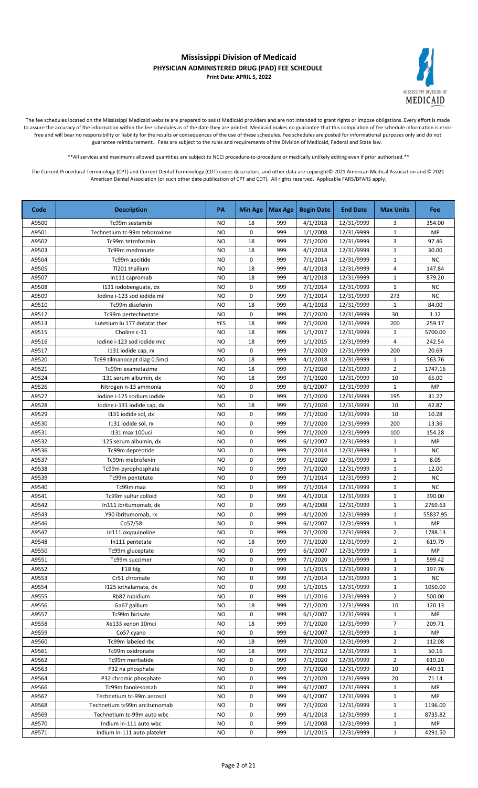

The fee schedules located on the Mississippi Medicaid website are prepared to assist Medicaid providers and are not intended to grant rights or impose obligations. Every effort is made to assure the accuracy of the information within the fee schedules as of the date they are printed. Medicaid makes no guarantee that this compilation of fee schedule information is errorfree and will bear no responsibility or liability for the results or consequences of the use of these schedules. Fee schedules are posted for informational purposes only and do not guarantee reimbursement. Fees are subject to the rules and requirements of the Division of Medicaid, Federal and State law.

\*\*All services and maximums allowed quantities are subject to NCCI procedure-to-procedure or medically unlikely editing even if prior authorized.\*\*

| Code  | <b>Description</b>           | PA        | <b>Min Age</b> | Max Age | <b>Begin Date</b> | <b>End Date</b> | <b>Max Units</b>        | Fee        |
|-------|------------------------------|-----------|----------------|---------|-------------------|-----------------|-------------------------|------------|
| A9500 | Tc99m sestamibi              | <b>NO</b> | 18             | 999     | 4/1/2018          | 12/31/9999      | 3                       | 354.00     |
| A9501 | Technetium tc-99m teboroxime | <b>NO</b> | 0              | 999     | 1/1/2008          | 12/31/9999      | $\mathbf 1$             | <b>MP</b>  |
| A9502 | Tc99m tetrofosmin            | <b>NO</b> | 18             | 999     | 7/1/2020          | 12/31/9999      | 3                       | 97.46      |
| A9503 | Tc99m medronate              | <b>NO</b> | 18             | 999     | 4/1/2018          | 12/31/9999      | $\mathbf{1}$            | 30.00      |
| A9504 | Tc99m apcitide               | <b>NO</b> | 0              | 999     | 7/1/2014          | 12/31/9999      | $\mathbf{1}$            | <b>NC</b>  |
| A9505 | Tl201 thallium               | <b>NO</b> | 18             | 999     | 4/1/2018          | 12/31/9999      | $\overline{\mathbf{4}}$ | 147.84     |
| A9507 | In111 capromab               | <b>NO</b> | 18             | 999     | 4/1/2018          | 12/31/9999      | $\mathbf{1}$            | 879.20     |
| A9508 | 1131 iodobenguate, dx        | <b>NO</b> | 0              | 999     | 7/1/2014          | 12/31/9999      | $\mathbf{1}$            | NC.        |
| A9509 | lodine i-123 sod iodide mil  | <b>NO</b> | 0              | 999     | 7/1/2014          | 12/31/9999      | 273                     | <b>NC</b>  |
| A9510 | Tc99m disofenin              | <b>NO</b> | 18             | 999     | 4/1/2018          | 12/31/9999      | $\mathbf{1}$            | 84.00      |
| A9512 | Tc99m pertechnetate          | <b>NO</b> | 0              | 999     | 7/1/2020          | 12/31/9999      | 30                      | 1.12       |
| A9513 | Lutetium lu 177 dotatat ther | YES       | 18             | 999     | 7/1/2020          | 12/31/9999      | 200                     | 259.17     |
| A9515 | Choline c-11                 | <b>NO</b> | 18             | 999     | 1/1/2017          | 12/31/9999      | 1                       | 5700.00    |
| A9516 | Iodine i-123 sod iodide mic  | <b>NO</b> | 18             | 999     | 1/1/2015          | 12/31/9999      | 4                       | 242.54     |
| A9517 | 1131 iodide cap, rx          | <b>NO</b> | 0              | 999     | 7/1/2020          | 12/31/9999      | 200                     | 20.69      |
| A9520 | Tc99 tilmanocept diag 0.5mci | <b>NO</b> | 18             | 999     | 4/1/2018          | 12/31/9999      | $\mathbf{1}$            | 563.76     |
| A9521 | Tc99m exametazime            | <b>NO</b> | 18             | 999     | 7/1/2020          | 12/31/9999      | $\overline{2}$          | 1747.16    |
| A9524 | 1131 serum albumin, dx       | <b>NO</b> | 18             | 999     | 7/1/2020          | 12/31/9999      | 10                      | 65.00      |
| A9526 | Nitrogen n-13 ammonia        | <b>NO</b> | 0              | 999     | 6/1/2007          | 12/31/9999      | $\mathbf{1}$            | MP         |
| A9527 | Iodine i-125 sodium iodide   | <b>NO</b> | 0              | 999     | 7/1/2020          | 12/31/9999      | 195                     | 31.27      |
| A9528 | Iodine i-131 iodide cap, dx  | <b>NO</b> | 18             | 999     | 7/1/2020          | 12/31/9999      | 10                      | 42.87      |
| A9529 | 1131 iodide sol, dx          | <b>NO</b> | 0              | 999     | 7/1/2020          | 12/31/9999      | 10                      | 10.28      |
| A9530 | 1131 iodide sol, rx          | <b>NO</b> | 0              | 999     | 7/1/2020          | 12/31/9999      | 200                     | 13.36      |
| A9531 | 1131 max 100uci              | NO        | 0              | 999     | 7/1/2020          | 12/31/9999      | 100                     | 154.28     |
| A9532 | 1125 serum albumin, dx       | <b>NO</b> | 0              | 999     | 6/1/2007          | 12/31/9999      | $\mathbf{1}$            | MP         |
| A9536 | Tc99m depreotide             | <b>NO</b> | 0              | 999     | 7/1/2014          | 12/31/9999      | $\mathbf{1}$            | <b>NC</b>  |
| A9537 | Tc99m mebrofenin             | <b>NO</b> | 0              | 999     | 7/1/2020          | 12/31/9999      | $\mathbf{1}$            | 8.05       |
| A9538 | Tc99m pyrophosphate          | NO        | 0              | 999     | 7/1/2020          | 12/31/9999      | 1                       | 12.00      |
| A9539 | Tc99m pentetate              | <b>NO</b> | 0              | 999     | 7/1/2014          | 12/31/9999      | $\overline{2}$          | <b>NC</b>  |
| A9540 | Tc99m maa                    | <b>NO</b> | 0              | 999     | 7/1/2014          | 12/31/9999      | $\mathbf{1}$            | <b>NC</b>  |
| A9541 | Tc99m sulfur colloid         | NO        | 0              | 999     | 4/1/2018          | 12/31/9999      | $\mathbf{1}$            | 390.00     |
| A9542 | In111 ibritumomab, dx        | <b>NO</b> | 0              | 999     | 4/1/2008          | 12/31/9999      | $\mathbf{1}$            | 2769.63    |
| A9543 | Y90 ibritumomab, rx          | <b>NO</b> | 0              | 999     | 4/1/2020          | 12/31/9999      | $\mathbf{1}$            | 55837.95   |
| A9546 | Co57/58                      | <b>NO</b> | 0              | 999     | 6/1/2007          | 12/31/9999      | $\mathbf{1}$            | MP         |
| A9547 | In111 oxyquinoline           | <b>NO</b> | 0              | 999     | 7/1/2020          | 12/31/9999      | $\overline{2}$          | 1788.13    |
| A9548 | In111 pentetate              | NO        | 18             | 999     | 7/1/2020          | 12/31/9999      | $\overline{2}$          | 619.79     |
| A9550 | Tc99m gluceptate             | <b>NO</b> | 0              | 999     | 6/1/2007          | 12/31/9999      | $\mathbf 1$             | ${\sf MP}$ |
| A9551 | Tc99m succimer               | <b>NO</b> | 0              | 999     | 7/1/2020          | 12/31/9999      | $\mathbf{1}$            | 599.42     |
| A9552 | F18 fdg                      | NO        | 0              | 999     | 1/1/2015          | 12/31/9999      | $\mathbf{1}$            | 197.76     |
| A9553 | Cr51 chromate                | NO        | 0              | 999     | 7/1/2014          | 12/31/9999      | $\mathbf{1}$            | NC         |
| A9554 | 1125 iothalamate, dx         | <b>NO</b> | 0              | 999     | 1/1/2015          | 12/31/9999      | $\mathbf{1}$            | 1050.00    |
| A9555 | Rb82 rubidium                | <b>NO</b> | 0              | 999     | 1/1/2016          | 12/31/9999      | $\overline{2}$          | 500.00     |
| A9556 | Ga67 gallium                 | <b>NO</b> | 18             | 999     | 7/1/2020          | 12/31/9999      | 10                      | 120.13     |
| A9557 | Tc99m bicisate               | <b>NO</b> | 0              | 999     | 6/1/2007          | 12/31/9999      | $\mathbf{1}$            | <b>MP</b>  |
| A9558 | Xe133 xenon 10mci            | NO        | 18             | 999     | 7/1/2020          | 12/31/9999      | 7                       | 209.71     |
| A9559 | Co57 cyano                   | <b>NO</b> | 0              | 999     | 6/1/2007          | 12/31/9999      | $\mathbf{1}$            | MP         |
| A9560 | Tc99m labeled rbc            | NO        | 18             | 999     | 7/1/2020          | 12/31/9999      | $\overline{2}$          | 112.08     |
| A9561 | Tc99m oxidronate             | NO        | 18             | 999     | 7/1/2012          | 12/31/9999      | $\mathbf{1}$            | 50.16      |
| A9562 | Tc99m mertiatide             | NO        | 0              | 999     | 7/1/2020          | 12/31/9999      | $\overline{2}$          | 619.20     |
| A9563 | P32 na phosphate             | <b>NO</b> | 0              | 999     | 7/1/2020          | 12/31/9999      | 10                      | 449.31     |
| A9564 | P32 chromic phosphate        | <b>NO</b> | 0              | 999     | 7/1/2020          | 12/31/9999      | 20                      | 71.14      |
| A9566 | Tc99m fanolesomab            | <b>NO</b> | 0              | 999     | 6/1/2007          | 12/31/9999      | $\mathbf{1}$            | MP         |
| A9567 | Technetium tc-99m aerosol    | <b>NO</b> | 0              | 999     | 6/1/2007          | 12/31/9999      | $\mathbf{1}$            | MP         |
| A9568 | Technetium tc99m arcitumomab | <b>NO</b> | 0              | 999     | 7/1/2020          | 12/31/9999      | $\mathbf 1$             | 1196.00    |
| A9569 | Technetium tc-99m auto wbc   | <b>NO</b> | 0              | 999     | 4/1/2018          | 12/31/9999      | $\mathbf{1}$            | 8735.82    |
| A9570 | Indium in-111 auto wbc       | NO        | 0              | 999     | 1/1/2008          | 12/31/9999      | $\mathbf{1}$            | MP         |
| A9571 | Indium in-111 auto platelet  | NO        | 0              | 999     | 1/1/2015          | 12/31/9999      | $\mathbf{1}$            | 4291.50    |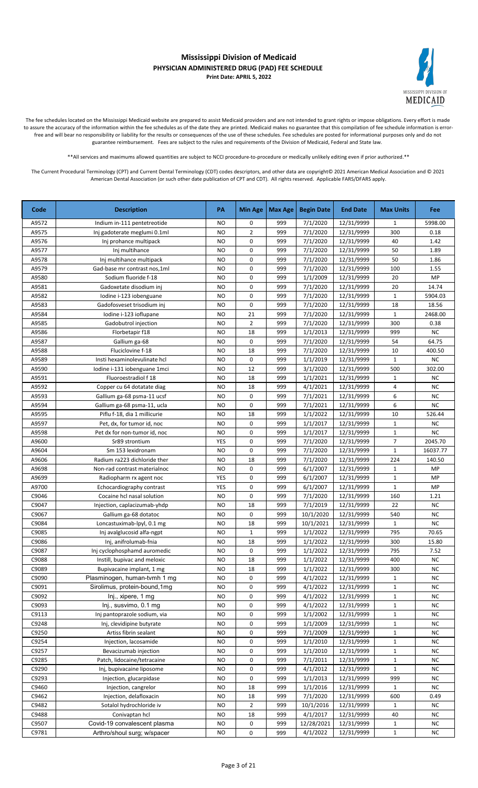

The fee schedules located on the Mississippi Medicaid website are prepared to assist Medicaid providers and are not intended to grant rights or impose obligations. Every effort is made to assure the accuracy of the information within the fee schedules as of the date they are printed. Medicaid makes no guarantee that this compilation of fee schedule information is errorfree and will bear no responsibility or liability for the results or consequences of the use of these schedules. Fee schedules are posted for informational purposes only and do not guarantee reimbursement. Fees are subject to the rules and requirements of the Division of Medicaid, Federal and State law.

\*\*All services and maximums allowed quantities are subject to NCCI procedure-to-procedure or medically unlikely editing even if prior authorized.\*\*

| Code  | <b>Description</b>            | PA        | <b>Min Age</b> | <b>Max Age</b> | <b>Begin Date</b> | <b>End Date</b> | <b>Max Units</b> | <b>Fee</b> |
|-------|-------------------------------|-----------|----------------|----------------|-------------------|-----------------|------------------|------------|
| A9572 | Indium in-111 pentetreotide   | <b>NO</b> | 0              | 999            | 7/1/2020          | 12/31/9999      | 1                | 5998.00    |
| A9575 | Inj gadoterate meglumi 0.1ml  | <b>NO</b> | $\overline{2}$ | 999            | 7/1/2020          | 12/31/9999      | 300              | 0.18       |
| A9576 | Inj prohance multipack        | <b>NO</b> | 0              | 999            | 7/1/2020          | 12/31/9999      | 40               | 1.42       |
| A9577 | Inj multihance                | <b>NO</b> | 0              | 999            | 7/1/2020          | 12/31/9999      | 50               | 1.89       |
| A9578 | Inj multihance multipack      | <b>NO</b> | 0              | 999            | 7/1/2020          | 12/31/9999      | 50               | 1.86       |
| A9579 | Gad-base mr contrast nos,1ml  | NO        | 0              | 999            | 7/1/2020          | 12/31/9999      | 100              | 1.55       |
| A9580 | Sodium fluoride f-18          | <b>NO</b> | 0              | 999            | 1/1/2009          | 12/31/9999      | 20               | <b>MP</b>  |
| A9581 | Gadoxetate disodium inj       | <b>NO</b> | 0              | 999            | 7/1/2020          | 12/31/9999      | 20               | 14.74      |
| A9582 | Iodine i-123 iobenguane       | <b>NO</b> | 0              | 999            | 7/1/2020          | 12/31/9999      | $\mathbf{1}$     | 5904.03    |
| A9583 | Gadofosveset trisodium inj    | NO        | 0              | 999            | 7/1/2020          | 12/31/9999      | 18               | 18.56      |
| A9584 | Iodine i-123 ioflupane        | <b>NO</b> | 21             | 999            | 7/1/2020          | 12/31/9999      | $\mathbf{1}$     | 2468.00    |
| A9585 | Gadobutrol injection          | NO        | $\overline{2}$ | 999            | 7/1/2020          | 12/31/9999      | 300              | 0.38       |
| A9586 | Florbetapir f18               | <b>NO</b> | 18             | 999            | 1/1/2013          | 12/31/9999      | 999              | <b>NC</b>  |
| A9587 | Gallium ga-68                 | <b>NO</b> | 0              | 999            | 7/1/2020          | 12/31/9999      | 54               | 64.75      |
| A9588 | Fluciclovine f-18             | <b>NO</b> | 18             | 999            | 7/1/2020          | 12/31/9999      | 10               | 400.50     |
| A9589 | Insti hexaminolevulinate hcl  | <b>NO</b> | 0              | 999            | 1/1/2019          | 12/31/9999      | $\mathbf{1}$     | NC         |
| A9590 | Iodine i-131 iobenguane 1mci  | <b>NO</b> | 12             | 999            | 3/1/2020          | 12/31/9999      | 500              | 302.00     |
| A9591 | Fluoroestradiol f 18          | <b>NO</b> | 18             | 999            | 1/1/2021          | 12/31/9999      | $\mathbf{1}$     | <b>NC</b>  |
| A9592 | Copper cu 64 dotatate diag    | <b>NO</b> | 18             | 999            | 4/1/2021          | 12/31/9999      | 4                | <b>NC</b>  |
| A9593 | Gallium ga-68 psma-11 ucsf    | <b>NO</b> | 0              | 999            | 7/1/2021          | 12/31/9999      | 6                | <b>NC</b>  |
| A9594 | Gallium ga-68 psma-11, ucla   | <b>NO</b> | 0              | 999            | 7/1/2021          | 12/31/9999      | 6                | <b>NC</b>  |
| A9595 | Piflu f-18, dia 1 millicurie  | <b>NO</b> | 18             | 999            | 1/1/2022          | 12/31/9999      | 10               | 526.44     |
| A9597 | Pet, dx, for tumor id, noc    | <b>NO</b> | 0              | 999            | 1/1/2017          | 12/31/9999      | $\mathbf{1}$     | <b>NC</b>  |
| A9598 | Pet dx for non-tumor id, noc  | <b>NO</b> | 0              | 999            | 1/1/2017          | 12/31/9999      | $\mathbf{1}$     | <b>NC</b>  |
| A9600 | Sr89 strontium                | YES       | 0              | 999            | 7/1/2020          | 12/31/9999      | 7                | 2045.70    |
| A9604 | Sm 153 lexidronam             | <b>NO</b> | 0              | 999            | 7/1/2020          | 12/31/9999      | $\mathbf{1}$     | 16037.77   |
| A9606 | Radium ra223 dichloride ther  | NO        | 18             | 999            | 7/1/2020          | 12/31/9999      | 224              | 140.50     |
| A9698 | Non-rad contrast materialnoc  | <b>NO</b> | 0              | 999            | 6/1/2007          | 12/31/9999      | $\mathbf{1}$     | MP         |
| A9699 | Radiopharm rx agent noc       | YES       | 0              | 999            | 6/1/2007          | 12/31/9999      | $\mathbf{1}$     | MP         |
| A9700 | Echocardiography contrast     | YES       | 0              | 999            | 6/1/2007          | 12/31/9999      | $\mathbf 1$      | MP         |
| C9046 | Cocaine hcl nasal solution    | <b>NO</b> | 0              | 999            | 7/1/2020          | 12/31/9999      | 160              | 1.21       |
| C9047 | Injection, caplacizumab-yhdp  | <b>NO</b> | 18             | 999            | 7/1/2019          | 12/31/9999      | 22               | <b>NC</b>  |
| C9067 | Gallium ga-68 dotatoc         | <b>NO</b> | 0              | 999            | 10/1/2020         | 12/31/9999      | 540              | NC         |
| C9084 | Loncastuximab-lpyl, 0.1 mg    | <b>NO</b> | 18             | 999            | 10/1/2021         | 12/31/9999      | $\mathbf{1}$     | <b>NC</b>  |
| C9085 | Inj avalglucosid alfa-ngpt    | <b>NO</b> | $\mathbf 1$    | 999            | 1/1/2022          | 12/31/9999      | 795              | 70.65      |
| C9086 | Inj, anifrolumab-fnia         | <b>NO</b> | 18             | 999            | 1/1/2022          | 12/31/9999      | 300              | 15.80      |
| C9087 | Inj cyclophosphamd auromedic  | <b>NO</b> | 0              | 999            | 1/1/2022          | 12/31/9999      | 795              | 7.52       |
| C9088 | Instill, bupivac and meloxic  | NO        | 18             | 999            | 1/1/2022          | 12/31/9999      | 400              | <b>NC</b>  |
| C9089 | Bupivacaine implant, 1 mg     | NO        | 18             | 999            | 1/1/2022          | 12/31/9999      | 300              | <b>NC</b>  |
| C9090 | Plasminogen, human-tvmh 1 mg  | <b>NO</b> | 0              | 999            | 4/1/2022          | 12/31/9999      | $\mathbf{1}$     | NC         |
| C9091 | Sirolimus, protein-bound, 1mg | <b>NO</b> | 0              | 999            | 4/1/2022          | 12/31/9999      | $\mathbf{1}$     | <b>NC</b>  |
| C9092 | Inj., xipere, 1 mg            | NO        | 0              | 999            | 4/1/2022          | 12/31/9999      | 1                | <b>NC</b>  |
| C9093 | Inj., susvimo, 0.1 mg         | NO        | 0              | 999            | 4/1/2022          | 12/31/9999      | 1                | NC         |
| C9113 | Inj pantoprazole sodium, via  | NO        | 0              | 999            | 1/1/2002          | 12/31/9999      | $\mathbf{1}$     | <b>NC</b>  |
| C9248 | Inj, clevidipine butyrate     | NO        | 0              | 999            | 1/1/2009          | 12/31/9999      | $\mathbf{1}$     | <b>NC</b>  |
| C9250 | Artiss fibrin sealant         | NO        | 0              | 999            | 7/1/2009          | 12/31/9999      | $\mathbf{1}$     | <b>NC</b>  |
| C9254 | Injection, lacosamide         | NO        | 0              | 999            | 1/1/2010          | 12/31/9999      | $\mathbf{1}$     | <b>NC</b>  |
| C9257 | Bevacizumab injection         | NO        | 0              | 999            | 1/1/2010          | 12/31/9999      | $\mathbf{1}$     | <b>NC</b>  |
| C9285 | Patch, lidocaine/tetracaine   | NO        | 0              | 999            | 7/1/2011          | 12/31/9999      | $\mathbf{1}$     | <b>NC</b>  |
| C9290 | Inj, bupivacaine liposome     | NO.       | 0              | 999            | 4/1/2012          | 12/31/9999      | $\mathbf{1}$     | <b>NC</b>  |
| C9293 | Injection, glucarpidase       | NO.       | 0              | 999            | 1/1/2013          | 12/31/9999      | 999              | <b>NC</b>  |
| C9460 | Injection, cangrelor          | NO        | 18             | 999            | 1/1/2016          | 12/31/9999      | 1                | <b>NC</b>  |
| C9462 | Injection, delafloxacin       | <b>NO</b> | 18             | 999            | 7/1/2020          | 12/31/9999      | 600              | 0.49       |
| C9482 | Sotalol hydrochloride iv      | NO        | $\overline{2}$ | 999            | 10/1/2016         | 12/31/9999      | $\mathbf{1}$     | <b>NC</b>  |
| C9488 | Conivaptan hcl                | NO        | 18             | 999            | 4/1/2017          | 12/31/9999      | 40               | <b>NC</b>  |
| C9507 | Covid-19 convalescent plasma  | NO        | 0              | 999            | 12/28/2021        | 12/31/9999      | $\mathbf 1$      | <b>NC</b>  |
| C9781 | Arthro/shoul surg; w/spacer   | NO.       | 0              | 999            | 4/1/2022          | 12/31/9999      | $\mathbf{1}$     | <b>NC</b>  |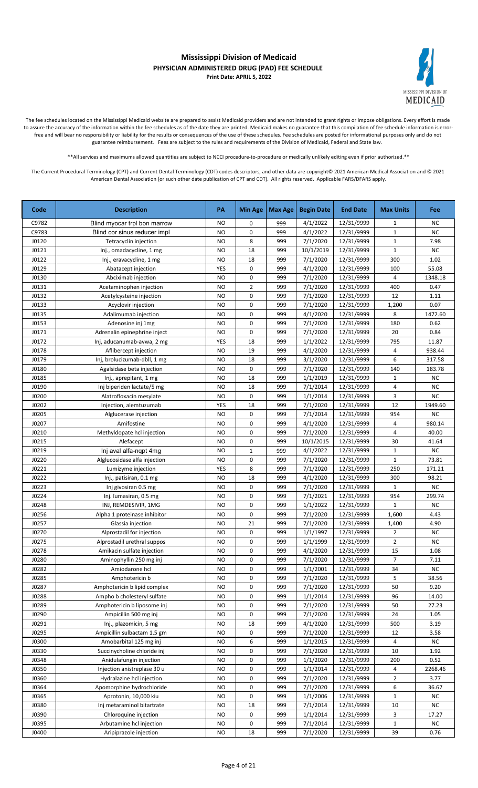

The fee schedules located on the Mississippi Medicaid website are prepared to assist Medicaid providers and are not intended to grant rights or impose obligations. Every effort is made to assure the accuracy of the information within the fee schedules as of the date they are printed. Medicaid makes no guarantee that this compilation of fee schedule information is errorfree and will bear no responsibility or liability for the results or consequences of the use of these schedules. Fee schedules are posted for informational purposes only and do not guarantee reimbursement. Fees are subject to the rules and requirements of the Division of Medicaid, Federal and State law.

\*\*All services and maximums allowed quantities are subject to NCCI procedure-to-procedure or medically unlikely editing even if prior authorized.\*\*

| Code  | <b>Description</b>           | PA        | <b>Min Age</b> | <b>Max Age</b> | <b>Begin Date</b> | <b>End Date</b> | <b>Max Units</b>        | Fee       |
|-------|------------------------------|-----------|----------------|----------------|-------------------|-----------------|-------------------------|-----------|
| C9782 | Blind myocar trpl bon marrow | NO.       | 0              | 999            | 4/1/2022          | 12/31/9999      | 1                       | <b>NC</b> |
| C9783 | Blind cor sinus reducer impl | <b>NO</b> | 0              | 999            | 4/1/2022          | 12/31/9999      | $\mathbf{1}$            | <b>NC</b> |
| J0120 | Tetracyclin injection        | <b>NO</b> | 8              | 999            | 7/1/2020          | 12/31/9999      | $\mathbf{1}$            | 7.98      |
| J0121 | Inj., omadacycline, 1 mg     | NO        | 18             | 999            | 10/1/2019         | 12/31/9999      | $\mathbf{1}$            | <b>NC</b> |
| J0122 | Inj., eravacycline, 1 mg     | <b>NO</b> | 18             | 999            | 7/1/2020          | 12/31/9999      | 300                     | 1.02      |
| J0129 | Abatacept injection          | YES       | 0              | 999            | 4/1/2020          | 12/31/9999      | 100                     | 55.08     |
| J0130 | Abciximab injection          | <b>NO</b> | 0              | 999            | 7/1/2020          | 12/31/9999      | $\overline{\mathbf{4}}$ | 1348.18   |
| J0131 | Acetaminophen injection      | <b>NO</b> | $\overline{2}$ | 999            | 7/1/2020          | 12/31/9999      | 400                     | 0.47      |
| J0132 | Acetylcysteine injection     | <b>NO</b> | 0              | 999            | 7/1/2020          | 12/31/9999      | 12                      | 1.11      |
| J0133 | Acyclovir injection          | <b>NO</b> | 0              | 999            | 7/1/2020          | 12/31/9999      | 1,200                   | 0.07      |
| J0135 | Adalimumab injection         | <b>NO</b> | 0              | 999            | 4/1/2020          | 12/31/9999      | 8                       | 1472.60   |
| J0153 | Adenosine inj 1mg            | <b>NO</b> | 0              | 999            | 7/1/2020          | 12/31/9999      | 180                     | 0.62      |
| J0171 | Adrenalin epinephrine inject | <b>NO</b> | 0              | 999            | 7/1/2020          | 12/31/9999      | 20                      | 0.84      |
| J0172 | Inj, aducanumab-avwa, 2 mg   | YES       | 18             | 999            | 1/1/2022          | 12/31/9999      | 795                     | 11.87     |
| J0178 | Aflibercept injection        | <b>NO</b> | 19             | 999            | 4/1/2020          | 12/31/9999      | 4                       | 938.44    |
| J0179 | Inj, brolucizumab-dbll, 1 mg | <b>NO</b> | 18             | 999            | 3/1/2020          | 12/31/9999      | 6                       | 317.58    |
| J0180 | Agalsidase beta injection    | <b>NO</b> | 0              | 999            | 7/1/2020          | 12/31/9999      | 140                     | 183.78    |
| J0185 | Inj., aprepitant, 1 mg       | <b>NO</b> | 18             | 999            | 1/1/2019          | 12/31/9999      | $\mathbf{1}$            | <b>NC</b> |
| J0190 | Inj biperiden lactate/5 mg   | NO        | 18             | 999            | 7/1/2014          | 12/31/9999      | 4                       | <b>NC</b> |
| J0200 | Alatrofloxacin mesylate      | <b>NO</b> | 0              | 999            | 1/1/2014          | 12/31/9999      | 3                       | <b>NC</b> |
| J0202 | Injection, alemtuzumab       | YES       | 18             | 999            | 7/1/2020          | 12/31/9999      | 12                      | 1949.60   |
| J0205 | Alglucerase injection        | <b>NO</b> | 0              | 999            | 7/1/2014          | 12/31/9999      | 954                     | <b>NC</b> |
| J0207 | Amifostine                   | <b>NO</b> | 0              | 999            | 4/1/2020          | 12/31/9999      | 4                       | 980.14    |
| J0210 | Methyldopate hcl injection   | <b>NO</b> | 0              | 999            | 7/1/2020          | 12/31/9999      | 4                       | 40.00     |
| J0215 | Alefacept                    | <b>NO</b> | 0              | 999            | 10/1/2015         | 12/31/9999      | 30                      | 41.64     |
| J0219 | Inj aval alfa-nqpt 4mg       | <b>NO</b> | $\mathbf 1$    | 999            | 4/1/2022          | 12/31/9999      | $\mathbf{1}$            | NC        |
| J0220 | Alglucosidase alfa injection | <b>NO</b> | 0              | 999            | 7/1/2020          | 12/31/9999      | 1                       | 73.81     |
| J0221 | Lumizyme injection           | YES       | 8              | 999            | 7/1/2020          | 12/31/9999      | 250                     | 171.21    |
| J0222 | Inj., patisiran, 0.1 mg      | <b>NO</b> | 18             | 999            | 4/1/2020          | 12/31/9999      | 300                     | 98.21     |
| J0223 | Inj givosiran 0.5 mg         | <b>NO</b> | 0              | 999            | 7/1/2020          | 12/31/9999      | 1                       | NC        |
| J0224 | Inj. lumasiran, 0.5 mg       | <b>NO</b> | 0              | 999            | 7/1/2021          | 12/31/9999      | 954                     | 299.74    |
| J0248 | INJ, REMDESIVIR, 1MG         | <b>NO</b> | 0              | 999            | 1/1/2022          | 12/31/9999      | $\mathbf{1}$            | <b>NC</b> |
| J0256 | Alpha 1 proteinase inhibitor | <b>NO</b> | 0              | 999            | 7/1/2020          | 12/31/9999      | 1,600                   | 4.43      |
| J0257 | Glassia injection            | <b>NO</b> | 21             | 999            | 7/1/2020          | 12/31/9999      | 1,400                   | 4.90      |
| J0270 | Alprostadil for injection    | <b>NO</b> | 0              | 999            | 1/1/1997          | 12/31/9999      | $\overline{2}$          | NC        |
| J0275 | Alprostadil urethral suppos  | NO        | 0              | 999            | 1/1/1999          | 12/31/9999      | $\overline{2}$          | <b>NC</b> |
| J0278 | Amikacin sulfate injection   | <b>NO</b> | 0              | 999            | 4/1/2020          | 12/31/9999      | 15                      | 1.08      |
| J0280 | Aminophyllin 250 mg inj      | NO.       | 0              | 999            | 7/1/2020          | 12/31/9999      | $\overline{7}$          | 7.11      |
| J0282 | Amiodarone hcl               | NO        | 0              | 999            | 1/1/2001          | 12/31/9999      | 34                      | NC        |
| J0285 | Amphotericin b               | <b>NO</b> | 0              | 999            | 7/1/2020          | 12/31/9999      | 5                       | 38.56     |
| J0287 | Amphotericin b lipid complex | NO        | 0              | 999            | 7/1/2020          | 12/31/9999      | 50                      | 9.20      |
| J0288 | Ampho b cholesteryl sulfate  | NO        | 0              | 999            | 1/1/2014          | 12/31/9999      | 96                      | 14.00     |
| J0289 | Amphotericin b liposome inj  | NO        | 0              | 999            | 7/1/2020          | 12/31/9999      | 50                      | 27.23     |
| J0290 | Ampicillin 500 mg inj        | NO        | 0              | 999            | 7/1/2020          | 12/31/9999      | 24                      | 1.05      |
| J0291 | Inj., plazomicin, 5 mg       | NO        | 18             | 999            | 4/1/2020          | 12/31/9999      | 500                     | 3.19      |
| J0295 | Ampicillin sulbactam 1.5 gm  | <b>NO</b> | 0              | 999            | 7/1/2020          | 12/31/9999      | 12                      | 3.58      |
| J0300 | Amobarbital 125 mg inj       | NO        | 6              | 999            | 1/1/2015          | 12/31/9999      | 4                       | <b>NC</b> |
| J0330 | Succinycholine chloride inj  | NO        | 0              | 999            | 7/1/2020          | 12/31/9999      | 10                      | 1.92      |
| J0348 | Anidulafungin injection      | NO        | 0              | 999            | 1/1/2020          | 12/31/9999      | 200                     | 0.52      |
| J0350 | Injection anistreplase 30 u  | NO.       | 0              | 999            | 1/1/2014          | 12/31/9999      | 4                       | 2268.46   |
| J0360 | Hydralazine hcl injection    | NO        | 0              | 999            | 7/1/2020          | 12/31/9999      | $\overline{2}$          | 3.77      |
| J0364 | Apomorphine hydrochloride    | NO        | 0              | 999            | 7/1/2020          | 12/31/9999      | 6                       | 36.67     |
| J0365 | Aprotonin, 10,000 kiu        | <b>NO</b> | 0              | 999            | 1/1/2006          | 12/31/9999      | $\mathbf{1}$            | <b>NC</b> |
| J0380 | Inj metaraminol bitartrate   | NO.       | 18             | 999            | 7/1/2014          | 12/31/9999      | 10                      | <b>NC</b> |
| J0390 | Chloroquine injection        | NO        | 0              | 999            | 1/1/2014          | 12/31/9999      | 3                       | 17.27     |
| J0395 | Arbutamine hcl injection     | NO        | 0              | 999            | 7/1/2014          | 12/31/9999      | $\mathbf{1}$            | NC        |
| J0400 | Aripiprazole injection       | NO.       | 18             | 999            | 7/1/2020          | 12/31/9999      | 39                      | 0.76      |
|       |                              |           |                |                |                   |                 |                         |           |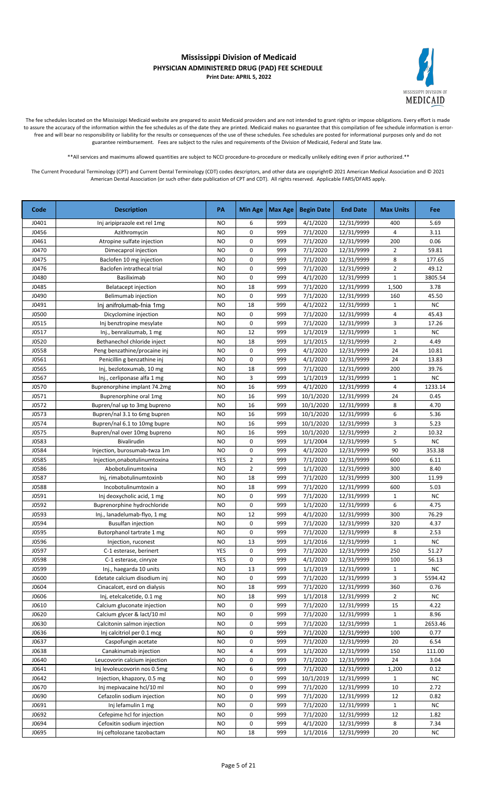

The fee schedules located on the Mississippi Medicaid website are prepared to assist Medicaid providers and are not intended to grant rights or impose obligations. Every effort is made to assure the accuracy of the information within the fee schedules as of the date they are printed. Medicaid makes no guarantee that this compilation of fee schedule information is errorfree and will bear no responsibility or liability for the results or consequences of the use of these schedules. Fee schedules are posted for informational purposes only and do not guarantee reimbursement. Fees are subject to the rules and requirements of the Division of Medicaid, Federal and State law.

\*\*All services and maximums allowed quantities are subject to NCCI procedure-to-procedure or medically unlikely editing even if prior authorized.\*\*

| Code         | <b>Description</b>                | PA        | <b>Min Age</b> | Max Age | <b>Begin Date</b> | <b>End Date</b> | <b>Max Units</b>        | Fee       |
|--------------|-----------------------------------|-----------|----------------|---------|-------------------|-----------------|-------------------------|-----------|
| J0401        | Inj aripiprazole ext rel 1mg      | <b>NO</b> | 6              | 999     | 4/1/2020          | 12/31/9999      | 400                     | 5.69      |
| J0456        | Azithromycin                      | NO        | 0              | 999     | 7/1/2020          | 12/31/9999      | 4                       | 3.11      |
| J0461        | Atropine sulfate injection        | NO        | 0              | 999     | 7/1/2020          | 12/31/9999      | 200                     | 0.06      |
| J0470        | Dimecaprol injection              | <b>NO</b> | 0              | 999     | 7/1/2020          | 12/31/9999      | $\overline{2}$          | 59.81     |
| J0475        | Baclofen 10 mg injection          | <b>NO</b> | 0              | 999     | 7/1/2020          | 12/31/9999      | 8                       | 177.65    |
| J0476        | Baclofen intrathecal trial        | NO        | 0              | 999     | 7/1/2020          | 12/31/9999      | $\overline{2}$          | 49.12     |
| J0480        | Basiliximab                       | <b>NO</b> | 0              | 999     | 4/1/2020          | 12/31/9999      | $\mathbf{1}$            | 3805.54   |
| J0485        | Belatacept injection              | <b>NO</b> | 18             | 999     | 7/1/2020          | 12/31/9999      | 1,500                   | 3.78      |
| J0490        | Belimumab injection               | <b>NO</b> | 0              | 999     | 7/1/2020          | 12/31/9999      | 160                     | 45.50     |
| J0491        | Inj anifrolumab-fnia 1mg          | <b>NO</b> | 18             | 999     | 4/1/2022          | 12/31/9999      | $\mathbf{1}$            | <b>NC</b> |
| <b>J0500</b> | Dicyclomine injection             | <b>NO</b> | 0              | 999     | 7/1/2020          | 12/31/9999      | 4                       | 45.43     |
| J0515        | Inj benztropine mesylate          | <b>NO</b> | 0              | 999     | 7/1/2020          | 12/31/9999      | 3                       | 17.26     |
| J0517        | Inj., benralizumab, 1 mg          | <b>NO</b> | 12             | 999     | 1/1/2019          | 12/31/9999      | $\mathbf{1}$            | <b>NC</b> |
| J0520        | Bethanechol chloride inject       | <b>NO</b> | 18             | 999     | 1/1/2015          | 12/31/9999      | $\overline{2}$          | 4.49      |
| J0558        | Peng benzathine/procaine inj      | <b>NO</b> | 0              | 999     | 4/1/2020          | 12/31/9999      | 24                      | 10.81     |
| J0561        | Penicillin g benzathine inj       | <b>NO</b> | 0              | 999     | 4/1/2020          | 12/31/9999      | 24                      | 13.83     |
| J0565        | Inj, bezlotoxumab, 10 mg          | <b>NO</b> | 18             | 999     | 7/1/2020          | 12/31/9999      | 200                     | 39.76     |
| J0567        | Inj., cerliponase alfa 1 mg       | <b>NO</b> | 3              | 999     | 1/1/2019          | 12/31/9999      | 1                       | <b>NC</b> |
| J0570        | Buprenorphine implant 74.2mg      | <b>NO</b> | 16             | 999     | 4/1/2020          | 12/31/9999      | $\overline{\mathbf{4}}$ | 1233.14   |
| J0571        | Buprenorphine oral 1mg            | NO        | 16             | 999     | 10/1/2020         | 12/31/9999      | 24                      | 0.45      |
| J0572        | Bupren/nal up to 3mg bupreno      | <b>NO</b> | 16             | 999     | 10/1/2020         | 12/31/9999      | 8                       | 4.70      |
| J0573        | Bupren/nal 3.1 to 6mg bupren      | NO        | 16             | 999     | 10/1/2020         | 12/31/9999      | 6                       | 5.36      |
| J0574        | Bupren/nal 6.1 to 10mg bupre      | NO        | 16             | 999     | 10/1/2020         | 12/31/9999      | 3                       | 5.23      |
| J0575        | Bupren/nal over 10mg bupreno      | <b>NO</b> | 16             | 999     | 10/1/2020         | 12/31/9999      | $\overline{2}$          | 10.32     |
| J0583        | Bivalirudin                       | <b>NO</b> | 0              | 999     | 1/1/2004          | 12/31/9999      | 5                       | NC        |
| J0584        | Injection, burosumab-twza 1m      | <b>NO</b> | 0              | 999     | 4/1/2020          | 12/31/9999      | 90                      | 353.38    |
| J0585        | Injection, on abotul in um toxina | YES       | $\overline{2}$ | 999     | 7/1/2020          | 12/31/9999      | 600                     | 6.11      |
| J0586        | Abobotulinumtoxina                | <b>NO</b> | 2              | 999     | 1/1/2020          | 12/31/9999      | 300                     | 8.40      |
| J0587        | Inj, rimabotulinumtoxinb          | <b>NO</b> | 18             | 999     | 7/1/2020          | 12/31/9999      | 300                     | 11.99     |
| J0588        | Incobotulinumtoxin a              | <b>NO</b> | 18             | 999     | 7/1/2020          | 12/31/9999      | 600                     | 5.03      |
| J0591        | Inj deoxycholic acid, 1 mg        | <b>NO</b> | 0              | 999     | 7/1/2020          | 12/31/9999      | $\mathbf{1}$            | <b>NC</b> |
| J0592        | Buprenorphine hydrochloride       | <b>NO</b> | 0              | 999     | 1/1/2020          | 12/31/9999      | 6                       | 4.75      |
| J0593        | Inj., lanadelumab-flyo, 1 mg      | <b>NO</b> | 12             | 999     | 4/1/2020          | 12/31/9999      | 300                     | 76.29     |
| J0594        | <b>Busulfan injection</b>         | <b>NO</b> | 0              | 999     | 7/1/2020          | 12/31/9999      | 320                     | 4.37      |
| J0595        | Butorphanol tartrate 1 mg         | <b>NO</b> | 0              | 999     | 7/1/2020          | 12/31/9999      | 8                       | 2.53      |
| J0596        | Injection, ruconest               | <b>NO</b> | 13             | 999     | 1/1/2016          | 12/31/9999      | $\mathbf 1$             | NC        |
| J0597        | C-1 esterase, berinert            | YES       | 0              | 999     | 7/1/2020          | 12/31/9999      | 250                     | 51.27     |
| J0598        | C-1 esterase, cinryze             | YES       | 0              | 999     | 4/1/2020          | 12/31/9999      | 100                     | 56.13     |
| J0599        | Inj., haegarda 10 units           | NO        | 13             | 999     | 1/1/2019          | 12/31/9999      | $\mathbf{1}$            | ΝC        |
| J0600        | Edetate calcium disodium inj      | NO        | 0              | 999     | 7/1/2020          | 12/31/9999      | 3                       | 5594.42   |
| J0604        | Cinacalcet, esrd on dialysis      | NO        | 18             | 999     | 7/1/2020          | 12/31/9999      | 360                     | 0.76      |
| J0606        | Inj, etelcalcetide, 0.1 mg        | NO        | 18             | 999     | 1/1/2018          | 12/31/9999      | $\overline{2}$          | NC        |
| J0610        | Calcium gluconate injection       | NO        | 0              | 999     | 7/1/2020          | 12/31/9999      | 15                      | 4.22      |
| J0620        | Calcium glycer & lact/10 ml       | NO        | 0              | 999     | 7/1/2020          | 12/31/9999      | $\mathbf{1}$            | 8.96      |
| J0630        | Calcitonin salmon injection       | NO        | 0              | 999     | 7/1/2020          | 12/31/9999      | $\mathbf{1}$            | 2653.46   |
| J0636        | Inj calcitriol per 0.1 mcg        | NO        | 0              | 999     | 7/1/2020          | 12/31/9999      | 100                     | 0.77      |
| J0637        | Caspofungin acetate               | <b>NO</b> | 0              | 999     | 7/1/2020          | 12/31/9999      | 20                      | 6.54      |
| J0638        | Canakinumab injection             | NO        | 4              | 999     | 1/1/2020          | 12/31/9999      | 150                     | 111.00    |
| J0640        | Leucovorin calcium injection      | <b>NO</b> | 0              | 999     | 7/1/2020          | 12/31/9999      | 24                      | 3.04      |
| J0641        | Inj levoleucovorin nos 0.5mg      | NO        | 6              | 999     | 7/1/2020          | 12/31/9999      | 1,200                   | 0.12      |
| J0642        | Injection, khapzory, 0.5 mg       | NO.       | 0              | 999     | 10/1/2019         | 12/31/9999      | $\mathbf{1}$            | <b>NC</b> |
| J0670        | Inj mepivacaine hcl/10 ml         | NO        | 0              | 999     | 7/1/2020          | 12/31/9999      | 10                      | 2.72      |
| J0690        | Cefazolin sodium injection        | NO        | 0              | 999     | 7/1/2020          | 12/31/9999      | 12                      | 0.82      |
| J0691        | Inj lefamulin 1 mg                | <b>NO</b> | 0              | 999     | 7/1/2020          | 12/31/9999      | $\mathbf{1}$            | NC        |
| J0692        | Cefepime hcl for injection        | NO        | 0              | 999     | 7/1/2020          | 12/31/9999      | 12                      | 1.82      |
| J0694        | Cefoxitin sodium injection        | NO        | 0              | 999     | 4/1/2020          | 12/31/9999      | 8                       | 7.34      |
| J0695        | Inj ceftolozane tazobactam        | NO        | 18             | 999     | 1/1/2016          | 12/31/9999      | 20                      | ΝC        |
|              |                                   |           |                |         |                   |                 |                         |           |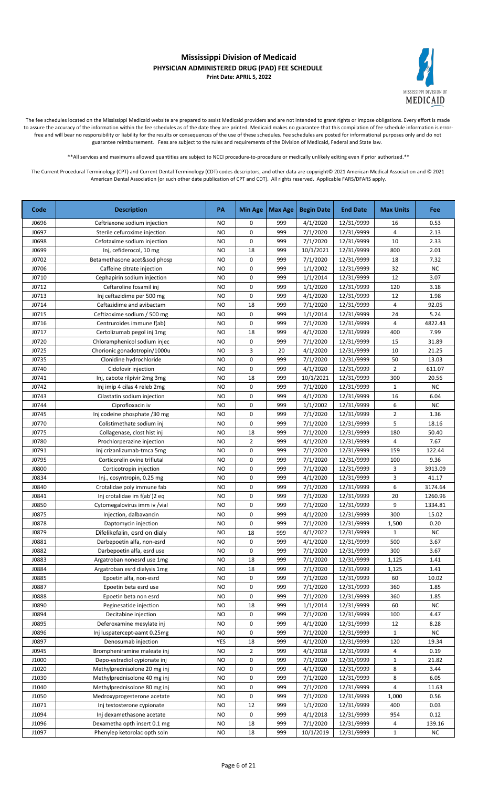

The fee schedules located on the Mississippi Medicaid website are prepared to assist Medicaid providers and are not intended to grant rights or impose obligations. Every effort is made to assure the accuracy of the information within the fee schedules as of the date they are printed. Medicaid makes no guarantee that this compilation of fee schedule information is errorfree and will bear no responsibility or liability for the results or consequences of the use of these schedules. Fee schedules are posted for informational purposes only and do not guarantee reimbursement. Fees are subject to the rules and requirements of the Division of Medicaid, Federal and State law.

\*\*All services and maximums allowed quantities are subject to NCCI procedure-to-procedure or medically unlikely editing even if prior authorized.\*\*

| Code  | <b>Description</b>            | PA        | <b>Min Age</b> | Max Age | <b>Begin Date</b> | <b>End Date</b> | <b>Max Units</b> | Fee       |
|-------|-------------------------------|-----------|----------------|---------|-------------------|-----------------|------------------|-----------|
| J0696 | Ceftriaxone sodium injection  | NO        | 0              | 999     | 4/1/2020          | 12/31/9999      | 16               | 0.53      |
| J0697 | Sterile cefuroxime injection  | <b>NO</b> | 0              | 999     | 7/1/2020          | 12/31/9999      | 4                | 2.13      |
| J0698 | Cefotaxime sodium injection   | NO.       | 0              | 999     | 7/1/2020          | 12/31/9999      | 10               | 2.33      |
| J0699 | Inj, cefiderocol, 10 mg       | <b>NO</b> | 18             | 999     | 10/1/2021         | 12/31/9999      | 800              | 2.01      |
| J0702 | Betamethasone acet&sod phosp  | <b>NO</b> | 0              | 999     | 7/1/2020          | 12/31/9999      | 18               | 7.32      |
| J0706 | Caffeine citrate injection    | <b>NO</b> | 0              | 999     | 1/1/2002          | 12/31/9999      | 32               | <b>NC</b> |
| J0710 | Cephapirin sodium injection   | <b>NO</b> | 0              | 999     | 1/1/2014          | 12/31/9999      | 12               | 3.07      |
| J0712 | Ceftaroline fosamil inj       | <b>NO</b> | 0              | 999     | 1/1/2020          | 12/31/9999      | 120              | 3.18      |
| J0713 | Inj ceftazidime per 500 mg    | <b>NO</b> | 0              | 999     | 4/1/2020          | 12/31/9999      | 12               | 1.98      |
| J0714 | Ceftazidime and avibactam     | <b>NO</b> | 18             | 999     | 7/1/2020          | 12/31/9999      | 4                | 92.05     |
| J0715 | Ceftizoxime sodium / 500 mg   | <b>NO</b> | 0              | 999     | 1/1/2014          | 12/31/9999      | 24               | 5.24      |
| J0716 | Centruroides immune f(ab)     | <b>NO</b> | 0              | 999     | 7/1/2020          | 12/31/9999      | 4                | 4822.43   |
| J0717 | Certolizumab pegol inj 1mg    | <b>NO</b> | 18             | 999     | 4/1/2020          | 12/31/9999      | 400              | 7.99      |
| J0720 | Chloramphenicol sodium injec  | <b>NO</b> | 0              | 999     | 7/1/2020          | 12/31/9999      | 15               | 31.89     |
| J0725 | Chorionic gonadotropin/1000u  | <b>NO</b> | 3              | 20      | 4/1/2020          | 12/31/9999      | 10               | 21.25     |
| J0735 | Clonidine hydrochloride       | <b>NO</b> | 0              | 999     | 7/1/2020          | 12/31/9999      | 50               | 13.03     |
| J0740 | Cidofovir injection           | NO        | 0              | 999     | 4/1/2020          | 12/31/9999      | 2                | 611.07    |
| J0741 | Inj, cabote rilpivir 2mg 3mg  | NO        | 18             | 999     | 10/1/2021         | 12/31/9999      | 300              | 20.56     |
| J0742 | Inj imip 4 cilas 4 releb 2mg  | <b>NO</b> | 0              | 999     | 7/1/2020          | 12/31/9999      | $\mathbf{1}$     | <b>NC</b> |
| J0743 | Cilastatin sodium injection   | <b>NO</b> | 0              | 999     | 4/1/2020          | 12/31/9999      | 16               | 6.04      |
| J0744 | Ciprofloxacin iv              | NO        | 0              | 999     | 1/1/2002          | 12/31/9999      | 6                | <b>NC</b> |
| J0745 | Inj codeine phosphate /30 mg  | <b>NO</b> | 0              | 999     | 7/1/2020          | 12/31/9999      | $\overline{2}$   | 1.36      |
| J0770 | Colistimethate sodium inj     | NO        | 0              | 999     | 7/1/2020          | 12/31/9999      | 5                | 18.16     |
| J0775 | Collagenase, clost hist inj   | NO        | 18             | 999     | 7/1/2020          | 12/31/9999      | 180              | 50.40     |
| J0780 | Prochlorperazine injection    | <b>NO</b> | 2              | 999     | 4/1/2020          | 12/31/9999      | 4                | 7.67      |
| J0791 | Inj crizanlizumab-tmca 5mg    | NO.       | 0              | 999     | 7/1/2020          | 12/31/9999      | 159              | 122.44    |
| J0795 | Corticorelin ovine triflutal  | <b>NO</b> | 0              | 999     | 7/1/2020          | 12/31/9999      | 100              | 9.36      |
| J0800 | Corticotropin injection       | <b>NO</b> | 0              | 999     | 7/1/2020          | 12/31/9999      | 3                | 3913.09   |
| J0834 | Inj., cosyntropin, 0.25 mg    | <b>NO</b> | 0              | 999     | 4/1/2020          | 12/31/9999      | 3                | 41.17     |
| J0840 | Crotalidae poly immune fab    | <b>NO</b> | 0              | 999     | 7/1/2020          | 12/31/9999      | 6                | 3174.64   |
| J0841 | Inj crotalidae im f(ab')2 eq  | NO        | 0              | 999     | 7/1/2020          | 12/31/9999      | 20               | 1260.96   |
| J0850 | Cytomegalovirus imm iv / vial | <b>NO</b> | 0              | 999     | 7/1/2020          | 12/31/9999      | 9                | 1334.81   |
| J0875 | Injection, dalbavancin        | <b>NO</b> | 0              | 999     | 4/1/2020          | 12/31/9999      | 300              | 15.02     |
| J0878 | Daptomycin injection          | <b>NO</b> | 0              | 999     | 7/1/2020          | 12/31/9999      | 1,500            | 0.20      |
| J0879 | Difelikefalin, esrd on dialy  | <b>NO</b> | 18             | 999     | 4/1/2022          | 12/31/9999      | 1                | <b>NC</b> |
| J0881 | Darbepoetin alfa, non-esrd    | NO        | 0              | 999     | 4/1/2020          | 12/31/9999      | 500              | 3.67      |
| J0882 | Darbepoetin alfa, esrd use    | <b>NO</b> | 0              | 999     | 7/1/2020          | 12/31/9999      | 300              | 3.67      |
| J0883 | Argatroban nonesrd use 1mg    | NO.       | 18             | 999     | 7/1/2020          | 12/31/9999      | 1,125            | 1.41      |
| J0884 | Argatroban esrd dialysis 1mg  | NO        | 18             | 999     | 7/1/2020          | 12/31/9999      | 1,125            | 1.41      |
| J0885 | Epoetin alfa, non-esrd        | NO        | 0              | 999     | 7/1/2020          | 12/31/9999      | 60               | 10.02     |
| J0887 | Epoetin beta esrd use         | <b>NO</b> | 0              | 999     | 7/1/2020          | 12/31/9999      | 360              | 1.85      |
| J0888 | Epoetin beta non esrd         | NO        | 0              | 999     | 7/1/2020          | 12/31/9999      | 360              | 1.85      |
| J0890 | Peginesatide injection        | NO        | 18             | 999     | 1/1/2014          | 12/31/9999      | 60               | NC        |
| J0894 | Decitabine injection          | NO        | 0              | 999     | 7/1/2020          | 12/31/9999      | 100              | 4.47      |
| J0895 | Deferoxamine mesylate inj     | NO        | 0              | 999     | 4/1/2020          | 12/31/9999      | 12               | 8.28      |
| J0896 | Inj luspatercept-aamt 0.25mg  | NO        | 0              | 999     | 7/1/2020          | 12/31/9999      | 1                | NC.       |
| J0897 | Denosumab injection           | YES       | 18             | 999     | 4/1/2020          | 12/31/9999      | 120              | 19.34     |
| J0945 | Brompheniramine maleate inj   | NO        | 2              | 999     | 4/1/2018          | 12/31/9999      | 4                | 0.19      |
| J1000 | Depo-estradiol cypionate inj  | NO        | 0              | 999     | 7/1/2020          | 12/31/9999      | $\mathbf{1}$     | 21.82     |
| J1020 | Methylprednisolone 20 mg inj  | NO        | 0              | 999     | 4/1/2020          | 12/31/9999      | 8                | 3.44      |
| J1030 | Methylprednisolone 40 mg inj  | NO        | 0              | 999     | 7/1/2020          | 12/31/9999      | 8                | 6.05      |
| J1040 | Methylprednisolone 80 mg inj  | NO.       | 0              | 999     | 7/1/2020          | 12/31/9999      | 4                | 11.63     |
| J1050 | Medroxyprogesterone acetate   | NO.       | 0              | 999     | 7/1/2020          | 12/31/9999      | 1,000            | 0.56      |
| J1071 | Inj testosterone cypionate    | NO        | 12             | 999     | 1/1/2020          | 12/31/9999      | 400              | 0.03      |
| J1094 | Inj dexamethasone acetate     | <b>NO</b> | 0              | 999     | 4/1/2018          | 12/31/9999      | 954              | 0.12      |
| J1096 | Dexametha opth insert 0.1 mg  | NO        | 18             | 999     | 7/1/2020          | 12/31/9999      | 4                | 139.16    |
| J1097 | Phenylep ketorolac opth soln  | ΝO        | 18             | 999     | 10/1/2019         | 12/31/9999      | $\mathbf{1}$     | NC        |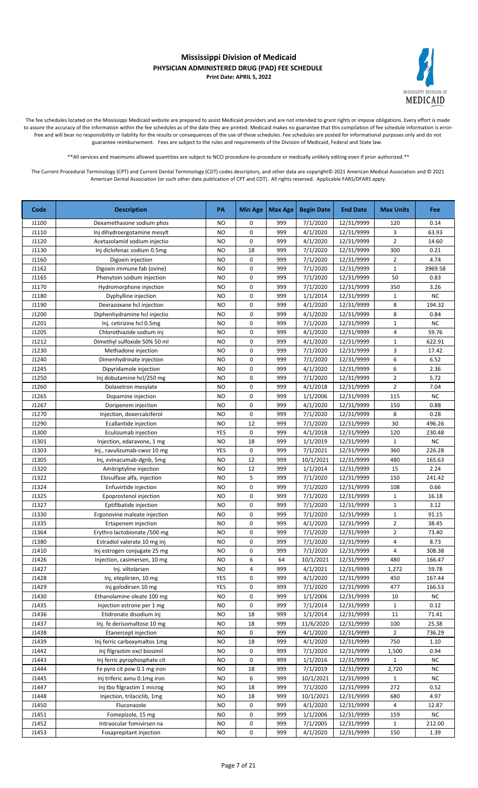

The fee schedules located on the Mississippi Medicaid website are prepared to assist Medicaid providers and are not intended to grant rights or impose obligations. Every effort is made to assure the accuracy of the information within the fee schedules as of the date they are printed. Medicaid makes no guarantee that this compilation of fee schedule information is errorfree and will bear no responsibility or liability for the results or consequences of the use of these schedules. Fee schedules are posted for informational purposes only and do not guarantee reimbursement. Fees are subject to the rules and requirements of the Division of Medicaid, Federal and State law.

\*\*All services and maximums allowed quantities are subject to NCCI procedure-to-procedure or medically unlikely editing even if prior authorized.\*\*

| Code           | <b>Description</b>                                 | PA              | <b>Min Age</b> | Max Age    | <b>Begin Date</b>    | <b>End Date</b>          | <b>Max Units</b>   | Fee        |
|----------------|----------------------------------------------------|-----------------|----------------|------------|----------------------|--------------------------|--------------------|------------|
| J1100          | Dexamethasone sodium phos                          | <b>NO</b>       | 0              | 999        | 7/1/2020             | 12/31/9999               | 120                | 0.14       |
| J1110          | Inj dihydroergotamine mesylt                       | <b>NO</b>       | 0              | 999        | 4/1/2020             | 12/31/9999               | 3                  | 63.93      |
| J1120          | Acetazolamid sodium injectio                       | <b>NO</b>       | 0              | 999        | 4/1/2020             | 12/31/9999               | $\overline{2}$     | 14.60      |
| J1130          | Inj diclofenac sodium 0.5mg                        | NO              | 18             | 999        | 7/1/2020             | 12/31/9999               | 300                | 0.21       |
| J1160          | Digoxin injection                                  | <b>NO</b>       | $\mathbf 0$    | 999        | 7/1/2020             | 12/31/9999               | $\overline{2}$     | 4.74       |
| J1162          | Digoxin immune fab (ovine)                         | <b>NO</b>       | 0              | 999        | 7/1/2020             | 12/31/9999               | $\mathbf{1}$       | 3969.58    |
| J1165          | Phenytoin sodium injection                         | <b>NO</b>       | 0              | 999        | 7/1/2020             | 12/31/9999               | 50                 | 0.83       |
| J1170          | Hydromorphone injection                            | NO              | 0              | 999        | 7/1/2020             | 12/31/9999               | 350                | 3.26       |
| J1180          | Dyphylline injection                               | <b>NO</b>       | 0              | 999        | 1/1/2014             | 12/31/9999               | $\mathbf 1$        | NC         |
| J1190          | Dexrazoxane hcl injection                          | <b>NO</b>       | 0              | 999        | 4/1/2020             | 12/31/9999               | 8                  | 194.32     |
| J1200          | Diphenhydramine hcl injectio                       | <b>NO</b>       | 0              | 999        | 4/1/2020             | 12/31/9999               | 8                  | 0.84       |
| J1201          | Inj. cetirizine hcl 0.5mg                          | NO              | 0              | 999        | 7/1/2020             | 12/31/9999               | $\mathbf{1}$       | <b>NC</b>  |
| J1205          | Chlorothiazide sodium inj                          | <b>NO</b>       | 0              | 999        | 4/1/2020             | 12/31/9999               | 4                  | 59.76      |
| J1212          | Dimethyl sulfoxide 50% 50 ml                       | NO              | 0              | 999        | 4/1/2020             | 12/31/9999               | $\mathbf{1}$       | 622.91     |
| J1230          | Methadone injection                                | NO              | 0              | 999        | 7/1/2020             | 12/31/9999               | 3                  | 17.42      |
| J1240          | Dimenhydrinate injection                           | NO              | 0              | 999        | 7/1/2020             | 12/31/9999               | 6                  | 6.52       |
| J1245          | Dipyridamole injection                             | <b>NO</b>       | 0              | 999        | 4/1/2020             | 12/31/9999               | 6                  | 2.36       |
| J1250          | Inj dobutamine hcl/250 mg                          | <b>NO</b>       | 0              | 999        | 7/1/2020             | 12/31/9999               | $\overline{2}$     | 5.72       |
| J1260          | Dolasetron mesylate                                | <b>NO</b>       | 0              | 999        | 4/1/2018             | 12/31/9999               | $\overline{2}$     | 7.04       |
| J1265          | Dopamine injection                                 | <b>NO</b>       | 0              | 999        | 1/1/2006             | 12/31/9999               | 115                | <b>NC</b>  |
| J1267          | Doripenem injection                                | <b>NO</b>       | 0              | 999        | 4/1/2020             | 12/31/9999               | 150                | 0.88       |
| J1270          | Injection, doxercalciferol                         | <b>NO</b>       | 0              | 999        | 7/1/2020             | 12/31/9999               | 8                  | 0.28       |
| J1290          | Ecallantide injection                              | <b>NO</b>       | 12             | 999        | 7/1/2020             | 12/31/9999               | 30                 | 496.26     |
| J1300          | Eculizumab injection                               | YES             | 0              | 999        | 4/1/2018             | 12/31/9999               | 120                | 230.48     |
| J1301          | Injection, edaravone, 1 mg                         | NO              | 18             | 999        | 1/1/2019             | 12/31/9999               | $\mathbf{1}$       | NC         |
| J1303          | Inj., ravulizumab-cwvz 10 mg                       | YES             | 0              | 999        | 7/1/2021             | 12/31/9999               | 360                | 226.28     |
| J1305          | Inj, evinacumab-dgnb, 5mg                          | <b>NO</b>       | 12             | 999        | 10/1/2021            | 12/31/9999               | 480                | 165.63     |
| J1320          | Amitriptyline injection                            | <b>NO</b>       | 12             | 999        | 1/1/2014             | 12/31/9999               | 15                 | 2.24       |
| J1322          | Elosulfase alfa, injection                         | NO              | 5              | 999        | 7/1/2020             | 12/31/9999               | 150                | 241.42     |
| J1324          | Enfuvirtide injection                              | <b>NO</b>       | 0              | 999        | 7/1/2020             | 12/31/9999               | 108                | 0.66       |
| J1325          | Epoprostenol injection                             | <b>NO</b>       | 0              | 999        | 7/1/2020             | 12/31/9999               | $\mathbf{1}$       | 16.18      |
| J1327          | Eptifibatide injection                             | NO              | 0              | 999        | 7/1/2020             | 12/31/9999               | $\mathbf{1}$       | 3.12       |
| J1330          | Ergonovine maleate injection                       | NO              | 0              | 999        | 7/1/2020             | 12/31/9999               | $\mathbf{1}$       | 91.15      |
| J1335          | Ertapenem injection                                | <b>NO</b>       | 0              | 999        | 4/1/2020             | 12/31/9999               | $\overline{2}$     | 38.45      |
| J1364          | Erythro lactobionate /500 mg                       | <b>NO</b>       | 0              | 999        | 7/1/2020             | 12/31/9999               | $\overline{2}$     | 73.40      |
| J1380          | Estradiol valerate 10 mg inj                       | <b>NO</b>       | 0              | 999        | 7/1/2020             | 12/31/9999               | $\overline{a}$     | 8.73       |
| J1410          | Inj estrogen conjugate 25 mg                       | <b>NO</b>       | 0              | 999        | 7/1/2020             | 12/31/9999               | $\overline{a}$     | 308.38     |
| J1426          | Injection, casimersen, 10 mg                       | <b>NO</b>       | 6              | 64         | 10/1/2021            | 12/31/9999               | 480                | 166.47     |
| J1427          | Inj. viltolarsen                                   | NO              | 4              | 999        | 4/1/2021             | 12/31/9999               | 1,272              | 59.78      |
| J1428          | Inj, eteplirsen, 10 mg                             | YES             | 0              | 999        | 4/1/2020             | 12/31/9999               | 450                | 167.44     |
| J1429          | Inj golodirsen 10 mg<br>Ethanolamine oleate 100 mg | YES             | 0<br>0         | 999        | 7/1/2020             | 12/31/9999               | 477                | 166.53     |
| J1430<br>J1435 | Injection estrone per 1 mg                         | NO<br><b>NO</b> | 0              | 999<br>999 | 1/1/2006<br>7/1/2014 | 12/31/9999<br>12/31/9999 | 10<br>$\mathbf{1}$ | NC<br>0.12 |
| J1436          | Etidronate disodium inj                            | NO              | 18             | 999        | 1/1/2014             | 12/31/9999               | 11                 | 71.41      |
| J1437          | Inj. fe derisomaltose 10 mg                        | NO              | 18             | 999        | 11/6/2020            | 12/31/9999               | 100                | 25.38      |
| J1438          | Etanercept injection                               | NO              | 0              | 999        | 4/1/2020             | 12/31/9999               | 2                  | 736.29     |
| J1439          | Inj ferric carboxymaltos 1mg                       | NO              | 18             | 999        | 4/1/2020             | 12/31/9999               | 750                | 1.10       |
| J1442          | Inj filgrastim excl biosimil                       | NO              | 0              | 999        | 7/1/2020             | 12/31/9999               | 1,500              | 0.94       |
| J1443          | Inj ferric pyrophosphate cit                       | NO              | 0              | 999        | 1/1/2016             | 12/31/9999               | $\mathbf{1}$       | <b>NC</b>  |
| J1444          | Fe pyro cit pow 0.1 mg iron                        | NO              | 18             | 999        | 7/1/2019             | 12/31/9999               | 2,720              | NC         |
| J1445          | Inj triferic avnu 0.1mg iron                       | NO              | 6              | 999        | 10/1/2021            | 12/31/9999               | $\mathbf{1}$       | <b>NC</b>  |
| J1447          | Inj tbo filgrastim 1 microg                        | <b>NO</b>       | 18             | 999        | 7/1/2020             | 12/31/9999               | 272                | 0.52       |
| J1448          | Injection, trilaciclib, 1mg                        | <b>NO</b>       | 18             | 999        | 10/1/2021            | 12/31/9999               | 680                | 4.97       |
| J1450          | Fluconazole                                        | NO              | 0              | 999        | 4/1/2020             | 12/31/9999               | 4                  | 12.87      |
| J1451          | Fomepizole, 15 mg                                  | <b>NO</b>       | 0              | 999        | 1/1/2006             | 12/31/9999               | 159                | NC         |
| J1452          | Intraocular fomivirsen na                          | <b>NO</b>       | 0              | 999        | 7/1/2005             | 12/31/9999               | $\mathbf{1}$       | 212.00     |
| J1453          | Fosaprepitant injection                            | NO              | 0              | 999        | 4/1/2020             | 12/31/9999               | 150                | 1.39       |
|                |                                                    |                 |                |            |                      |                          |                    |            |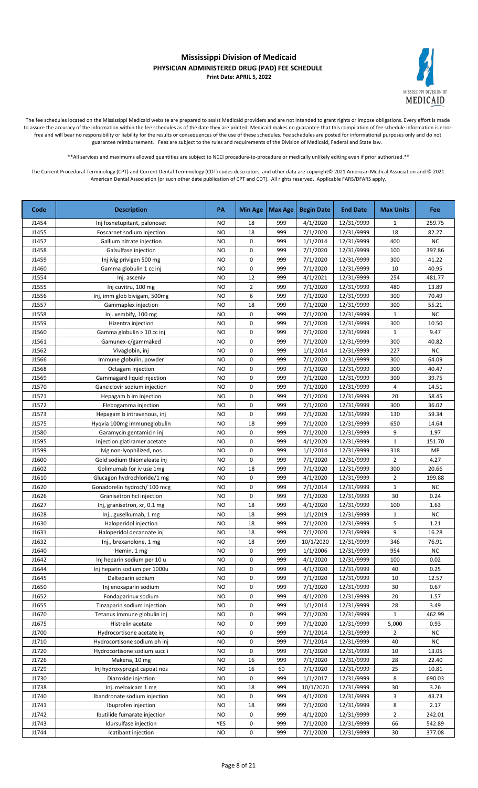

The fee schedules located on the Mississippi Medicaid website are prepared to assist Medicaid providers and are not intended to grant rights or impose obligations. Every effort is made to assure the accuracy of the information within the fee schedules as of the date they are printed. Medicaid makes no guarantee that this compilation of fee schedule information is errorfree and will bear no responsibility or liability for the results or consequences of the use of these schedules. Fee schedules are posted for informational purposes only and do not guarantee reimbursement. Fees are subject to the rules and requirements of the Division of Medicaid, Federal and State law.

\*\*All services and maximums allowed quantities are subject to NCCI procedure-to-procedure or medically unlikely editing even if prior authorized.\*\*

| Code  | <b>Description</b>           | PA        | <b>Min Age</b> | Max Age | <b>Begin Date</b> | <b>End Date</b> | <b>Max Units</b> | <b>Fee</b> |
|-------|------------------------------|-----------|----------------|---------|-------------------|-----------------|------------------|------------|
| J1454 | Inj fosnetupitant, palonoset | NO        | 18             | 999     | 4/1/2020          | 12/31/9999      | 1                | 259.75     |
| J1455 | Foscarnet sodium injection   | NO        | 18             | 999     | 7/1/2020          | 12/31/9999      | 18               | 82.27      |
| J1457 | Gallium nitrate injection    | <b>NO</b> | 0              | 999     | 1/1/2014          | 12/31/9999      | 400              | <b>NC</b>  |
| J1458 | Galsulfase injection         | NO        | 0              | 999     | 7/1/2020          | 12/31/9999      | 100              | 397.86     |
| J1459 | Inj ivig privigen 500 mg     | NO        | 0              | 999     | 7/1/2020          | 12/31/9999      | 300              | 41.22      |
| J1460 | Gamma globulin 1 cc inj      | NO        | 0              | 999     | 7/1/2020          | 12/31/9999      | 10               | 40.95      |
| J1554 | Inj. asceniv                 | <b>NO</b> | 12             | 999     | 4/1/2021          | 12/31/9999      | 254              | 481.77     |
| J1555 | Inj cuvitru, 100 mg          | <b>NO</b> | $\overline{2}$ | 999     | 7/1/2020          | 12/31/9999      | 480              | 13.89      |
| J1556 | Inj, imm glob bivigam, 500mg | <b>NO</b> | 6              | 999     | 7/1/2020          | 12/31/9999      | 300              | 70.49      |
| J1557 | Gammaplex injection          | NO        | 18             | 999     | 7/1/2020          | 12/31/9999      | 300              | 55.21      |
| J1558 | Inj. xembify, 100 mg         | <b>NO</b> | 0              | 999     | 7/1/2020          | 12/31/9999      | $\mathbf{1}$     | NC         |
| J1559 | Hizentra injection           | NO        | 0              | 999     | 7/1/2020          | 12/31/9999      | 300              | 10.50      |
| J1560 | Gamma globulin > 10 cc inj   | NO        | 0              | 999     | 7/1/2020          | 12/31/9999      | $\mathbf{1}$     | 9.47       |
| J1561 | Gamunex-c/gammaked           | NO        | 0              | 999     | 7/1/2020          | 12/31/9999      | 300              | 40.82      |
| J1562 | Vivaglobin, inj              | NO        | 0              | 999     | 1/1/2014          | 12/31/9999      | 227              | NC         |
| J1566 | Immune globulin, powder      | NO        | 0              | 999     | 7/1/2020          | 12/31/9999      | 300              | 64.09      |
| J1568 | Octagam injection            | NO        | 0              | 999     | 7/1/2020          | 12/31/9999      | 300              | 40.47      |
| J1569 | Gammagard liquid injection   | <b>NO</b> | 0              | 999     | 7/1/2020          | 12/31/9999      | 300              | 39.75      |
| J1570 | Ganciclovir sodium injection | NO        | 0              | 999     | 7/1/2020          | 12/31/9999      | 4                | 14.51      |
| J1571 | Hepagam b im injection       | <b>NO</b> | 0              | 999     | 7/1/2020          | 12/31/9999      | 20               | 58.45      |
| J1572 | Flebogamma injection         | NO        | 0              | 999     | 7/1/2020          | 12/31/9999      | 300              | 36.02      |
| J1573 | Hepagam b intravenous, inj   | NO        | 0              | 999     | 7/1/2020          | 12/31/9999      | 130              | 59.34      |
| J1575 | Hyqvia 100mg immuneglobulin  | NO        | 18             | 999     | 7/1/2020          | 12/31/9999      | 650              | 14.64      |
| J1580 | Garamycin gentamicin inj     | <b>NO</b> | 0              | 999     | 7/1/2020          | 12/31/9999      | 9                | 1.97       |
| J1595 | Injection glatiramer acetate | NO        | 0              | 999     | 4/1/2020          | 12/31/9999      | $\mathbf{1}$     | 151.70     |
| J1599 | Ivig non-lyophilized, nos    | NO        | 0              | 999     | 1/1/2014          | 12/31/9999      | 318              | MP         |
| J1600 | Gold sodium thiomaleate inj  | NO        | 0              | 999     | 7/1/2020          | 12/31/9999      | $\overline{2}$   | 4.27       |
| J1602 | Golimumab for iv use 1mg     | <b>NO</b> | 18             | 999     | 7/1/2020          | 12/31/9999      | 300              | 20.66      |
| J1610 | Glucagon hydrochloride/1 mg  | NO        | 0              | 999     | 4/1/2020          | 12/31/9999      | $\overline{2}$   | 199.88     |
| J1620 | Gonadorelin hydroch/100 mcg  | NO        | 0              | 999     | 7/1/2014          | 12/31/9999      | $\mathbf{1}$     | <b>NC</b>  |
| J1626 | Granisetron hcl injection    | NO        | 0              | 999     | 7/1/2020          | 12/31/9999      | 30               | 0.24       |
| J1627 | Inj, granisetron, xr, 0.1 mg | NO        | 18             | 999     | 4/1/2020          | 12/31/9999      | 100              | 1.63       |
| J1628 | Inj., guselkumab, 1 mg       | NO        | 18             | 999     | 1/1/2019          | 12/31/9999      | $\mathbf{1}$     | <b>NC</b>  |
| J1630 | Haloperidol injection        | NO        | 18             | 999     | 7/1/2020          | 12/31/9999      | 5                | 1.21       |
| J1631 | Haloperidol decanoate inj    | NO        | 18             | 999     | 7/1/2020          | 12/31/9999      | 9                | 16.28      |
| J1632 | Inj., brexanolone, 1 mg      | <b>NO</b> | 18             | 999     | 10/1/2020         | 12/31/9999      | 346              | 76.91      |
| J1640 | Hemin, 1 mg                  | <b>NO</b> | 0              | 999     | 1/1/2006          | 12/31/9999      | 954              | ${\sf NC}$ |
| J1642 | Inj heparin sodium per 10 u  | NO        | 0              | 999     | 4/1/2020          | 12/31/9999      | 100              | 0.02       |
| J1644 | Inj heparin sodium per 1000u | NO        | 0              | 999     | 4/1/2020          | 12/31/9999      | 40               | 0.25       |
| J1645 | Dalteparin sodium            | <b>NO</b> | 0              | 999     | 7/1/2020          | 12/31/9999      | 10               | 12.57      |
| J1650 | Inj enoxaparin sodium        | NO        | 0              | 999     | 7/1/2020          | 12/31/9999      | 30               | 0.67       |
| J1652 | Fondaparinux sodium          | NO        | 0              | 999     | 4/1/2020          | 12/31/9999      | 20               | 1.57       |
| J1655 | Tinzaparin sodium injection  | NO        | 0              | 999     | 1/1/2014          | 12/31/9999      | 28               | 3.49       |
| J1670 | Tetanus immune globulin inj  | NO        | 0              | 999     | 7/1/2020          | 12/31/9999      | $\mathbf{1}$     | 462.99     |
| J1675 | Histrelin acetate            | NO        | 0              | 999     | 7/1/2020          | 12/31/9999      | 5,000            | 0.93       |
| J1700 | Hydrocortisone acetate inj   | NO        | 0              | 999     | 7/1/2014          | 12/31/9999      | 2                | NC.        |
| J1710 | Hydrocortisone sodium ph inj | NO        | 0              | 999     | 7/1/2014          | 12/31/9999      | 40               | NC         |
| J1720 | Hydrocortisone sodium succ i | NO        | 0              | 999     | 7/1/2020          | 12/31/9999      | 10               | 13.05      |
| J1726 | Makena, 10 mg                | NO        | 16             | 999     | 7/1/2020          | 12/31/9999      | 28               | 22.40      |
| J1729 | Inj hydroxyprogst capoat nos | NO        | 16             | 60      | 7/1/2020          | 12/31/9999      | 25               | 10.81      |
| J1730 | Diazoxide injection          | NO        | 0              | 999     | 1/1/2017          | 12/31/9999      | 8                | 690.03     |
| J1738 | Inj. meloxicam 1 mg          | NO        | 18             | 999     | 10/1/2020         | 12/31/9999      | 30               | 3.26       |
| J1740 | Ibandronate sodium injection | <b>NO</b> | 0              | 999     | 4/1/2020          | 12/31/9999      | 3                | 43.73      |
| J1741 | Ibuprofen injection          | NO        | 18             | 999     | 7/1/2020          | 12/31/9999      | 8                | 2.17       |
| J1742 | Ibutilide fumarate injection | NO        | 0              | 999     | 4/1/2020          | 12/31/9999      | $\overline{2}$   | 242.01     |
| J1743 | Idursulfase injection        | YES       | 0              | 999     | 7/1/2020          | 12/31/9999      | 66               | 542.89     |
| J1744 | Icatibant injection          | NO        | 0              | 999     | 7/1/2020          | 12/31/9999      | 30               | 377.08     |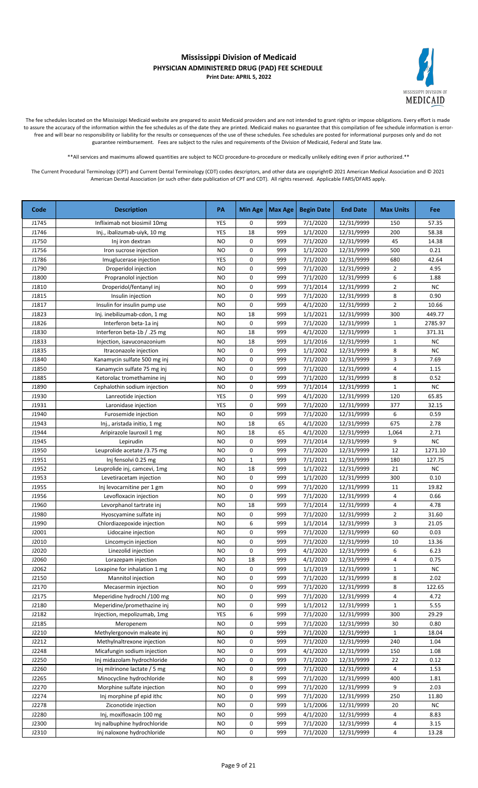

The fee schedules located on the Mississippi Medicaid website are prepared to assist Medicaid providers and are not intended to grant rights or impose obligations. Every effort is made to assure the accuracy of the information within the fee schedules as of the date they are printed. Medicaid makes no guarantee that this compilation of fee schedule information is errorfree and will bear no responsibility or liability for the results or consequences of the use of these schedules. Fee schedules are posted for informational purposes only and do not guarantee reimbursement. Fees are subject to the rules and requirements of the Division of Medicaid, Federal and State law.

\*\*All services and maximums allowed quantities are subject to NCCI procedure-to-procedure or medically unlikely editing even if prior authorized.\*\*

| Code  | <b>Description</b>           | PA        | <b>Min Age</b> | Max Age | <b>Begin Date</b> | <b>End Date</b> | <b>Max Units</b>        | Fee       |
|-------|------------------------------|-----------|----------------|---------|-------------------|-----------------|-------------------------|-----------|
| J1745 | Infliximab not biosimil 10mg | YES       | 0              | 999     | 7/1/2020          | 12/31/9999      | 150                     | 57.35     |
| J1746 | Inj., ibalizumab-uiyk, 10 mg | YES       | 18             | 999     | 1/1/2020          | 12/31/9999      | 200                     | 58.38     |
| J1750 | Inj iron dextran             | <b>NO</b> | 0              | 999     | 7/1/2020          | 12/31/9999      | 45                      | 14.38     |
| J1756 | Iron sucrose injection       | <b>NO</b> | 0              | 999     | 1/1/2020          | 12/31/9999      | 500                     | 0.21      |
| J1786 | Imuglucerase injection       | YES       | 0              | 999     | 7/1/2020          | 12/31/9999      | 680                     | 42.64     |
| J1790 | Droperidol injection         | <b>NO</b> | 0              | 999     | 7/1/2020          | 12/31/9999      | $\overline{2}$          | 4.95      |
| J1800 | Propranolol injection        | NO        | 0              | 999     | 7/1/2020          | 12/31/9999      | 6                       | 1.88      |
| J1810 | Droperidol/fentanyl inj      | <b>NO</b> | 0              | 999     | 7/1/2014          | 12/31/9999      | $\overline{2}$          | <b>NC</b> |
| J1815 | Insulin injection            | <b>NO</b> | 0              | 999     | 7/1/2020          | 12/31/9999      | 8                       | 0.90      |
| J1817 | Insulin for insulin pump use | <b>NO</b> | 0              | 999     | 4/1/2020          | 12/31/9999      | $\overline{2}$          | 10.66     |
| J1823 | Inj. inebilizumab-cdon, 1 mg | NO        | 18             | 999     | 1/1/2021          | 12/31/9999      | 300                     | 449.77    |
| J1826 | Interferon beta-1a inj       | <b>NO</b> | 0              | 999     | 7/1/2020          | 12/31/9999      | $\mathbf{1}$            | 2785.97   |
| J1830 | Interferon beta-1b / .25 mg  | <b>NO</b> | 18             | 999     | 4/1/2020          | 12/31/9999      | $\mathbf{1}$            | 371.31    |
| J1833 | Injection, isavuconazonium   | <b>NO</b> | 18             | 999     | 1/1/2016          | 12/31/9999      | $\mathbf{1}$            | <b>NC</b> |
| J1835 | Itraconazole injection       | <b>NO</b> | 0              | 999     | 1/1/2002          | 12/31/9999      | 8                       | <b>NC</b> |
| J1840 | Kanamycin sulfate 500 mg inj | <b>NO</b> | 0              | 999     | 7/1/2020          | 12/31/9999      | 3                       | 7.69      |
| J1850 | Kanamycin sulfate 75 mg inj  | <b>NO</b> | 0              | 999     | 7/1/2020          | 12/31/9999      | $\overline{\mathbf{4}}$ | 1.15      |
| J1885 | Ketorolac tromethamine inj   | <b>NO</b> | 0              | 999     | 7/1/2020          | 12/31/9999      | 8                       | 0.52      |
| J1890 | Cephalothin sodium injection | <b>NO</b> | 0              | 999     | 7/1/2014          | 12/31/9999      | $\mathbf{1}$            | <b>NC</b> |
| J1930 | Lanreotide injection         | YES       | 0              | 999     | 4/1/2020          | 12/31/9999      | 120                     | 65.85     |
| J1931 | Laronidase injection         | YES       | 0              | 999     | 7/1/2020          | 12/31/9999      | 377                     | 32.15     |
| J1940 | Furosemide injection         | <b>NO</b> | 0              | 999     | 7/1/2020          | 12/31/9999      | 6                       | 0.59      |
| J1943 | Inj., aristada initio, 1 mg  | <b>NO</b> | 18             | 65      | 4/1/2020          | 12/31/9999      | 675                     | 2.78      |
| J1944 | Aripirazole lauroxil 1 mg    | NO        | 18             | 65      | 4/1/2020          | 12/31/9999      | 1,064                   | 2.71      |
| J1945 | Lepirudin                    | <b>NO</b> | 0              | 999     | 7/1/2014          | 12/31/9999      | 9                       | NC        |
| J1950 | Leuprolide acetate /3.75 mg  | <b>NO</b> | 0              | 999     | 7/1/2020          | 12/31/9999      | 12                      | 1271.10   |
| J1951 | Inj fensolvi 0.25 mg         | <b>NO</b> | $\mathbf 1$    | 999     | 7/1/2021          | 12/31/9999      | 180                     | 127.75    |
| J1952 | Leuprolide inj, camcevi, 1mg | NO        | 18             | 999     | 1/1/2022          | 12/31/9999      | 21                      | <b>NC</b> |
| J1953 | Levetiracetam injection      | <b>NO</b> | 0              | 999     | 1/1/2020          | 12/31/9999      | 300                     | 0.10      |
| J1955 | Inj levocarnitine per 1 gm   | <b>NO</b> | 0              | 999     | 7/1/2020          | 12/31/9999      | 11                      | 19.82     |
| J1956 | Levofloxacin injection       | NO        | 0              | 999     | 7/1/2020          | 12/31/9999      | 4                       | 0.66      |
| J1960 | Levorphanol tartrate inj     | NO        | 18             | 999     | 7/1/2014          | 12/31/9999      | 4                       | 4.78      |
| J1980 | Hyoscyamine sulfate inj      | <b>NO</b> | 0              | 999     | 7/1/2020          | 12/31/9999      | $\overline{2}$          | 31.60     |
| J1990 | Chlordiazepoxide injection   | <b>NO</b> | 6              | 999     | 1/1/2014          | 12/31/9999      | 3                       | 21.05     |
| J2001 | Lidocaine injection          | <b>NO</b> | 0              | 999     | 7/1/2020          | 12/31/9999      | 60                      | 0.03      |
| J2010 | Lincomycin injection         | NO        | 0              | 999     | 7/1/2020          | 12/31/9999      | 10                      | 13.36     |
| J2020 | Linezolid injection          | <b>NO</b> | 0              | 999     | 4/1/2020          | 12/31/9999      | 6                       | 6.23      |
| J2060 | Lorazepam injection          | <b>NO</b> | 18             | 999     | 4/1/2020          | 12/31/9999      | 4                       | 0.75      |
| J2062 | Loxapine for inhalation 1 mg | NO        | 0              | 999     | 1/1/2019          | 12/31/9999      | $\mathbf{1}$            | <b>NC</b> |
| J2150 | Mannitol injection           | NO        | 0              | 999     | 7/1/2020          | 12/31/9999      | 8                       | 2.02      |
| J2170 | Mecasermin injection         | <b>NO</b> | 0              | 999     | 7/1/2020          | 12/31/9999      | 8                       | 122.65    |
| J2175 | Meperidine hydrochl /100 mg  | <b>NO</b> | 0              | 999     | 7/1/2020          | 12/31/9999      | 4                       | 4.72      |
| J2180 | Meperidine/promethazine inj  | <b>NO</b> | 0              | 999     | 1/1/2012          | 12/31/9999      | $\mathbf{1}$            | 5.55      |
| J2182 | Injection, mepolizumab, 1mg  | YES       | 6              | 999     | 7/1/2020          | 12/31/9999      | 300                     | 29.29     |
| J2185 | Meropenem                    | NO        | 0              | 999     | 7/1/2020          | 12/31/9999      | 30                      | 0.80      |
| J2210 | Methylergonovin maleate inj  | NO        | 0              | 999     | 7/1/2020          | 12/31/9999      | $\mathbf{1}$            | 18.04     |
| J2212 | Methylnaltrexone injection   | NO        | 0              | 999     | 7/1/2020          | 12/31/9999      | 240                     | 1.04      |
| J2248 | Micafungin sodium injection  | NO        | 0              | 999     | 4/1/2020          | 12/31/9999      | 150                     | 1.08      |
| J2250 | Inj midazolam hydrochloride  | NO        | 0              | 999     | 7/1/2020          | 12/31/9999      | 22                      | 0.12      |
| J2260 | Inj milrinone lactate / 5 mg | NO        | 0              | 999     | 7/1/2020          | 12/31/9999      | 4                       | 1.53      |
| J2265 | Minocycline hydrochloride    | <b>NO</b> | 8              | 999     | 7/1/2020          | 12/31/9999      | 400                     | 1.81      |
| J2270 | Morphine sulfate injection   | <b>NO</b> | 0              | 999     | 7/1/2020          | 12/31/9999      | 9                       | 2.03      |
| J2274 | Inj morphine pf epid ithc    | NO        | 0              | 999     | 7/1/2020          | 12/31/9999      | 250                     | 11.80     |
| J2278 | Ziconotide injection         | <b>NO</b> | 0              | 999     | 1/1/2006          | 12/31/9999      | 20                      | <b>NC</b> |
| J2280 | Inj, moxifloxacin 100 mg     | NO        | 0              | 999     | 4/1/2020          | 12/31/9999      | 4                       | 8.83      |
| J2300 | Inj nalbuphine hydrochloride | NO        | 0              | 999     | 7/1/2020          | 12/31/9999      | 4                       | 3.15      |
| J2310 | Inj naloxone hydrochloride   | NO        | 0              | 999     | 7/1/2020          | 12/31/9999      | 4                       | 13.28     |
|       |                              |           |                |         |                   |                 |                         |           |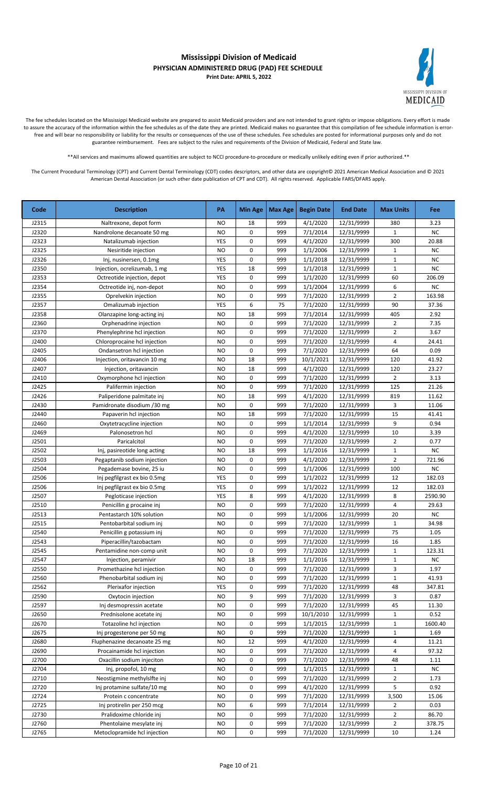

The fee schedules located on the Mississippi Medicaid website are prepared to assist Medicaid providers and are not intended to grant rights or impose obligations. Every effort is made to assure the accuracy of the information within the fee schedules as of the date they are printed. Medicaid makes no guarantee that this compilation of fee schedule information is errorfree and will bear no responsibility or liability for the results or consequences of the use of these schedules. Fee schedules are posted for informational purposes only and do not guarantee reimbursement. Fees are subject to the rules and requirements of the Division of Medicaid, Federal and State law.

\*\*All services and maximums allowed quantities are subject to NCCI procedure-to-procedure or medically unlikely editing even if prior authorized.\*\*

| <b>NO</b><br>999<br>4/1/2020<br>12/31/9999<br>3.23<br>J2315<br>Naltrexone, depot form<br>18<br>380<br><b>NC</b><br>J2320<br><b>NO</b><br>0<br>999<br>7/1/2014<br>12/31/9999<br>Nandrolone decanoate 50 mg<br>1<br>0<br>300<br>J2323<br>YES<br>999<br>4/1/2020<br>12/31/9999<br>20.88<br>Natalizumab injection<br>0<br>NC<br>J2325<br><b>NO</b><br>999<br>1/1/2006<br>12/31/9999<br>Nesiritide injection<br>1<br>$\mathbf 0$<br>999<br>$\mathbf{1}$<br><b>NC</b><br>J2326<br>YES<br>1/1/2018<br>12/31/9999<br>Inj, nusinersen, 0.1mg<br>$\mathbf{1}$<br>J2350<br>YES<br>18<br>999<br>1/1/2018<br>12/31/9999<br><b>NC</b><br>Injection, ocrelizumab, 1 mg<br>0<br>J2353<br>YES<br>999<br>1/1/2020<br>12/31/9999<br>60<br>206.09<br>Octreotide injection, depot<br>0<br>6<br>J2354<br><b>NO</b><br>999<br>1/1/2004<br>12/31/9999<br>NC<br>Octreotide inj, non-depot<br>7/1/2020<br>$\overline{2}$<br>163.98<br>J2355<br><b>NO</b><br>0<br>999<br>12/31/9999<br>Oprelvekin injection<br>6<br>90<br>J2357<br>YES<br>75<br>7/1/2020<br>12/31/9999<br>37.36<br>Omalizumab injection<br>18<br>999<br>2.92<br>J2358<br><b>NO</b><br>7/1/2014<br>12/31/9999<br>405<br>Olanzapine long-acting inj<br>J2360<br>0<br>999<br>7/1/2020<br>$\overline{2}$<br>7.35<br>Orphenadrine injection<br>NO<br>12/31/9999<br>3.67<br>J2370<br><b>NO</b><br>0<br>999<br>7/1/2020<br>12/31/9999<br>$\overline{2}$<br>Phenylephrine hcl injection<br>J2400<br>0<br>999<br>7/1/2020<br>12/31/9999<br>4<br>24.41<br>Chloroprocaine hcl injection<br><b>NO</b><br>0<br>7/1/2020<br>64<br>0.09<br>J2405<br>Ondansetron hcl injection<br><b>NO</b><br>999<br>12/31/9999<br>J2406<br>18<br>999<br>120<br>41.92<br>Injection, oritavancin 10 mg<br><b>NO</b><br>10/1/2021<br>12/31/9999<br>J2407<br>18<br>999<br>4/1/2020<br>12/31/9999<br>120<br>23.27<br>Injection, oritavancin<br><b>NO</b><br>J2410<br><b>NO</b><br>0<br>999<br>7/1/2020<br>12/31/9999<br>2<br>3.13<br>Oxymorphone hcl injection<br>0<br>J2425<br>Palifermin injection<br><b>NO</b><br>999<br>7/1/2020<br>12/31/9999<br>125<br>21.26<br>J2426<br>18<br>999<br><b>NO</b><br>4/1/2020<br>12/31/9999<br>819<br>11.62<br>Paliperidone palmitate inj<br>J2430<br>0<br>999<br>7/1/2020<br>3<br>11.06<br>Pamidronate disodium /30 mg<br><b>NO</b><br>12/31/9999<br>J2440<br><b>NO</b><br>18<br>999<br>7/1/2020<br>15<br>41.41<br>Papaverin hcl injection<br>12/31/9999<br>9<br>0<br>999<br>1/1/2014<br>0.94<br>J2460<br>Oxytetracycline injection<br><b>NO</b><br>12/31/9999<br>0<br>999<br>4/1/2020<br>10<br>3.39<br>J2469<br>Palonosetron hcl<br>NO<br>12/31/9999<br>0<br>J2501<br>999<br>7/1/2020<br>12/31/9999<br>$\overline{2}$<br>0.77<br>Paricalcitol<br><b>NO</b><br>NC<br>J2502<br>Inj, pasireotide long acting<br><b>NO</b><br>18<br>999<br>1/1/2016<br>12/31/9999<br>$\mathbf{1}$<br>J2503<br>Pegaptanib sodium injection<br><b>NO</b><br>0<br>999<br>4/1/2020<br>12/31/9999<br>2<br>721.96<br>J2504<br>0<br><b>NC</b><br>Pegademase bovine, 25 iu<br><b>NO</b><br>999<br>1/1/2006<br>12/31/9999<br>100<br>J2506<br>YES<br>0<br>999<br>1/1/2022<br>12<br>182.03<br>Inj pegfilgrast ex bio 0.5mg<br>12/31/9999<br>J2506<br>YES<br>0<br>999<br>1/1/2022<br>12/31/9999<br>12<br>182.03<br>Inj pegfilgrast ex bio 0.5mg<br>J2507<br>YES<br>8<br>999<br>4/1/2020<br>12/31/9999<br>8<br>2590.90<br>Pegloticase injection<br>0<br>7/1/2020<br>4<br>29.63<br>J2510<br>Penicillin g procaine inj<br>NO<br>999<br>12/31/9999<br>0<br>NC<br>J2513<br>999<br>1/1/2006<br>12/31/9999<br>20<br>Pentastarch 10% solution<br>NO<br>0<br>J2515<br><b>NO</b><br>999<br>7/1/2020<br>12/31/9999<br>$\mathbf{1}$<br>34.98<br>Pentobarbital sodium inj<br>75<br>J2540<br>0<br><b>NO</b><br>999<br>7/1/2020<br>12/31/9999<br>1.05<br>Penicillin g potassium inj<br>0<br>16<br>J2543<br><b>NO</b><br>999<br>7/1/2020<br>12/31/9999<br>1.85<br>Piperacillin/tazobactam<br>J2545<br>$\mathbf 1$<br>123.31<br><b>NO</b><br>0<br>999<br>7/1/2020<br>12/31/9999<br>Pentamidine non-comp unit<br>$\mathbf{1}$<br>J2547<br><b>NO</b><br>18<br>999<br>1/1/2016<br>12/31/9999<br>NC.<br>Injection, peramivir<br>J2550<br>0<br>999<br>7/1/2020<br>12/31/9999<br>3<br>1.97<br>Promethazine hcl injection<br>NO<br>0<br>$\mathbf 1$<br>J2560<br>999<br>7/1/2020<br>12/31/9999<br>41.93<br>Phenobarbital sodium inj<br>NO<br>0<br>7/1/2020<br>J2562<br>YES<br>999<br>12/31/9999<br>48<br>347.81<br>Plerixafor injection<br>7/1/2020<br>12/31/9999<br>J2590<br>9<br>999<br>3<br>0.87<br>Oxytocin injection<br>NO<br>0<br>7/1/2020<br>J2597<br>Inj desmopressin acetate<br><b>NO</b><br>999<br>12/31/9999<br>45<br>11.30<br>J2650<br>0<br>10/1/2010<br>12/31/9999<br>0.52<br>Prednisolone acetate inj<br>999<br>NO<br>1<br>J2670<br>Totazoline hcl injection<br><b>NO</b><br>0<br>999<br>1/1/2015<br>12/31/9999<br>1600.40<br>1<br>J2675<br>999<br>7/1/2020<br>12/31/9999<br>1.69<br>Inj progesterone per 50 mg<br>NO<br>0<br>$\mathbf{1}$<br>J2680<br>Fluphenazine decanoate 25 mg<br>12<br>999<br>4/1/2020<br>12/31/9999<br>4<br>11.21<br>NO<br>J2690<br>Procainamide hcl injection<br>999<br>7/1/2020<br>12/31/9999<br>4<br>97.32<br>NO<br>0<br>J2700<br>Oxacillin sodium injeciton<br>0<br>7/1/2020<br>12/31/9999<br>NO<br>999<br>48<br>1.11<br>J2704<br>0<br>999<br>1/1/2015<br>12/31/9999<br><b>NC</b><br>Inj, propofol, 10 mg<br>NO<br>$\mathbf{1}$<br>7/1/2020<br>J2710<br>Neostigmine methylslfte inj<br>0<br>999<br>12/31/9999<br>$\overline{2}$<br>1.73<br>NO<br>4/1/2020<br>5<br>0.92<br>J2720<br>Inj protamine sulfate/10 mg<br><b>NO</b><br>0<br>999<br>12/31/9999<br>J2724<br>0<br>7/1/2020<br>3,500<br>15.06<br>Protein c concentrate<br><b>NO</b><br>999<br>12/31/9999<br>6<br>J2725<br>999<br>7/1/2014<br>12/31/9999<br>0.03<br>Inj protirelin per 250 mcg<br>NO<br>2<br>$\overline{2}$<br>0<br>999<br>7/1/2020<br>12/31/9999<br>86.70<br>J2730<br>Pralidoxime chloride inj<br><b>NO</b><br>$\overline{2}$<br>0<br>J2760<br>Phentolaine mesylate inj<br><b>NO</b><br>999<br>7/1/2020<br>12/31/9999<br>378.75<br>0<br>J2765<br>Metoclopramide hcl injection<br>999<br>7/1/2020<br>12/31/9999<br>10<br>NO<br>1.24 | Code | <b>Description</b> | PA | <b>Min Age</b> | Max Age | <b>Begin Date</b> | <b>End Date</b> | <b>Max Units</b> | Fee |
|--------------------------------------------------------------------------------------------------------------------------------------------------------------------------------------------------------------------------------------------------------------------------------------------------------------------------------------------------------------------------------------------------------------------------------------------------------------------------------------------------------------------------------------------------------------------------------------------------------------------------------------------------------------------------------------------------------------------------------------------------------------------------------------------------------------------------------------------------------------------------------------------------------------------------------------------------------------------------------------------------------------------------------------------------------------------------------------------------------------------------------------------------------------------------------------------------------------------------------------------------------------------------------------------------------------------------------------------------------------------------------------------------------------------------------------------------------------------------------------------------------------------------------------------------------------------------------------------------------------------------------------------------------------------------------------------------------------------------------------------------------------------------------------------------------------------------------------------------------------------------------------------------------------------------------------------------------------------------------------------------------------------------------------------------------------------------------------------------------------------------------------------------------------------------------------------------------------------------------------------------------------------------------------------------------------------------------------------------------------------------------------------------------------------------------------------------------------------------------------------------------------------------------------------------------------------------------------------------------------------------------------------------------------------------------------------------------------------------------------------------------------------------------------------------------------------------------------------------------------------------------------------------------------------------------------------------------------------------------------------------------------------------------------------------------------------------------------------------------------------------------------------------------------------------------------------------------------------------------------------------------------------------------------------------------------------------------------------------------------------------------------------------------------------------------------------------------------------------------------------------------------------------------------------------------------------------------------------------------------------------------------------------------------------------------------------------------------------------------------------------------------------------------------------------------------------------------------------------------------------------------------------------------------------------------------------------------------------------------------------------------------------------------------------------------------------------------------------------------------------------------------------------------------------------------------------------------------------------------------------------------------------------------------------------------------------------------------------------------------------------------------------------------------------------------------------------------------------------------------------------------------------------------------------------------------------------------------------------------------------------------------------------------------------------------------------------------------------------------------------------------------------------------------------------------------------------------------------------------------------------------------------------------------------------------------------------------------------------------------------------------------------------------------------------------------------------------------------------------------------------------------------------------------------------------------------------------------------------------------------------------------------------------------------------------------------------------------------------------------------------------------------------------------------------------------------------------------------------------------------------------------------------------------------------------------------------------------------------------------------------------------------------------------------------------------------------------------------------------------------------------------------------------------------------------------------------------------------------------------------------------------------------------------------------------------------------------------------------------------------------------------------------------------------------------------------------------------------------------------------------------|------|--------------------|----|----------------|---------|-------------------|-----------------|------------------|-----|
|                                                                                                                                                                                                                                                                                                                                                                                                                                                                                                                                                                                                                                                                                                                                                                                                                                                                                                                                                                                                                                                                                                                                                                                                                                                                                                                                                                                                                                                                                                                                                                                                                                                                                                                                                                                                                                                                                                                                                                                                                                                                                                                                                                                                                                                                                                                                                                                                                                                                                                                                                                                                                                                                                                                                                                                                                                                                                                                                                                                                                                                                                                                                                                                                                                                                                                                                                                                                                                                                                                                                                                                                                                                                                                                                                                                                                                                                                                                                                                                                                                                                                                                                                                                                                                                                                                                                                                                                                                                                                                                                                                                                                                                                                                                                                                                                                                                                                                                                                                                                                                                                                                                                                                                                                                                                                                                                                                                                                                                                                                                                                                                                                                                                                                                                                                                                                                                                                                                                                                                                                                                                                                                                |      |                    |    |                |         |                   |                 |                  |     |
|                                                                                                                                                                                                                                                                                                                                                                                                                                                                                                                                                                                                                                                                                                                                                                                                                                                                                                                                                                                                                                                                                                                                                                                                                                                                                                                                                                                                                                                                                                                                                                                                                                                                                                                                                                                                                                                                                                                                                                                                                                                                                                                                                                                                                                                                                                                                                                                                                                                                                                                                                                                                                                                                                                                                                                                                                                                                                                                                                                                                                                                                                                                                                                                                                                                                                                                                                                                                                                                                                                                                                                                                                                                                                                                                                                                                                                                                                                                                                                                                                                                                                                                                                                                                                                                                                                                                                                                                                                                                                                                                                                                                                                                                                                                                                                                                                                                                                                                                                                                                                                                                                                                                                                                                                                                                                                                                                                                                                                                                                                                                                                                                                                                                                                                                                                                                                                                                                                                                                                                                                                                                                                                                |      |                    |    |                |         |                   |                 |                  |     |
|                                                                                                                                                                                                                                                                                                                                                                                                                                                                                                                                                                                                                                                                                                                                                                                                                                                                                                                                                                                                                                                                                                                                                                                                                                                                                                                                                                                                                                                                                                                                                                                                                                                                                                                                                                                                                                                                                                                                                                                                                                                                                                                                                                                                                                                                                                                                                                                                                                                                                                                                                                                                                                                                                                                                                                                                                                                                                                                                                                                                                                                                                                                                                                                                                                                                                                                                                                                                                                                                                                                                                                                                                                                                                                                                                                                                                                                                                                                                                                                                                                                                                                                                                                                                                                                                                                                                                                                                                                                                                                                                                                                                                                                                                                                                                                                                                                                                                                                                                                                                                                                                                                                                                                                                                                                                                                                                                                                                                                                                                                                                                                                                                                                                                                                                                                                                                                                                                                                                                                                                                                                                                                                                |      |                    |    |                |         |                   |                 |                  |     |
|                                                                                                                                                                                                                                                                                                                                                                                                                                                                                                                                                                                                                                                                                                                                                                                                                                                                                                                                                                                                                                                                                                                                                                                                                                                                                                                                                                                                                                                                                                                                                                                                                                                                                                                                                                                                                                                                                                                                                                                                                                                                                                                                                                                                                                                                                                                                                                                                                                                                                                                                                                                                                                                                                                                                                                                                                                                                                                                                                                                                                                                                                                                                                                                                                                                                                                                                                                                                                                                                                                                                                                                                                                                                                                                                                                                                                                                                                                                                                                                                                                                                                                                                                                                                                                                                                                                                                                                                                                                                                                                                                                                                                                                                                                                                                                                                                                                                                                                                                                                                                                                                                                                                                                                                                                                                                                                                                                                                                                                                                                                                                                                                                                                                                                                                                                                                                                                                                                                                                                                                                                                                                                                                |      |                    |    |                |         |                   |                 |                  |     |
|                                                                                                                                                                                                                                                                                                                                                                                                                                                                                                                                                                                                                                                                                                                                                                                                                                                                                                                                                                                                                                                                                                                                                                                                                                                                                                                                                                                                                                                                                                                                                                                                                                                                                                                                                                                                                                                                                                                                                                                                                                                                                                                                                                                                                                                                                                                                                                                                                                                                                                                                                                                                                                                                                                                                                                                                                                                                                                                                                                                                                                                                                                                                                                                                                                                                                                                                                                                                                                                                                                                                                                                                                                                                                                                                                                                                                                                                                                                                                                                                                                                                                                                                                                                                                                                                                                                                                                                                                                                                                                                                                                                                                                                                                                                                                                                                                                                                                                                                                                                                                                                                                                                                                                                                                                                                                                                                                                                                                                                                                                                                                                                                                                                                                                                                                                                                                                                                                                                                                                                                                                                                                                                                |      |                    |    |                |         |                   |                 |                  |     |
|                                                                                                                                                                                                                                                                                                                                                                                                                                                                                                                                                                                                                                                                                                                                                                                                                                                                                                                                                                                                                                                                                                                                                                                                                                                                                                                                                                                                                                                                                                                                                                                                                                                                                                                                                                                                                                                                                                                                                                                                                                                                                                                                                                                                                                                                                                                                                                                                                                                                                                                                                                                                                                                                                                                                                                                                                                                                                                                                                                                                                                                                                                                                                                                                                                                                                                                                                                                                                                                                                                                                                                                                                                                                                                                                                                                                                                                                                                                                                                                                                                                                                                                                                                                                                                                                                                                                                                                                                                                                                                                                                                                                                                                                                                                                                                                                                                                                                                                                                                                                                                                                                                                                                                                                                                                                                                                                                                                                                                                                                                                                                                                                                                                                                                                                                                                                                                                                                                                                                                                                                                                                                                                                |      |                    |    |                |         |                   |                 |                  |     |
|                                                                                                                                                                                                                                                                                                                                                                                                                                                                                                                                                                                                                                                                                                                                                                                                                                                                                                                                                                                                                                                                                                                                                                                                                                                                                                                                                                                                                                                                                                                                                                                                                                                                                                                                                                                                                                                                                                                                                                                                                                                                                                                                                                                                                                                                                                                                                                                                                                                                                                                                                                                                                                                                                                                                                                                                                                                                                                                                                                                                                                                                                                                                                                                                                                                                                                                                                                                                                                                                                                                                                                                                                                                                                                                                                                                                                                                                                                                                                                                                                                                                                                                                                                                                                                                                                                                                                                                                                                                                                                                                                                                                                                                                                                                                                                                                                                                                                                                                                                                                                                                                                                                                                                                                                                                                                                                                                                                                                                                                                                                                                                                                                                                                                                                                                                                                                                                                                                                                                                                                                                                                                                                                |      |                    |    |                |         |                   |                 |                  |     |
|                                                                                                                                                                                                                                                                                                                                                                                                                                                                                                                                                                                                                                                                                                                                                                                                                                                                                                                                                                                                                                                                                                                                                                                                                                                                                                                                                                                                                                                                                                                                                                                                                                                                                                                                                                                                                                                                                                                                                                                                                                                                                                                                                                                                                                                                                                                                                                                                                                                                                                                                                                                                                                                                                                                                                                                                                                                                                                                                                                                                                                                                                                                                                                                                                                                                                                                                                                                                                                                                                                                                                                                                                                                                                                                                                                                                                                                                                                                                                                                                                                                                                                                                                                                                                                                                                                                                                                                                                                                                                                                                                                                                                                                                                                                                                                                                                                                                                                                                                                                                                                                                                                                                                                                                                                                                                                                                                                                                                                                                                                                                                                                                                                                                                                                                                                                                                                                                                                                                                                                                                                                                                                                                |      |                    |    |                |         |                   |                 |                  |     |
|                                                                                                                                                                                                                                                                                                                                                                                                                                                                                                                                                                                                                                                                                                                                                                                                                                                                                                                                                                                                                                                                                                                                                                                                                                                                                                                                                                                                                                                                                                                                                                                                                                                                                                                                                                                                                                                                                                                                                                                                                                                                                                                                                                                                                                                                                                                                                                                                                                                                                                                                                                                                                                                                                                                                                                                                                                                                                                                                                                                                                                                                                                                                                                                                                                                                                                                                                                                                                                                                                                                                                                                                                                                                                                                                                                                                                                                                                                                                                                                                                                                                                                                                                                                                                                                                                                                                                                                                                                                                                                                                                                                                                                                                                                                                                                                                                                                                                                                                                                                                                                                                                                                                                                                                                                                                                                                                                                                                                                                                                                                                                                                                                                                                                                                                                                                                                                                                                                                                                                                                                                                                                                                                |      |                    |    |                |         |                   |                 |                  |     |
|                                                                                                                                                                                                                                                                                                                                                                                                                                                                                                                                                                                                                                                                                                                                                                                                                                                                                                                                                                                                                                                                                                                                                                                                                                                                                                                                                                                                                                                                                                                                                                                                                                                                                                                                                                                                                                                                                                                                                                                                                                                                                                                                                                                                                                                                                                                                                                                                                                                                                                                                                                                                                                                                                                                                                                                                                                                                                                                                                                                                                                                                                                                                                                                                                                                                                                                                                                                                                                                                                                                                                                                                                                                                                                                                                                                                                                                                                                                                                                                                                                                                                                                                                                                                                                                                                                                                                                                                                                                                                                                                                                                                                                                                                                                                                                                                                                                                                                                                                                                                                                                                                                                                                                                                                                                                                                                                                                                                                                                                                                                                                                                                                                                                                                                                                                                                                                                                                                                                                                                                                                                                                                                                |      |                    |    |                |         |                   |                 |                  |     |
|                                                                                                                                                                                                                                                                                                                                                                                                                                                                                                                                                                                                                                                                                                                                                                                                                                                                                                                                                                                                                                                                                                                                                                                                                                                                                                                                                                                                                                                                                                                                                                                                                                                                                                                                                                                                                                                                                                                                                                                                                                                                                                                                                                                                                                                                                                                                                                                                                                                                                                                                                                                                                                                                                                                                                                                                                                                                                                                                                                                                                                                                                                                                                                                                                                                                                                                                                                                                                                                                                                                                                                                                                                                                                                                                                                                                                                                                                                                                                                                                                                                                                                                                                                                                                                                                                                                                                                                                                                                                                                                                                                                                                                                                                                                                                                                                                                                                                                                                                                                                                                                                                                                                                                                                                                                                                                                                                                                                                                                                                                                                                                                                                                                                                                                                                                                                                                                                                                                                                                                                                                                                                                                                |      |                    |    |                |         |                   |                 |                  |     |
|                                                                                                                                                                                                                                                                                                                                                                                                                                                                                                                                                                                                                                                                                                                                                                                                                                                                                                                                                                                                                                                                                                                                                                                                                                                                                                                                                                                                                                                                                                                                                                                                                                                                                                                                                                                                                                                                                                                                                                                                                                                                                                                                                                                                                                                                                                                                                                                                                                                                                                                                                                                                                                                                                                                                                                                                                                                                                                                                                                                                                                                                                                                                                                                                                                                                                                                                                                                                                                                                                                                                                                                                                                                                                                                                                                                                                                                                                                                                                                                                                                                                                                                                                                                                                                                                                                                                                                                                                                                                                                                                                                                                                                                                                                                                                                                                                                                                                                                                                                                                                                                                                                                                                                                                                                                                                                                                                                                                                                                                                                                                                                                                                                                                                                                                                                                                                                                                                                                                                                                                                                                                                                                                |      |                    |    |                |         |                   |                 |                  |     |
|                                                                                                                                                                                                                                                                                                                                                                                                                                                                                                                                                                                                                                                                                                                                                                                                                                                                                                                                                                                                                                                                                                                                                                                                                                                                                                                                                                                                                                                                                                                                                                                                                                                                                                                                                                                                                                                                                                                                                                                                                                                                                                                                                                                                                                                                                                                                                                                                                                                                                                                                                                                                                                                                                                                                                                                                                                                                                                                                                                                                                                                                                                                                                                                                                                                                                                                                                                                                                                                                                                                                                                                                                                                                                                                                                                                                                                                                                                                                                                                                                                                                                                                                                                                                                                                                                                                                                                                                                                                                                                                                                                                                                                                                                                                                                                                                                                                                                                                                                                                                                                                                                                                                                                                                                                                                                                                                                                                                                                                                                                                                                                                                                                                                                                                                                                                                                                                                                                                                                                                                                                                                                                                                |      |                    |    |                |         |                   |                 |                  |     |
|                                                                                                                                                                                                                                                                                                                                                                                                                                                                                                                                                                                                                                                                                                                                                                                                                                                                                                                                                                                                                                                                                                                                                                                                                                                                                                                                                                                                                                                                                                                                                                                                                                                                                                                                                                                                                                                                                                                                                                                                                                                                                                                                                                                                                                                                                                                                                                                                                                                                                                                                                                                                                                                                                                                                                                                                                                                                                                                                                                                                                                                                                                                                                                                                                                                                                                                                                                                                                                                                                                                                                                                                                                                                                                                                                                                                                                                                                                                                                                                                                                                                                                                                                                                                                                                                                                                                                                                                                                                                                                                                                                                                                                                                                                                                                                                                                                                                                                                                                                                                                                                                                                                                                                                                                                                                                                                                                                                                                                                                                                                                                                                                                                                                                                                                                                                                                                                                                                                                                                                                                                                                                                                                |      |                    |    |                |         |                   |                 |                  |     |
|                                                                                                                                                                                                                                                                                                                                                                                                                                                                                                                                                                                                                                                                                                                                                                                                                                                                                                                                                                                                                                                                                                                                                                                                                                                                                                                                                                                                                                                                                                                                                                                                                                                                                                                                                                                                                                                                                                                                                                                                                                                                                                                                                                                                                                                                                                                                                                                                                                                                                                                                                                                                                                                                                                                                                                                                                                                                                                                                                                                                                                                                                                                                                                                                                                                                                                                                                                                                                                                                                                                                                                                                                                                                                                                                                                                                                                                                                                                                                                                                                                                                                                                                                                                                                                                                                                                                                                                                                                                                                                                                                                                                                                                                                                                                                                                                                                                                                                                                                                                                                                                                                                                                                                                                                                                                                                                                                                                                                                                                                                                                                                                                                                                                                                                                                                                                                                                                                                                                                                                                                                                                                                                                |      |                    |    |                |         |                   |                 |                  |     |
|                                                                                                                                                                                                                                                                                                                                                                                                                                                                                                                                                                                                                                                                                                                                                                                                                                                                                                                                                                                                                                                                                                                                                                                                                                                                                                                                                                                                                                                                                                                                                                                                                                                                                                                                                                                                                                                                                                                                                                                                                                                                                                                                                                                                                                                                                                                                                                                                                                                                                                                                                                                                                                                                                                                                                                                                                                                                                                                                                                                                                                                                                                                                                                                                                                                                                                                                                                                                                                                                                                                                                                                                                                                                                                                                                                                                                                                                                                                                                                                                                                                                                                                                                                                                                                                                                                                                                                                                                                                                                                                                                                                                                                                                                                                                                                                                                                                                                                                                                                                                                                                                                                                                                                                                                                                                                                                                                                                                                                                                                                                                                                                                                                                                                                                                                                                                                                                                                                                                                                                                                                                                                                                                |      |                    |    |                |         |                   |                 |                  |     |
|                                                                                                                                                                                                                                                                                                                                                                                                                                                                                                                                                                                                                                                                                                                                                                                                                                                                                                                                                                                                                                                                                                                                                                                                                                                                                                                                                                                                                                                                                                                                                                                                                                                                                                                                                                                                                                                                                                                                                                                                                                                                                                                                                                                                                                                                                                                                                                                                                                                                                                                                                                                                                                                                                                                                                                                                                                                                                                                                                                                                                                                                                                                                                                                                                                                                                                                                                                                                                                                                                                                                                                                                                                                                                                                                                                                                                                                                                                                                                                                                                                                                                                                                                                                                                                                                                                                                                                                                                                                                                                                                                                                                                                                                                                                                                                                                                                                                                                                                                                                                                                                                                                                                                                                                                                                                                                                                                                                                                                                                                                                                                                                                                                                                                                                                                                                                                                                                                                                                                                                                                                                                                                                                |      |                    |    |                |         |                   |                 |                  |     |
|                                                                                                                                                                                                                                                                                                                                                                                                                                                                                                                                                                                                                                                                                                                                                                                                                                                                                                                                                                                                                                                                                                                                                                                                                                                                                                                                                                                                                                                                                                                                                                                                                                                                                                                                                                                                                                                                                                                                                                                                                                                                                                                                                                                                                                                                                                                                                                                                                                                                                                                                                                                                                                                                                                                                                                                                                                                                                                                                                                                                                                                                                                                                                                                                                                                                                                                                                                                                                                                                                                                                                                                                                                                                                                                                                                                                                                                                                                                                                                                                                                                                                                                                                                                                                                                                                                                                                                                                                                                                                                                                                                                                                                                                                                                                                                                                                                                                                                                                                                                                                                                                                                                                                                                                                                                                                                                                                                                                                                                                                                                                                                                                                                                                                                                                                                                                                                                                                                                                                                                                                                                                                                                                |      |                    |    |                |         |                   |                 |                  |     |
|                                                                                                                                                                                                                                                                                                                                                                                                                                                                                                                                                                                                                                                                                                                                                                                                                                                                                                                                                                                                                                                                                                                                                                                                                                                                                                                                                                                                                                                                                                                                                                                                                                                                                                                                                                                                                                                                                                                                                                                                                                                                                                                                                                                                                                                                                                                                                                                                                                                                                                                                                                                                                                                                                                                                                                                                                                                                                                                                                                                                                                                                                                                                                                                                                                                                                                                                                                                                                                                                                                                                                                                                                                                                                                                                                                                                                                                                                                                                                                                                                                                                                                                                                                                                                                                                                                                                                                                                                                                                                                                                                                                                                                                                                                                                                                                                                                                                                                                                                                                                                                                                                                                                                                                                                                                                                                                                                                                                                                                                                                                                                                                                                                                                                                                                                                                                                                                                                                                                                                                                                                                                                                                                |      |                    |    |                |         |                   |                 |                  |     |
|                                                                                                                                                                                                                                                                                                                                                                                                                                                                                                                                                                                                                                                                                                                                                                                                                                                                                                                                                                                                                                                                                                                                                                                                                                                                                                                                                                                                                                                                                                                                                                                                                                                                                                                                                                                                                                                                                                                                                                                                                                                                                                                                                                                                                                                                                                                                                                                                                                                                                                                                                                                                                                                                                                                                                                                                                                                                                                                                                                                                                                                                                                                                                                                                                                                                                                                                                                                                                                                                                                                                                                                                                                                                                                                                                                                                                                                                                                                                                                                                                                                                                                                                                                                                                                                                                                                                                                                                                                                                                                                                                                                                                                                                                                                                                                                                                                                                                                                                                                                                                                                                                                                                                                                                                                                                                                                                                                                                                                                                                                                                                                                                                                                                                                                                                                                                                                                                                                                                                                                                                                                                                                                                |      |                    |    |                |         |                   |                 |                  |     |
|                                                                                                                                                                                                                                                                                                                                                                                                                                                                                                                                                                                                                                                                                                                                                                                                                                                                                                                                                                                                                                                                                                                                                                                                                                                                                                                                                                                                                                                                                                                                                                                                                                                                                                                                                                                                                                                                                                                                                                                                                                                                                                                                                                                                                                                                                                                                                                                                                                                                                                                                                                                                                                                                                                                                                                                                                                                                                                                                                                                                                                                                                                                                                                                                                                                                                                                                                                                                                                                                                                                                                                                                                                                                                                                                                                                                                                                                                                                                                                                                                                                                                                                                                                                                                                                                                                                                                                                                                                                                                                                                                                                                                                                                                                                                                                                                                                                                                                                                                                                                                                                                                                                                                                                                                                                                                                                                                                                                                                                                                                                                                                                                                                                                                                                                                                                                                                                                                                                                                                                                                                                                                                                                |      |                    |    |                |         |                   |                 |                  |     |
|                                                                                                                                                                                                                                                                                                                                                                                                                                                                                                                                                                                                                                                                                                                                                                                                                                                                                                                                                                                                                                                                                                                                                                                                                                                                                                                                                                                                                                                                                                                                                                                                                                                                                                                                                                                                                                                                                                                                                                                                                                                                                                                                                                                                                                                                                                                                                                                                                                                                                                                                                                                                                                                                                                                                                                                                                                                                                                                                                                                                                                                                                                                                                                                                                                                                                                                                                                                                                                                                                                                                                                                                                                                                                                                                                                                                                                                                                                                                                                                                                                                                                                                                                                                                                                                                                                                                                                                                                                                                                                                                                                                                                                                                                                                                                                                                                                                                                                                                                                                                                                                                                                                                                                                                                                                                                                                                                                                                                                                                                                                                                                                                                                                                                                                                                                                                                                                                                                                                                                                                                                                                                                                                |      |                    |    |                |         |                   |                 |                  |     |
|                                                                                                                                                                                                                                                                                                                                                                                                                                                                                                                                                                                                                                                                                                                                                                                                                                                                                                                                                                                                                                                                                                                                                                                                                                                                                                                                                                                                                                                                                                                                                                                                                                                                                                                                                                                                                                                                                                                                                                                                                                                                                                                                                                                                                                                                                                                                                                                                                                                                                                                                                                                                                                                                                                                                                                                                                                                                                                                                                                                                                                                                                                                                                                                                                                                                                                                                                                                                                                                                                                                                                                                                                                                                                                                                                                                                                                                                                                                                                                                                                                                                                                                                                                                                                                                                                                                                                                                                                                                                                                                                                                                                                                                                                                                                                                                                                                                                                                                                                                                                                                                                                                                                                                                                                                                                                                                                                                                                                                                                                                                                                                                                                                                                                                                                                                                                                                                                                                                                                                                                                                                                                                                                |      |                    |    |                |         |                   |                 |                  |     |
|                                                                                                                                                                                                                                                                                                                                                                                                                                                                                                                                                                                                                                                                                                                                                                                                                                                                                                                                                                                                                                                                                                                                                                                                                                                                                                                                                                                                                                                                                                                                                                                                                                                                                                                                                                                                                                                                                                                                                                                                                                                                                                                                                                                                                                                                                                                                                                                                                                                                                                                                                                                                                                                                                                                                                                                                                                                                                                                                                                                                                                                                                                                                                                                                                                                                                                                                                                                                                                                                                                                                                                                                                                                                                                                                                                                                                                                                                                                                                                                                                                                                                                                                                                                                                                                                                                                                                                                                                                                                                                                                                                                                                                                                                                                                                                                                                                                                                                                                                                                                                                                                                                                                                                                                                                                                                                                                                                                                                                                                                                                                                                                                                                                                                                                                                                                                                                                                                                                                                                                                                                                                                                                                |      |                    |    |                |         |                   |                 |                  |     |
|                                                                                                                                                                                                                                                                                                                                                                                                                                                                                                                                                                                                                                                                                                                                                                                                                                                                                                                                                                                                                                                                                                                                                                                                                                                                                                                                                                                                                                                                                                                                                                                                                                                                                                                                                                                                                                                                                                                                                                                                                                                                                                                                                                                                                                                                                                                                                                                                                                                                                                                                                                                                                                                                                                                                                                                                                                                                                                                                                                                                                                                                                                                                                                                                                                                                                                                                                                                                                                                                                                                                                                                                                                                                                                                                                                                                                                                                                                                                                                                                                                                                                                                                                                                                                                                                                                                                                                                                                                                                                                                                                                                                                                                                                                                                                                                                                                                                                                                                                                                                                                                                                                                                                                                                                                                                                                                                                                                                                                                                                                                                                                                                                                                                                                                                                                                                                                                                                                                                                                                                                                                                                                                                |      |                    |    |                |         |                   |                 |                  |     |
|                                                                                                                                                                                                                                                                                                                                                                                                                                                                                                                                                                                                                                                                                                                                                                                                                                                                                                                                                                                                                                                                                                                                                                                                                                                                                                                                                                                                                                                                                                                                                                                                                                                                                                                                                                                                                                                                                                                                                                                                                                                                                                                                                                                                                                                                                                                                                                                                                                                                                                                                                                                                                                                                                                                                                                                                                                                                                                                                                                                                                                                                                                                                                                                                                                                                                                                                                                                                                                                                                                                                                                                                                                                                                                                                                                                                                                                                                                                                                                                                                                                                                                                                                                                                                                                                                                                                                                                                                                                                                                                                                                                                                                                                                                                                                                                                                                                                                                                                                                                                                                                                                                                                                                                                                                                                                                                                                                                                                                                                                                                                                                                                                                                                                                                                                                                                                                                                                                                                                                                                                                                                                                                                |      |                    |    |                |         |                   |                 |                  |     |
|                                                                                                                                                                                                                                                                                                                                                                                                                                                                                                                                                                                                                                                                                                                                                                                                                                                                                                                                                                                                                                                                                                                                                                                                                                                                                                                                                                                                                                                                                                                                                                                                                                                                                                                                                                                                                                                                                                                                                                                                                                                                                                                                                                                                                                                                                                                                                                                                                                                                                                                                                                                                                                                                                                                                                                                                                                                                                                                                                                                                                                                                                                                                                                                                                                                                                                                                                                                                                                                                                                                                                                                                                                                                                                                                                                                                                                                                                                                                                                                                                                                                                                                                                                                                                                                                                                                                                                                                                                                                                                                                                                                                                                                                                                                                                                                                                                                                                                                                                                                                                                                                                                                                                                                                                                                                                                                                                                                                                                                                                                                                                                                                                                                                                                                                                                                                                                                                                                                                                                                                                                                                                                                                |      |                    |    |                |         |                   |                 |                  |     |
|                                                                                                                                                                                                                                                                                                                                                                                                                                                                                                                                                                                                                                                                                                                                                                                                                                                                                                                                                                                                                                                                                                                                                                                                                                                                                                                                                                                                                                                                                                                                                                                                                                                                                                                                                                                                                                                                                                                                                                                                                                                                                                                                                                                                                                                                                                                                                                                                                                                                                                                                                                                                                                                                                                                                                                                                                                                                                                                                                                                                                                                                                                                                                                                                                                                                                                                                                                                                                                                                                                                                                                                                                                                                                                                                                                                                                                                                                                                                                                                                                                                                                                                                                                                                                                                                                                                                                                                                                                                                                                                                                                                                                                                                                                                                                                                                                                                                                                                                                                                                                                                                                                                                                                                                                                                                                                                                                                                                                                                                                                                                                                                                                                                                                                                                                                                                                                                                                                                                                                                                                                                                                                                                |      |                    |    |                |         |                   |                 |                  |     |
|                                                                                                                                                                                                                                                                                                                                                                                                                                                                                                                                                                                                                                                                                                                                                                                                                                                                                                                                                                                                                                                                                                                                                                                                                                                                                                                                                                                                                                                                                                                                                                                                                                                                                                                                                                                                                                                                                                                                                                                                                                                                                                                                                                                                                                                                                                                                                                                                                                                                                                                                                                                                                                                                                                                                                                                                                                                                                                                                                                                                                                                                                                                                                                                                                                                                                                                                                                                                                                                                                                                                                                                                                                                                                                                                                                                                                                                                                                                                                                                                                                                                                                                                                                                                                                                                                                                                                                                                                                                                                                                                                                                                                                                                                                                                                                                                                                                                                                                                                                                                                                                                                                                                                                                                                                                                                                                                                                                                                                                                                                                                                                                                                                                                                                                                                                                                                                                                                                                                                                                                                                                                                                                                |      |                    |    |                |         |                   |                 |                  |     |
|                                                                                                                                                                                                                                                                                                                                                                                                                                                                                                                                                                                                                                                                                                                                                                                                                                                                                                                                                                                                                                                                                                                                                                                                                                                                                                                                                                                                                                                                                                                                                                                                                                                                                                                                                                                                                                                                                                                                                                                                                                                                                                                                                                                                                                                                                                                                                                                                                                                                                                                                                                                                                                                                                                                                                                                                                                                                                                                                                                                                                                                                                                                                                                                                                                                                                                                                                                                                                                                                                                                                                                                                                                                                                                                                                                                                                                                                                                                                                                                                                                                                                                                                                                                                                                                                                                                                                                                                                                                                                                                                                                                                                                                                                                                                                                                                                                                                                                                                                                                                                                                                                                                                                                                                                                                                                                                                                                                                                                                                                                                                                                                                                                                                                                                                                                                                                                                                                                                                                                                                                                                                                                                                |      |                    |    |                |         |                   |                 |                  |     |
|                                                                                                                                                                                                                                                                                                                                                                                                                                                                                                                                                                                                                                                                                                                                                                                                                                                                                                                                                                                                                                                                                                                                                                                                                                                                                                                                                                                                                                                                                                                                                                                                                                                                                                                                                                                                                                                                                                                                                                                                                                                                                                                                                                                                                                                                                                                                                                                                                                                                                                                                                                                                                                                                                                                                                                                                                                                                                                                                                                                                                                                                                                                                                                                                                                                                                                                                                                                                                                                                                                                                                                                                                                                                                                                                                                                                                                                                                                                                                                                                                                                                                                                                                                                                                                                                                                                                                                                                                                                                                                                                                                                                                                                                                                                                                                                                                                                                                                                                                                                                                                                                                                                                                                                                                                                                                                                                                                                                                                                                                                                                                                                                                                                                                                                                                                                                                                                                                                                                                                                                                                                                                                                                |      |                    |    |                |         |                   |                 |                  |     |
|                                                                                                                                                                                                                                                                                                                                                                                                                                                                                                                                                                                                                                                                                                                                                                                                                                                                                                                                                                                                                                                                                                                                                                                                                                                                                                                                                                                                                                                                                                                                                                                                                                                                                                                                                                                                                                                                                                                                                                                                                                                                                                                                                                                                                                                                                                                                                                                                                                                                                                                                                                                                                                                                                                                                                                                                                                                                                                                                                                                                                                                                                                                                                                                                                                                                                                                                                                                                                                                                                                                                                                                                                                                                                                                                                                                                                                                                                                                                                                                                                                                                                                                                                                                                                                                                                                                                                                                                                                                                                                                                                                                                                                                                                                                                                                                                                                                                                                                                                                                                                                                                                                                                                                                                                                                                                                                                                                                                                                                                                                                                                                                                                                                                                                                                                                                                                                                                                                                                                                                                                                                                                                                                |      |                    |    |                |         |                   |                 |                  |     |
|                                                                                                                                                                                                                                                                                                                                                                                                                                                                                                                                                                                                                                                                                                                                                                                                                                                                                                                                                                                                                                                                                                                                                                                                                                                                                                                                                                                                                                                                                                                                                                                                                                                                                                                                                                                                                                                                                                                                                                                                                                                                                                                                                                                                                                                                                                                                                                                                                                                                                                                                                                                                                                                                                                                                                                                                                                                                                                                                                                                                                                                                                                                                                                                                                                                                                                                                                                                                                                                                                                                                                                                                                                                                                                                                                                                                                                                                                                                                                                                                                                                                                                                                                                                                                                                                                                                                                                                                                                                                                                                                                                                                                                                                                                                                                                                                                                                                                                                                                                                                                                                                                                                                                                                                                                                                                                                                                                                                                                                                                                                                                                                                                                                                                                                                                                                                                                                                                                                                                                                                                                                                                                                                |      |                    |    |                |         |                   |                 |                  |     |
|                                                                                                                                                                                                                                                                                                                                                                                                                                                                                                                                                                                                                                                                                                                                                                                                                                                                                                                                                                                                                                                                                                                                                                                                                                                                                                                                                                                                                                                                                                                                                                                                                                                                                                                                                                                                                                                                                                                                                                                                                                                                                                                                                                                                                                                                                                                                                                                                                                                                                                                                                                                                                                                                                                                                                                                                                                                                                                                                                                                                                                                                                                                                                                                                                                                                                                                                                                                                                                                                                                                                                                                                                                                                                                                                                                                                                                                                                                                                                                                                                                                                                                                                                                                                                                                                                                                                                                                                                                                                                                                                                                                                                                                                                                                                                                                                                                                                                                                                                                                                                                                                                                                                                                                                                                                                                                                                                                                                                                                                                                                                                                                                                                                                                                                                                                                                                                                                                                                                                                                                                                                                                                                                |      |                    |    |                |         |                   |                 |                  |     |
|                                                                                                                                                                                                                                                                                                                                                                                                                                                                                                                                                                                                                                                                                                                                                                                                                                                                                                                                                                                                                                                                                                                                                                                                                                                                                                                                                                                                                                                                                                                                                                                                                                                                                                                                                                                                                                                                                                                                                                                                                                                                                                                                                                                                                                                                                                                                                                                                                                                                                                                                                                                                                                                                                                                                                                                                                                                                                                                                                                                                                                                                                                                                                                                                                                                                                                                                                                                                                                                                                                                                                                                                                                                                                                                                                                                                                                                                                                                                                                                                                                                                                                                                                                                                                                                                                                                                                                                                                                                                                                                                                                                                                                                                                                                                                                                                                                                                                                                                                                                                                                                                                                                                                                                                                                                                                                                                                                                                                                                                                                                                                                                                                                                                                                                                                                                                                                                                                                                                                                                                                                                                                                                                |      |                    |    |                |         |                   |                 |                  |     |
|                                                                                                                                                                                                                                                                                                                                                                                                                                                                                                                                                                                                                                                                                                                                                                                                                                                                                                                                                                                                                                                                                                                                                                                                                                                                                                                                                                                                                                                                                                                                                                                                                                                                                                                                                                                                                                                                                                                                                                                                                                                                                                                                                                                                                                                                                                                                                                                                                                                                                                                                                                                                                                                                                                                                                                                                                                                                                                                                                                                                                                                                                                                                                                                                                                                                                                                                                                                                                                                                                                                                                                                                                                                                                                                                                                                                                                                                                                                                                                                                                                                                                                                                                                                                                                                                                                                                                                                                                                                                                                                                                                                                                                                                                                                                                                                                                                                                                                                                                                                                                                                                                                                                                                                                                                                                                                                                                                                                                                                                                                                                                                                                                                                                                                                                                                                                                                                                                                                                                                                                                                                                                                                                |      |                    |    |                |         |                   |                 |                  |     |
|                                                                                                                                                                                                                                                                                                                                                                                                                                                                                                                                                                                                                                                                                                                                                                                                                                                                                                                                                                                                                                                                                                                                                                                                                                                                                                                                                                                                                                                                                                                                                                                                                                                                                                                                                                                                                                                                                                                                                                                                                                                                                                                                                                                                                                                                                                                                                                                                                                                                                                                                                                                                                                                                                                                                                                                                                                                                                                                                                                                                                                                                                                                                                                                                                                                                                                                                                                                                                                                                                                                                                                                                                                                                                                                                                                                                                                                                                                                                                                                                                                                                                                                                                                                                                                                                                                                                                                                                                                                                                                                                                                                                                                                                                                                                                                                                                                                                                                                                                                                                                                                                                                                                                                                                                                                                                                                                                                                                                                                                                                                                                                                                                                                                                                                                                                                                                                                                                                                                                                                                                                                                                                                                |      |                    |    |                |         |                   |                 |                  |     |
|                                                                                                                                                                                                                                                                                                                                                                                                                                                                                                                                                                                                                                                                                                                                                                                                                                                                                                                                                                                                                                                                                                                                                                                                                                                                                                                                                                                                                                                                                                                                                                                                                                                                                                                                                                                                                                                                                                                                                                                                                                                                                                                                                                                                                                                                                                                                                                                                                                                                                                                                                                                                                                                                                                                                                                                                                                                                                                                                                                                                                                                                                                                                                                                                                                                                                                                                                                                                                                                                                                                                                                                                                                                                                                                                                                                                                                                                                                                                                                                                                                                                                                                                                                                                                                                                                                                                                                                                                                                                                                                                                                                                                                                                                                                                                                                                                                                                                                                                                                                                                                                                                                                                                                                                                                                                                                                                                                                                                                                                                                                                                                                                                                                                                                                                                                                                                                                                                                                                                                                                                                                                                                                                |      |                    |    |                |         |                   |                 |                  |     |
|                                                                                                                                                                                                                                                                                                                                                                                                                                                                                                                                                                                                                                                                                                                                                                                                                                                                                                                                                                                                                                                                                                                                                                                                                                                                                                                                                                                                                                                                                                                                                                                                                                                                                                                                                                                                                                                                                                                                                                                                                                                                                                                                                                                                                                                                                                                                                                                                                                                                                                                                                                                                                                                                                                                                                                                                                                                                                                                                                                                                                                                                                                                                                                                                                                                                                                                                                                                                                                                                                                                                                                                                                                                                                                                                                                                                                                                                                                                                                                                                                                                                                                                                                                                                                                                                                                                                                                                                                                                                                                                                                                                                                                                                                                                                                                                                                                                                                                                                                                                                                                                                                                                                                                                                                                                                                                                                                                                                                                                                                                                                                                                                                                                                                                                                                                                                                                                                                                                                                                                                                                                                                                                                |      |                    |    |                |         |                   |                 |                  |     |
|                                                                                                                                                                                                                                                                                                                                                                                                                                                                                                                                                                                                                                                                                                                                                                                                                                                                                                                                                                                                                                                                                                                                                                                                                                                                                                                                                                                                                                                                                                                                                                                                                                                                                                                                                                                                                                                                                                                                                                                                                                                                                                                                                                                                                                                                                                                                                                                                                                                                                                                                                                                                                                                                                                                                                                                                                                                                                                                                                                                                                                                                                                                                                                                                                                                                                                                                                                                                                                                                                                                                                                                                                                                                                                                                                                                                                                                                                                                                                                                                                                                                                                                                                                                                                                                                                                                                                                                                                                                                                                                                                                                                                                                                                                                                                                                                                                                                                                                                                                                                                                                                                                                                                                                                                                                                                                                                                                                                                                                                                                                                                                                                                                                                                                                                                                                                                                                                                                                                                                                                                                                                                                                                |      |                    |    |                |         |                   |                 |                  |     |
|                                                                                                                                                                                                                                                                                                                                                                                                                                                                                                                                                                                                                                                                                                                                                                                                                                                                                                                                                                                                                                                                                                                                                                                                                                                                                                                                                                                                                                                                                                                                                                                                                                                                                                                                                                                                                                                                                                                                                                                                                                                                                                                                                                                                                                                                                                                                                                                                                                                                                                                                                                                                                                                                                                                                                                                                                                                                                                                                                                                                                                                                                                                                                                                                                                                                                                                                                                                                                                                                                                                                                                                                                                                                                                                                                                                                                                                                                                                                                                                                                                                                                                                                                                                                                                                                                                                                                                                                                                                                                                                                                                                                                                                                                                                                                                                                                                                                                                                                                                                                                                                                                                                                                                                                                                                                                                                                                                                                                                                                                                                                                                                                                                                                                                                                                                                                                                                                                                                                                                                                                                                                                                                                |      |                    |    |                |         |                   |                 |                  |     |
|                                                                                                                                                                                                                                                                                                                                                                                                                                                                                                                                                                                                                                                                                                                                                                                                                                                                                                                                                                                                                                                                                                                                                                                                                                                                                                                                                                                                                                                                                                                                                                                                                                                                                                                                                                                                                                                                                                                                                                                                                                                                                                                                                                                                                                                                                                                                                                                                                                                                                                                                                                                                                                                                                                                                                                                                                                                                                                                                                                                                                                                                                                                                                                                                                                                                                                                                                                                                                                                                                                                                                                                                                                                                                                                                                                                                                                                                                                                                                                                                                                                                                                                                                                                                                                                                                                                                                                                                                                                                                                                                                                                                                                                                                                                                                                                                                                                                                                                                                                                                                                                                                                                                                                                                                                                                                                                                                                                                                                                                                                                                                                                                                                                                                                                                                                                                                                                                                                                                                                                                                                                                                                                                |      |                    |    |                |         |                   |                 |                  |     |
|                                                                                                                                                                                                                                                                                                                                                                                                                                                                                                                                                                                                                                                                                                                                                                                                                                                                                                                                                                                                                                                                                                                                                                                                                                                                                                                                                                                                                                                                                                                                                                                                                                                                                                                                                                                                                                                                                                                                                                                                                                                                                                                                                                                                                                                                                                                                                                                                                                                                                                                                                                                                                                                                                                                                                                                                                                                                                                                                                                                                                                                                                                                                                                                                                                                                                                                                                                                                                                                                                                                                                                                                                                                                                                                                                                                                                                                                                                                                                                                                                                                                                                                                                                                                                                                                                                                                                                                                                                                                                                                                                                                                                                                                                                                                                                                                                                                                                                                                                                                                                                                                                                                                                                                                                                                                                                                                                                                                                                                                                                                                                                                                                                                                                                                                                                                                                                                                                                                                                                                                                                                                                                                                |      |                    |    |                |         |                   |                 |                  |     |
|                                                                                                                                                                                                                                                                                                                                                                                                                                                                                                                                                                                                                                                                                                                                                                                                                                                                                                                                                                                                                                                                                                                                                                                                                                                                                                                                                                                                                                                                                                                                                                                                                                                                                                                                                                                                                                                                                                                                                                                                                                                                                                                                                                                                                                                                                                                                                                                                                                                                                                                                                                                                                                                                                                                                                                                                                                                                                                                                                                                                                                                                                                                                                                                                                                                                                                                                                                                                                                                                                                                                                                                                                                                                                                                                                                                                                                                                                                                                                                                                                                                                                                                                                                                                                                                                                                                                                                                                                                                                                                                                                                                                                                                                                                                                                                                                                                                                                                                                                                                                                                                                                                                                                                                                                                                                                                                                                                                                                                                                                                                                                                                                                                                                                                                                                                                                                                                                                                                                                                                                                                                                                                                                |      |                    |    |                |         |                   |                 |                  |     |
|                                                                                                                                                                                                                                                                                                                                                                                                                                                                                                                                                                                                                                                                                                                                                                                                                                                                                                                                                                                                                                                                                                                                                                                                                                                                                                                                                                                                                                                                                                                                                                                                                                                                                                                                                                                                                                                                                                                                                                                                                                                                                                                                                                                                                                                                                                                                                                                                                                                                                                                                                                                                                                                                                                                                                                                                                                                                                                                                                                                                                                                                                                                                                                                                                                                                                                                                                                                                                                                                                                                                                                                                                                                                                                                                                                                                                                                                                                                                                                                                                                                                                                                                                                                                                                                                                                                                                                                                                                                                                                                                                                                                                                                                                                                                                                                                                                                                                                                                                                                                                                                                                                                                                                                                                                                                                                                                                                                                                                                                                                                                                                                                                                                                                                                                                                                                                                                                                                                                                                                                                                                                                                                                |      |                    |    |                |         |                   |                 |                  |     |
|                                                                                                                                                                                                                                                                                                                                                                                                                                                                                                                                                                                                                                                                                                                                                                                                                                                                                                                                                                                                                                                                                                                                                                                                                                                                                                                                                                                                                                                                                                                                                                                                                                                                                                                                                                                                                                                                                                                                                                                                                                                                                                                                                                                                                                                                                                                                                                                                                                                                                                                                                                                                                                                                                                                                                                                                                                                                                                                                                                                                                                                                                                                                                                                                                                                                                                                                                                                                                                                                                                                                                                                                                                                                                                                                                                                                                                                                                                                                                                                                                                                                                                                                                                                                                                                                                                                                                                                                                                                                                                                                                                                                                                                                                                                                                                                                                                                                                                                                                                                                                                                                                                                                                                                                                                                                                                                                                                                                                                                                                                                                                                                                                                                                                                                                                                                                                                                                                                                                                                                                                                                                                                                                |      |                    |    |                |         |                   |                 |                  |     |
|                                                                                                                                                                                                                                                                                                                                                                                                                                                                                                                                                                                                                                                                                                                                                                                                                                                                                                                                                                                                                                                                                                                                                                                                                                                                                                                                                                                                                                                                                                                                                                                                                                                                                                                                                                                                                                                                                                                                                                                                                                                                                                                                                                                                                                                                                                                                                                                                                                                                                                                                                                                                                                                                                                                                                                                                                                                                                                                                                                                                                                                                                                                                                                                                                                                                                                                                                                                                                                                                                                                                                                                                                                                                                                                                                                                                                                                                                                                                                                                                                                                                                                                                                                                                                                                                                                                                                                                                                                                                                                                                                                                                                                                                                                                                                                                                                                                                                                                                                                                                                                                                                                                                                                                                                                                                                                                                                                                                                                                                                                                                                                                                                                                                                                                                                                                                                                                                                                                                                                                                                                                                                                                                |      |                    |    |                |         |                   |                 |                  |     |
|                                                                                                                                                                                                                                                                                                                                                                                                                                                                                                                                                                                                                                                                                                                                                                                                                                                                                                                                                                                                                                                                                                                                                                                                                                                                                                                                                                                                                                                                                                                                                                                                                                                                                                                                                                                                                                                                                                                                                                                                                                                                                                                                                                                                                                                                                                                                                                                                                                                                                                                                                                                                                                                                                                                                                                                                                                                                                                                                                                                                                                                                                                                                                                                                                                                                                                                                                                                                                                                                                                                                                                                                                                                                                                                                                                                                                                                                                                                                                                                                                                                                                                                                                                                                                                                                                                                                                                                                                                                                                                                                                                                                                                                                                                                                                                                                                                                                                                                                                                                                                                                                                                                                                                                                                                                                                                                                                                                                                                                                                                                                                                                                                                                                                                                                                                                                                                                                                                                                                                                                                                                                                                                                |      |                    |    |                |         |                   |                 |                  |     |
|                                                                                                                                                                                                                                                                                                                                                                                                                                                                                                                                                                                                                                                                                                                                                                                                                                                                                                                                                                                                                                                                                                                                                                                                                                                                                                                                                                                                                                                                                                                                                                                                                                                                                                                                                                                                                                                                                                                                                                                                                                                                                                                                                                                                                                                                                                                                                                                                                                                                                                                                                                                                                                                                                                                                                                                                                                                                                                                                                                                                                                                                                                                                                                                                                                                                                                                                                                                                                                                                                                                                                                                                                                                                                                                                                                                                                                                                                                                                                                                                                                                                                                                                                                                                                                                                                                                                                                                                                                                                                                                                                                                                                                                                                                                                                                                                                                                                                                                                                                                                                                                                                                                                                                                                                                                                                                                                                                                                                                                                                                                                                                                                                                                                                                                                                                                                                                                                                                                                                                                                                                                                                                                                |      |                    |    |                |         |                   |                 |                  |     |
|                                                                                                                                                                                                                                                                                                                                                                                                                                                                                                                                                                                                                                                                                                                                                                                                                                                                                                                                                                                                                                                                                                                                                                                                                                                                                                                                                                                                                                                                                                                                                                                                                                                                                                                                                                                                                                                                                                                                                                                                                                                                                                                                                                                                                                                                                                                                                                                                                                                                                                                                                                                                                                                                                                                                                                                                                                                                                                                                                                                                                                                                                                                                                                                                                                                                                                                                                                                                                                                                                                                                                                                                                                                                                                                                                                                                                                                                                                                                                                                                                                                                                                                                                                                                                                                                                                                                                                                                                                                                                                                                                                                                                                                                                                                                                                                                                                                                                                                                                                                                                                                                                                                                                                                                                                                                                                                                                                                                                                                                                                                                                                                                                                                                                                                                                                                                                                                                                                                                                                                                                                                                                                                                |      |                    |    |                |         |                   |                 |                  |     |
|                                                                                                                                                                                                                                                                                                                                                                                                                                                                                                                                                                                                                                                                                                                                                                                                                                                                                                                                                                                                                                                                                                                                                                                                                                                                                                                                                                                                                                                                                                                                                                                                                                                                                                                                                                                                                                                                                                                                                                                                                                                                                                                                                                                                                                                                                                                                                                                                                                                                                                                                                                                                                                                                                                                                                                                                                                                                                                                                                                                                                                                                                                                                                                                                                                                                                                                                                                                                                                                                                                                                                                                                                                                                                                                                                                                                                                                                                                                                                                                                                                                                                                                                                                                                                                                                                                                                                                                                                                                                                                                                                                                                                                                                                                                                                                                                                                                                                                                                                                                                                                                                                                                                                                                                                                                                                                                                                                                                                                                                                                                                                                                                                                                                                                                                                                                                                                                                                                                                                                                                                                                                                                                                |      |                    |    |                |         |                   |                 |                  |     |
|                                                                                                                                                                                                                                                                                                                                                                                                                                                                                                                                                                                                                                                                                                                                                                                                                                                                                                                                                                                                                                                                                                                                                                                                                                                                                                                                                                                                                                                                                                                                                                                                                                                                                                                                                                                                                                                                                                                                                                                                                                                                                                                                                                                                                                                                                                                                                                                                                                                                                                                                                                                                                                                                                                                                                                                                                                                                                                                                                                                                                                                                                                                                                                                                                                                                                                                                                                                                                                                                                                                                                                                                                                                                                                                                                                                                                                                                                                                                                                                                                                                                                                                                                                                                                                                                                                                                                                                                                                                                                                                                                                                                                                                                                                                                                                                                                                                                                                                                                                                                                                                                                                                                                                                                                                                                                                                                                                                                                                                                                                                                                                                                                                                                                                                                                                                                                                                                                                                                                                                                                                                                                                                                |      |                    |    |                |         |                   |                 |                  |     |
|                                                                                                                                                                                                                                                                                                                                                                                                                                                                                                                                                                                                                                                                                                                                                                                                                                                                                                                                                                                                                                                                                                                                                                                                                                                                                                                                                                                                                                                                                                                                                                                                                                                                                                                                                                                                                                                                                                                                                                                                                                                                                                                                                                                                                                                                                                                                                                                                                                                                                                                                                                                                                                                                                                                                                                                                                                                                                                                                                                                                                                                                                                                                                                                                                                                                                                                                                                                                                                                                                                                                                                                                                                                                                                                                                                                                                                                                                                                                                                                                                                                                                                                                                                                                                                                                                                                                                                                                                                                                                                                                                                                                                                                                                                                                                                                                                                                                                                                                                                                                                                                                                                                                                                                                                                                                                                                                                                                                                                                                                                                                                                                                                                                                                                                                                                                                                                                                                                                                                                                                                                                                                                                                |      |                    |    |                |         |                   |                 |                  |     |
|                                                                                                                                                                                                                                                                                                                                                                                                                                                                                                                                                                                                                                                                                                                                                                                                                                                                                                                                                                                                                                                                                                                                                                                                                                                                                                                                                                                                                                                                                                                                                                                                                                                                                                                                                                                                                                                                                                                                                                                                                                                                                                                                                                                                                                                                                                                                                                                                                                                                                                                                                                                                                                                                                                                                                                                                                                                                                                                                                                                                                                                                                                                                                                                                                                                                                                                                                                                                                                                                                                                                                                                                                                                                                                                                                                                                                                                                                                                                                                                                                                                                                                                                                                                                                                                                                                                                                                                                                                                                                                                                                                                                                                                                                                                                                                                                                                                                                                                                                                                                                                                                                                                                                                                                                                                                                                                                                                                                                                                                                                                                                                                                                                                                                                                                                                                                                                                                                                                                                                                                                                                                                                                                |      |                    |    |                |         |                   |                 |                  |     |
|                                                                                                                                                                                                                                                                                                                                                                                                                                                                                                                                                                                                                                                                                                                                                                                                                                                                                                                                                                                                                                                                                                                                                                                                                                                                                                                                                                                                                                                                                                                                                                                                                                                                                                                                                                                                                                                                                                                                                                                                                                                                                                                                                                                                                                                                                                                                                                                                                                                                                                                                                                                                                                                                                                                                                                                                                                                                                                                                                                                                                                                                                                                                                                                                                                                                                                                                                                                                                                                                                                                                                                                                                                                                                                                                                                                                                                                                                                                                                                                                                                                                                                                                                                                                                                                                                                                                                                                                                                                                                                                                                                                                                                                                                                                                                                                                                                                                                                                                                                                                                                                                                                                                                                                                                                                                                                                                                                                                                                                                                                                                                                                                                                                                                                                                                                                                                                                                                                                                                                                                                                                                                                                                |      |                    |    |                |         |                   |                 |                  |     |
|                                                                                                                                                                                                                                                                                                                                                                                                                                                                                                                                                                                                                                                                                                                                                                                                                                                                                                                                                                                                                                                                                                                                                                                                                                                                                                                                                                                                                                                                                                                                                                                                                                                                                                                                                                                                                                                                                                                                                                                                                                                                                                                                                                                                                                                                                                                                                                                                                                                                                                                                                                                                                                                                                                                                                                                                                                                                                                                                                                                                                                                                                                                                                                                                                                                                                                                                                                                                                                                                                                                                                                                                                                                                                                                                                                                                                                                                                                                                                                                                                                                                                                                                                                                                                                                                                                                                                                                                                                                                                                                                                                                                                                                                                                                                                                                                                                                                                                                                                                                                                                                                                                                                                                                                                                                                                                                                                                                                                                                                                                                                                                                                                                                                                                                                                                                                                                                                                                                                                                                                                                                                                                                                |      |                    |    |                |         |                   |                 |                  |     |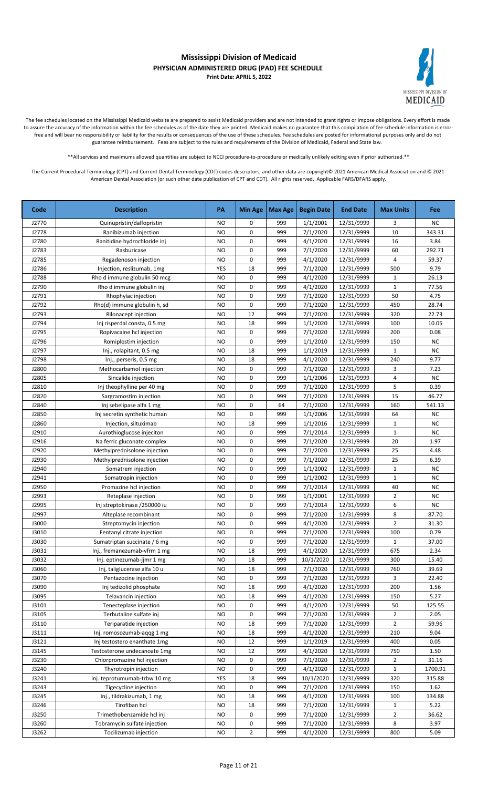

The fee schedules located on the Mississippi Medicaid website are prepared to assist Medicaid providers and are not intended to grant rights or impose obligations. Every effort is made to assure the accuracy of the information within the fee schedules as of the date they are printed. Medicaid makes no guarantee that this compilation of fee schedule information is errorfree and will bear no responsibility or liability for the results or consequences of the use of these schedules. Fee schedules are posted for informational purposes only and do not guarantee reimbursement. Fees are subject to the rules and requirements of the Division of Medicaid, Federal and State law.

\*\*All services and maximums allowed quantities are subject to NCCI procedure-to-procedure or medically unlikely editing even if prior authorized.\*\*

| Code  | <b>Description</b>           | PA        | Min Age        | Max Age | <b>Begin Date</b> | <b>End Date</b> | <b>Max Units</b> | <b>Fee</b> |
|-------|------------------------------|-----------|----------------|---------|-------------------|-----------------|------------------|------------|
| J2770 | Quinupristin/dalfopristin    | <b>NO</b> | 0              | 999     | 1/1/2001          | 12/31/9999      | 3                | NC.        |
| J2778 | Ranibizumab injection        | <b>NO</b> | 0              | 999     | 7/1/2020          | 12/31/9999      | 10               | 343.31     |
| J2780 | Ranitidine hydrochloride inj | <b>NO</b> | 0              | 999     | 4/1/2020          | 12/31/9999      | 16               | 3.84       |
| J2783 | Rasburicase                  | <b>NO</b> | 0              | 999     | 7/1/2020          | 12/31/9999      | 60               | 292.71     |
| J2785 | Regadenoson injection        | <b>NO</b> | 0              | 999     | 4/1/2020          | 12/31/9999      | 4                | 59.37      |
| J2786 | Injection, reslizumab, 1mg   | YES       | 18             | 999     | 7/1/2020          | 12/31/9999      | 500              | 9.79       |
| J2788 | Rho d immune globulin 50 mcg | <b>NO</b> | 0              | 999     | 4/1/2020          | 12/31/9999      | $\mathbf{1}$     | 26.13      |
| J2790 | Rho d immune globulin inj    | <b>NO</b> | 0              | 999     | 4/1/2020          | 12/31/9999      | $\mathbf{1}$     | 77.56      |
| J2791 | Rhophylac injection          | <b>NO</b> | 0              | 999     | 7/1/2020          | 12/31/9999      | 50               | 4.75       |
| J2792 | Rho(d) immune globulin h, sd | <b>NO</b> | 0              | 999     | 7/1/2020          | 12/31/9999      | 450              | 28.74      |
| J2793 | Rilonacept injection         | <b>NO</b> | 12             | 999     | 7/1/2020          | 12/31/9999      | 320              | 22.73      |
| J2794 | Inj risperdal consta, 0.5 mg | <b>NO</b> | 18             | 999     | 1/1/2020          | 12/31/9999      | 100              | 10.05      |
| J2795 | Ropivacaine hcl injection    | <b>NO</b> | 0              | 999     | 7/1/2020          | 12/31/9999      | 200              | 0.08       |
| J2796 | Romiplostim injection        | <b>NO</b> | 0              | 999     | 1/1/2010          | 12/31/9999      | 150              | <b>NC</b>  |
| J2797 | Inj., rolapitant, 0.5 mg     | <b>NO</b> | 18             | 999     | 1/1/2019          | 12/31/9999      | $\mathbf{1}$     | NC         |
| J2798 | Inj., perseris, 0.5 mg       | <b>NO</b> | 18             | 999     | 4/1/2020          | 12/31/9999      | 240              | 9.77       |
| J2800 | Methocarbamol injection      | <b>NO</b> | 0              | 999     | 7/1/2020          | 12/31/9999      | 3                | 7.23       |
| J2805 | Sincalide injection          | <b>NO</b> | 0              | 999     | 1/1/2006          | 12/31/9999      | 4                | <b>NC</b>  |
| J2810 | Inj theophylline per 40 mg   | NO        | 0              | 999     | 7/1/2020          | 12/31/9999      | 5                | 0.39       |
| J2820 | Sargramostim injection       | <b>NO</b> | 0              | 999     | 7/1/2020          | 12/31/9999      | 15               | 46.77      |
| J2840 | Inj sebelipase alfa 1 mg     | <b>NO</b> | 0              | 64      | 7/1/2020          | 12/31/9999      | 160              | 541.13     |
| J2850 | Inj secretin synthetic human | NO        | 0              | 999     | 1/1/2006          | 12/31/9999      | 64               | NC         |
| J2860 | Injection, siltuximab        | <b>NO</b> | 18             | 999     | 1/1/2016          | 12/31/9999      | 1                | NC         |
| J2910 | Aurothioglucose injeciton    | <b>NO</b> | 0              | 999     | 7/1/2014          | 12/31/9999      | $\mathbf{1}$     | NC         |
| J2916 | Na ferric gluconate complex  | <b>NO</b> | 0              | 999     | 7/1/2020          | 12/31/9999      | 20               | 1.97       |
| J2920 | Methylprednisolone injection | <b>NO</b> | 0              | 999     | 7/1/2020          | 12/31/9999      | 25               | 4.48       |
| J2930 | Methylprednisolone injection | <b>NO</b> | 0              | 999     | 7/1/2020          | 12/31/9999      | 25               | 6.39       |
| J2940 | Somatrem injection           | <b>NO</b> | 0              | 999     | 1/1/2002          | 12/31/9999      | $\mathbf{1}$     | NC.        |
| J2941 | Somatropin injection         | <b>NO</b> | 0              | 999     | 1/1/2002          | 12/31/9999      | $\mathbf{1}$     | <b>NC</b>  |
| J2950 | Promazine hcl injection      | <b>NO</b> | 0              | 999     | 7/1/2014          | 12/31/9999      | 40               | NC         |
| J2993 | Reteplase injection          | <b>NO</b> | 0              | 999     | 1/1/2001          | 12/31/9999      | $\overline{2}$   | <b>NC</b>  |
| J2995 | Inj streptokinase /250000 iu | <b>NO</b> | 0              | 999     | 7/1/2014          | 12/31/9999      | 6                | NC         |
| J2997 | Alteplase recombinant        | <b>NO</b> | 0              | 999     | 7/1/2020          | 12/31/9999      | 8                | 87.70      |
| J3000 | Streptomycin injection       | <b>NO</b> | 0              | 999     | 4/1/2020          | 12/31/9999      | $\overline{2}$   | 31.30      |
| J3010 | Fentanyl citrate injection   | <b>NO</b> | 0              | 999     | 7/1/2020          | 12/31/9999      | 100              | 0.79       |
| J3030 | Sumatriptan succinate / 6 mg | <b>NO</b> | 0              | 999     | 7/1/2020          | 12/31/9999      | $\mathbf{1}$     | 37.00      |
| J3031 | Inj., fremanezumab-vfrm 1 mg | <b>NO</b> | 18             | 999     | 4/1/2020          | 12/31/9999      | 675              | 2.34       |
| J3032 | Inj. eptinezumab-jjmr 1 mg   | <b>NO</b> | 18             | 999     | 10/1/2020         | 12/31/9999      | 300              | 15.40      |
| J3060 | Inj, taliglucerase alfa 10 u | NO        | 18             | 999     | 7/1/2020          | 12/31/9999      | 760              | 39.69      |
| J3070 | Pentazocine injection        | <b>NO</b> | 0              | 999     | 7/1/2020          | 12/31/9999      | 3                | 22.40      |
| J3090 | Inj tedizolid phosphate      | NO        | 18             | 999     | 4/1/2020          | 12/31/9999      | 200              | 1.56       |
| J3095 | Telavancin injection         | NO        | 18             | 999     | 4/1/2020          | 12/31/9999      | 150              | 5.27       |
| J3101 | Tenecteplase injection       | NO        | 0              | 999     | 4/1/2020          | 12/31/9999      | 50               | 125.55     |
| J3105 | Terbutaline sulfate inj      | NO        | 0              | 999     | 7/1/2020          | 12/31/9999      | 2                | 2.05       |
| J3110 | Teriparatide injection       | NO        | 18             | 999     | 7/1/2020          | 12/31/9999      | $\overline{2}$   | 59.96      |
| J3111 | Inj. romosozumab-aqqg 1 mg   | NO        | 18             | 999     | 4/1/2020          | 12/31/9999      | 210              | 9.04       |
| J3121 | Inj testostero enanthate 1mg | NO        | 12             | 999     | 1/1/2019          | 12/31/9999      | 400              | 0.05       |
| J3145 | Testosterone undecanoate 1mg | NO        | 12             | 999     | 4/1/2020          | 12/31/9999      | 750              | 1.50       |
| J3230 | Chlorpromazine hcl injection | <b>NO</b> | 0              | 999     | 7/1/2020          | 12/31/9999      | 2                | 31.16      |
| J3240 | Thyrotropin injection        | <b>NO</b> | 0              | 999     | 4/1/2020          | 12/31/9999      | $\mathbf{1}$     | 1700.91    |
| J3241 | Inj. teprotumumab-trbw 10 mg | YES       | 18             | 999     | 10/1/2020         | 12/31/9999      | 320              | 315.88     |
| J3243 | Tigecycline injection        | NO        | 0              | 999     | 7/1/2020          | 12/31/9999      | 150              | 1.62       |
| J3245 | Inj., tildrakizumab, 1 mg    | <b>NO</b> | 18             | 999     | 4/1/2020          | 12/31/9999      | 100              | 134.88     |
| J3246 | Tirofiban hcl                | NO        | 18             | 999     | 7/1/2020          | 12/31/9999      | $\mathbf{1}$     | 5.22       |
| J3250 | Trimethobenzamide hcl inj    | NO        | 0              | 999     | 7/1/2020          | 12/31/9999      | $\overline{2}$   | 36.62      |
| J3260 | Tobramycin sulfate injection | NO        | 0              | 999     | 7/1/2020          | 12/31/9999      | 8                | 3.97       |
| J3262 | Tocilizumab injection        | <b>NO</b> | $\overline{2}$ | 999     | 4/1/2020          | 12/31/9999      | 800              | 5.09       |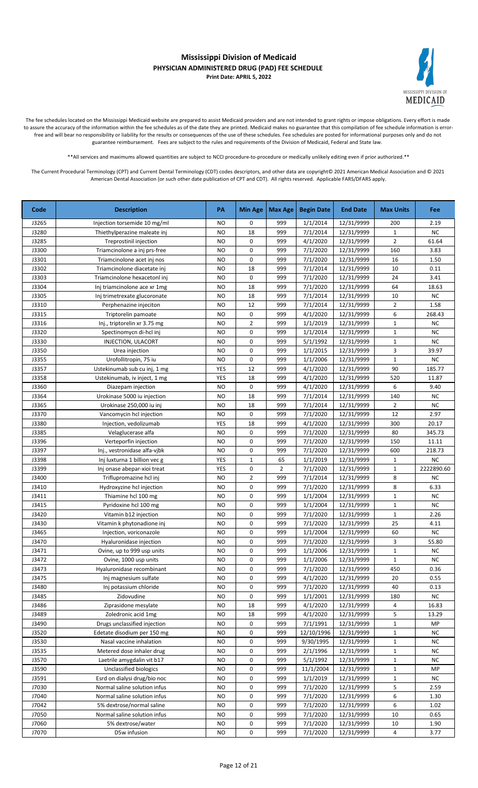

The fee schedules located on the Mississippi Medicaid website are prepared to assist Medicaid providers and are not intended to grant rights or impose obligations. Every effort is made to assure the accuracy of the information within the fee schedules as of the date they are printed. Medicaid makes no guarantee that this compilation of fee schedule information is errorfree and will bear no responsibility or liability for the results or consequences of the use of these schedules. Fee schedules are posted for informational purposes only and do not guarantee reimbursement. Fees are subject to the rules and requirements of the Division of Medicaid, Federal and State law.

\*\*All services and maximums allowed quantities are subject to NCCI procedure-to-procedure or medically unlikely editing even if prior authorized.\*\*

| Code  | <b>Description</b>            | PA        | <b>Min Age</b> | Max Age        | <b>Begin Date</b> | <b>End Date</b> | <b>Max Units</b> | Fee        |
|-------|-------------------------------|-----------|----------------|----------------|-------------------|-----------------|------------------|------------|
| J3265 | Injection torsemide 10 mg/ml  | NO        | 0              | 999            | 1/1/2014          | 12/31/9999      | 200              | 2.19       |
| J3280 | Thiethylperazine maleate inj  | <b>NO</b> | 18             | 999            | 7/1/2014          | 12/31/9999      | $\mathbf{1}$     | <b>NC</b>  |
| J3285 | <b>Treprostinil injection</b> | <b>NO</b> | 0              | 999            | 4/1/2020          | 12/31/9999      | $\overline{2}$   | 61.64      |
| J3300 | Triamcinolone a inj prs-free  | <b>NO</b> | 0              | 999            | 7/1/2020          | 12/31/9999      | 160              | 3.83       |
| J3301 | Triamcinolone acet inj nos    | <b>NO</b> | 0              | 999            | 7/1/2020          | 12/31/9999      | 16               | 1.50       |
| J3302 | Triamcinolone diacetate inj   | <b>NO</b> | 18             | 999            | 7/1/2014          | 12/31/9999      | 10               | 0.11       |
| J3303 | Triamcinolone hexacetonl inj  | <b>NO</b> | 0              | 999            | 7/1/2020          | 12/31/9999      | 24               | 3.41       |
| J3304 | Inj triamcinolone ace xr 1mg  | NO        | 18             | 999            | 7/1/2020          | 12/31/9999      | 64               | 18.63      |
| J3305 | Inj trimetrexate glucoronate  | NO        | 18             | 999            | 7/1/2014          | 12/31/9999      | 10               | <b>NC</b>  |
| J3310 | Perphenazine injeciton        | <b>NO</b> | 12             | 999            | 7/1/2014          | 12/31/9999      | $\overline{2}$   | 1.58       |
| J3315 | Triptorelin pamoate           | <b>NO</b> | 0              | 999            | 4/1/2020          | 12/31/9999      | 6                | 268.43     |
| J3316 | Inj., triptorelin xr 3.75 mg  | <b>NO</b> | $\overline{2}$ | 999            | 1/1/2019          | 12/31/9999      | $\mathbf{1}$     | <b>NC</b>  |
| J3320 | Spectinomycn di-hcl inj       | NO        | 0              | 999            | 1/1/2014          | 12/31/9999      | $\mathbf{1}$     | <b>NC</b>  |
| J3330 | INJECTION, ULACORT            | <b>NO</b> | 0              | 999            | 5/1/1992          | 12/31/9999      | $\mathbf{1}$     | <b>NC</b>  |
| J3350 | Urea injection                | NO        | 0              | 999            | 1/1/2015          | 12/31/9999      | 3                | 39.97      |
| J3355 | Urofollitropin, 75 iu         | NO        | 0              | 999            | 1/1/2006          | 12/31/9999      | $\mathbf{1}$     | <b>NC</b>  |
| J3357 | Ustekinumab sub cu inj, 1 mg  | YES       | 12             | 999            | 4/1/2020          | 12/31/9999      | 90               | 185.77     |
| J3358 | Ustekinumab, iv inject, 1 mg  | YES       | 18             | 999            | 4/1/2020          | 12/31/9999      | 520              | 11.87      |
| J3360 | Diazepam injection            | <b>NO</b> | 0              | 999            | 4/1/2020          | 12/31/9999      | 6                | 9.40       |
| J3364 | Urokinase 5000 iu injection   | <b>NO</b> | 18             | 999            | 7/1/2014          | 12/31/9999      | 140              | <b>NC</b>  |
| J3365 | Urokinase 250,000 iu inj      | <b>NO</b> | 18             | 999            | 7/1/2014          | 12/31/9999      | $\overline{2}$   | <b>NC</b>  |
| J3370 | Vancomycin hcl injection      | <b>NO</b> | 0              | 999            | 7/1/2020          | 12/31/9999      | 12               | 2.97       |
| J3380 | Injection, vedolizumab        | YES       | 18             | 999            | 4/1/2020          | 12/31/9999      | 300              | 20.17      |
| J3385 | Velaglucerase alfa            | <b>NO</b> | 0              | 999            | 7/1/2020          | 12/31/9999      | 80               | 345.73     |
| J3396 | Verteporfin injection         | NO        | 0              | 999            | 7/1/2020          | 12/31/9999      | 150              | 11.11      |
| J3397 | Inj., vestronidase alfa-vjbk  | NO        | 0              | 999            | 7/1/2020          | 12/31/9999      | 600              | 218.73     |
| J3398 | Inj luxturna 1 billion vec g  | YES       | $\mathbf 1$    | 65             | 1/1/2019          | 12/31/9999      | $\mathbf{1}$     | NC         |
| J3399 | Inj onase abepar-xioi treat   | YES       | 0              | $\overline{2}$ | 7/1/2020          | 12/31/9999      | $\mathbf{1}$     | 2222890.60 |
| J3400 | Triflupromazine hcl inj       | NO        | $\overline{2}$ | 999            | 7/1/2014          | 12/31/9999      | 8                | <b>NC</b>  |
| J3410 | Hydroxyzine hcl injection     | NO        | 0              | 999            | 7/1/2020          | 12/31/9999      | 8                | 6.33       |
| J3411 | Thiamine hcl 100 mg           | NO        | 0              | 999            | 1/1/2004          | 12/31/9999      | $\mathbf{1}$     | <b>NC</b>  |
| J3415 | Pyridoxine hcl 100 mg         | <b>NO</b> | 0              | 999            | 1/1/2004          | 12/31/9999      | $\mathbf{1}$     | <b>NC</b>  |
| J3420 | Vitamin b12 injection         | NO        | 0              | 999            | 7/1/2020          | 12/31/9999      | $\mathbf{1}$     | 2.26       |
| J3430 | Vitamin k phytonadione inj    | NO        | 0              | 999            | 7/1/2020          | 12/31/9999      | 25               | 4.11       |
| J3465 | Injection, voriconazole       | <b>NO</b> | 0              | 999            | 1/1/2004          | 12/31/9999      | 60               | NC         |
| J3470 | Hyaluronidase injection       | <b>NO</b> | 0              | 999            | 7/1/2020          | 12/31/9999      | 3                | 55.80      |
| J3471 | Ovine, up to 999 usp units    | <b>NO</b> | 0              | 999            | 1/1/2006          | 12/31/9999      | $\mathbf 1$      | <b>NC</b>  |
| J3472 | Ovine, 1000 usp units         | <b>NO</b> | 0              | 999            | 1/1/2006          | 12/31/9999      | $\mathbf{1}$     | NC.        |
| J3473 | Hyaluronidase recombinant     | <b>NO</b> | 0              | 999            | 7/1/2020          | 12/31/9999      | 450              | 0.36       |
| J3475 | Inj magnesium sulfate         | <b>NO</b> | 0              | 999            | 4/1/2020          | 12/31/9999      | 20               | 0.55       |
| J3480 | Inj potassium chloride        | NO        | 0              | 999            | 7/1/2020          | 12/31/9999      | 40               | 0.13       |
| J3485 | Zidovudine                    | NO        | 0              | 999            | 1/1/2001          | 12/31/9999      | 180              | NC         |
| J3486 | Ziprasidone mesylate          | NO        | 18             | 999            | 4/1/2020          | 12/31/9999      | 4                | 16.83      |
| J3489 | Zoledronic acid 1mg           | <b>NO</b> | 18             | 999            | 4/1/2020          | 12/31/9999      | 5                | 13.29      |
| J3490 | Drugs unclassified injection  | NO        | 0              | 999            | 7/1/1991          | 12/31/9999      | $\mathbf{1}$     | MP         |
| J3520 | Edetate disodium per 150 mg   | NO        | 0              | 999            | 12/10/1996        | 12/31/9999      | $\mathbf{1}$     | NC         |
| J3530 | Nasal vaccine inhalation      | NO        | 0              | 999            | 9/30/1995         | 12/31/9999      | $\mathbf{1}$     | <b>NC</b>  |
| J3535 | Metered dose inhaler drug     | NO        | 0              | 999            | 2/1/1996          | 12/31/9999      | $\mathbf{1}$     | <b>NC</b>  |
| J3570 | Laetrile amygdalin vit b17    | NO        | 0              | 999            | 5/1/1992          | 12/31/9999      | $\mathbf{1}$     | <b>NC</b>  |
| J3590 | Unclassified biologics        | NO        | 0              | 999            | 11/1/2004         | 12/31/9999      | $\mathbf{1}$     | MP         |
| J3591 | Esrd on dialysi drug/bio noc  | NO        | 0              | 999            | 1/1/2019          | 12/31/9999      | $\mathbf{1}$     | <b>NC</b>  |
| J7030 | Normal saline solution infus  | <b>NO</b> | 0              | 999            | 7/1/2020          | 12/31/9999      | 5                | 2.59       |
| J7040 | Normal saline solution infus  | <b>NO</b> | 0              | 999            | 7/1/2020          | 12/31/9999      | 6                | 1.30       |
| J7042 | 5% dextrose/normal saline     | <b>NO</b> | 0              | 999            | 7/1/2020          | 12/31/9999      | 6                | 1.02       |
| J7050 | Normal saline solution infus  | NO        | 0              | 999            | 7/1/2020          | 12/31/9999      | 10               | 0.65       |
| J7060 | 5% dextrose/water             | <b>NO</b> | 0              | 999            | 7/1/2020          | 12/31/9999      | 10               | 1.90       |
| J7070 | D5w infusion                  | <b>NO</b> | 0              | 999            | 7/1/2020          | 12/31/9999      | 4                | 3.77       |
|       |                               |           |                |                |                   |                 |                  |            |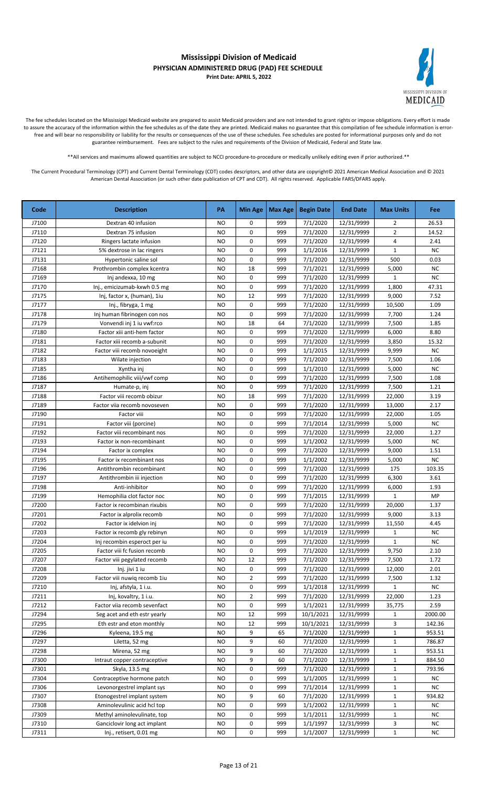

The fee schedules located on the Mississippi Medicaid website are prepared to assist Medicaid providers and are not intended to grant rights or impose obligations. Every effort is made to assure the accuracy of the information within the fee schedules as of the date they are printed. Medicaid makes no guarantee that this compilation of fee schedule information is errorfree and will bear no responsibility or liability for the results or consequences of the use of these schedules. Fee schedules are posted for informational purposes only and do not guarantee reimbursement. Fees are subject to the rules and requirements of the Division of Medicaid, Federal and State law.

\*\*All services and maximums allowed quantities are subject to NCCI procedure-to-procedure or medically unlikely editing even if prior authorized.\*\*

| J7100<br><b>NO</b><br>999<br>7/1/2020<br>12/31/9999<br>Dextran 40 infusion<br>0<br>2<br>999<br>7/1/2020<br>J7110<br>Dextran 75 infusion<br><b>NO</b><br>0<br>12/31/9999<br>2<br>0<br>999<br>7/1/2020<br>J7120<br><b>NO</b><br>12/31/9999<br>4<br>Ringers lactate infusion<br>0<br>999<br>J7121<br><b>NO</b><br>1/1/2016<br>12/31/9999<br>$\mathbf{1}$<br>5% dextrose in lac ringers<br>0<br>999<br>500<br>J7131<br><b>NO</b><br>7/1/2020<br>12/31/9999<br>Hypertonic saline sol<br>J7168<br><b>NO</b><br>18<br>999<br>7/1/2021<br>12/31/9999<br>5,000<br>Prothrombin complex kcentra<br>0<br>J7169<br><b>NO</b><br>999<br>7/1/2020<br>12/31/9999<br>$\mathbf{1}$<br>Inj andexxa, 10 mg<br>0<br>7/1/2020<br>J7170<br>999<br>12/31/9999<br>1,800<br>Inj., emicizumab-kxwh 0.5 mg<br>NO<br>7/1/2020<br>J7175<br>Inj, factor x, (human), 1iu<br><b>NO</b><br>12<br>999<br>12/31/9999<br>9,000<br>7/1/2020<br>J7177<br><b>NO</b><br>0<br>999<br>12/31/9999<br>10,500<br>Inj., fibryga, 1 mg<br>0<br>999<br>7/1/2020<br>7,700<br>J7178<br><b>NO</b><br>12/31/9999<br>Inj human fibrinogen con nos<br>J7179<br><b>NO</b><br>18<br>64<br>7/1/2020<br>12/31/9999<br>7,500<br>Vonvendi inj 1 iu vwf:rco<br>J7180<br>Factor xiii anti-hem factor<br><b>NO</b><br>0<br>999<br>7/1/2020<br>12/31/9999<br>6,000<br>J7181<br>Factor xiii recomb a-subunit<br><b>NO</b><br>0<br>999<br>7/1/2020<br>12/31/9999<br>3,850<br>0<br>J7182<br>Factor viii recomb novoeight<br>999<br>1/1/2015<br>NO<br>12/31/9999<br>9,999<br>0<br>J7183<br>999<br>7/1/2020<br>7,500<br>Wilate injection<br><b>NO</b><br>12/31/9999<br>J7185<br>0<br>999<br>1/1/2010<br>12/31/9999<br>5,000<br>Xyntha inj<br><b>NO</b><br>J7186<br>Antihemophilic viii/vwf comp<br><b>NO</b><br>0<br>999<br>7/1/2020<br>12/31/9999<br>7,500<br>0<br>J7187<br><b>NO</b><br>999<br>7/1/2020<br>12/31/9999<br>7,500<br>Humate-p, inj<br>J7188<br>18<br>999<br>7/1/2020<br>Factor viii recomb obizur<br><b>NO</b><br>12/31/9999<br>22,000 | Fee               |
|---------------------------------------------------------------------------------------------------------------------------------------------------------------------------------------------------------------------------------------------------------------------------------------------------------------------------------------------------------------------------------------------------------------------------------------------------------------------------------------------------------------------------------------------------------------------------------------------------------------------------------------------------------------------------------------------------------------------------------------------------------------------------------------------------------------------------------------------------------------------------------------------------------------------------------------------------------------------------------------------------------------------------------------------------------------------------------------------------------------------------------------------------------------------------------------------------------------------------------------------------------------------------------------------------------------------------------------------------------------------------------------------------------------------------------------------------------------------------------------------------------------------------------------------------------------------------------------------------------------------------------------------------------------------------------------------------------------------------------------------------------------------------------------------------------------------------------------------------------------------------------------------------------------------------------------------------------------------------------|-------------------|
|                                                                                                                                                                                                                                                                                                                                                                                                                                                                                                                                                                                                                                                                                                                                                                                                                                                                                                                                                                                                                                                                                                                                                                                                                                                                                                                                                                                                                                                                                                                                                                                                                                                                                                                                                                                                                                                                                                                                                                                 | 26.53             |
|                                                                                                                                                                                                                                                                                                                                                                                                                                                                                                                                                                                                                                                                                                                                                                                                                                                                                                                                                                                                                                                                                                                                                                                                                                                                                                                                                                                                                                                                                                                                                                                                                                                                                                                                                                                                                                                                                                                                                                                 | 14.52             |
|                                                                                                                                                                                                                                                                                                                                                                                                                                                                                                                                                                                                                                                                                                                                                                                                                                                                                                                                                                                                                                                                                                                                                                                                                                                                                                                                                                                                                                                                                                                                                                                                                                                                                                                                                                                                                                                                                                                                                                                 | 2.41              |
|                                                                                                                                                                                                                                                                                                                                                                                                                                                                                                                                                                                                                                                                                                                                                                                                                                                                                                                                                                                                                                                                                                                                                                                                                                                                                                                                                                                                                                                                                                                                                                                                                                                                                                                                                                                                                                                                                                                                                                                 | <b>NC</b>         |
|                                                                                                                                                                                                                                                                                                                                                                                                                                                                                                                                                                                                                                                                                                                                                                                                                                                                                                                                                                                                                                                                                                                                                                                                                                                                                                                                                                                                                                                                                                                                                                                                                                                                                                                                                                                                                                                                                                                                                                                 | 0.03              |
|                                                                                                                                                                                                                                                                                                                                                                                                                                                                                                                                                                                                                                                                                                                                                                                                                                                                                                                                                                                                                                                                                                                                                                                                                                                                                                                                                                                                                                                                                                                                                                                                                                                                                                                                                                                                                                                                                                                                                                                 | <b>NC</b>         |
|                                                                                                                                                                                                                                                                                                                                                                                                                                                                                                                                                                                                                                                                                                                                                                                                                                                                                                                                                                                                                                                                                                                                                                                                                                                                                                                                                                                                                                                                                                                                                                                                                                                                                                                                                                                                                                                                                                                                                                                 | NC                |
|                                                                                                                                                                                                                                                                                                                                                                                                                                                                                                                                                                                                                                                                                                                                                                                                                                                                                                                                                                                                                                                                                                                                                                                                                                                                                                                                                                                                                                                                                                                                                                                                                                                                                                                                                                                                                                                                                                                                                                                 | 47.31             |
|                                                                                                                                                                                                                                                                                                                                                                                                                                                                                                                                                                                                                                                                                                                                                                                                                                                                                                                                                                                                                                                                                                                                                                                                                                                                                                                                                                                                                                                                                                                                                                                                                                                                                                                                                                                                                                                                                                                                                                                 | 7.52              |
|                                                                                                                                                                                                                                                                                                                                                                                                                                                                                                                                                                                                                                                                                                                                                                                                                                                                                                                                                                                                                                                                                                                                                                                                                                                                                                                                                                                                                                                                                                                                                                                                                                                                                                                                                                                                                                                                                                                                                                                 | 1.09              |
|                                                                                                                                                                                                                                                                                                                                                                                                                                                                                                                                                                                                                                                                                                                                                                                                                                                                                                                                                                                                                                                                                                                                                                                                                                                                                                                                                                                                                                                                                                                                                                                                                                                                                                                                                                                                                                                                                                                                                                                 | 1.24              |
|                                                                                                                                                                                                                                                                                                                                                                                                                                                                                                                                                                                                                                                                                                                                                                                                                                                                                                                                                                                                                                                                                                                                                                                                                                                                                                                                                                                                                                                                                                                                                                                                                                                                                                                                                                                                                                                                                                                                                                                 | 1.85              |
|                                                                                                                                                                                                                                                                                                                                                                                                                                                                                                                                                                                                                                                                                                                                                                                                                                                                                                                                                                                                                                                                                                                                                                                                                                                                                                                                                                                                                                                                                                                                                                                                                                                                                                                                                                                                                                                                                                                                                                                 | 8.80              |
|                                                                                                                                                                                                                                                                                                                                                                                                                                                                                                                                                                                                                                                                                                                                                                                                                                                                                                                                                                                                                                                                                                                                                                                                                                                                                                                                                                                                                                                                                                                                                                                                                                                                                                                                                                                                                                                                                                                                                                                 | 15.32             |
|                                                                                                                                                                                                                                                                                                                                                                                                                                                                                                                                                                                                                                                                                                                                                                                                                                                                                                                                                                                                                                                                                                                                                                                                                                                                                                                                                                                                                                                                                                                                                                                                                                                                                                                                                                                                                                                                                                                                                                                 | <b>NC</b>         |
|                                                                                                                                                                                                                                                                                                                                                                                                                                                                                                                                                                                                                                                                                                                                                                                                                                                                                                                                                                                                                                                                                                                                                                                                                                                                                                                                                                                                                                                                                                                                                                                                                                                                                                                                                                                                                                                                                                                                                                                 | 1.06              |
|                                                                                                                                                                                                                                                                                                                                                                                                                                                                                                                                                                                                                                                                                                                                                                                                                                                                                                                                                                                                                                                                                                                                                                                                                                                                                                                                                                                                                                                                                                                                                                                                                                                                                                                                                                                                                                                                                                                                                                                 | <b>NC</b>         |
|                                                                                                                                                                                                                                                                                                                                                                                                                                                                                                                                                                                                                                                                                                                                                                                                                                                                                                                                                                                                                                                                                                                                                                                                                                                                                                                                                                                                                                                                                                                                                                                                                                                                                                                                                                                                                                                                                                                                                                                 | 1.08              |
|                                                                                                                                                                                                                                                                                                                                                                                                                                                                                                                                                                                                                                                                                                                                                                                                                                                                                                                                                                                                                                                                                                                                                                                                                                                                                                                                                                                                                                                                                                                                                                                                                                                                                                                                                                                                                                                                                                                                                                                 | 1.21              |
|                                                                                                                                                                                                                                                                                                                                                                                                                                                                                                                                                                                                                                                                                                                                                                                                                                                                                                                                                                                                                                                                                                                                                                                                                                                                                                                                                                                                                                                                                                                                                                                                                                                                                                                                                                                                                                                                                                                                                                                 | 3.19              |
| J7189<br><b>NO</b><br>0<br>999<br>7/1/2020<br>12/31/9999<br>13,000<br>Factor viia recomb novoseven                                                                                                                                                                                                                                                                                                                                                                                                                                                                                                                                                                                                                                                                                                                                                                                                                                                                                                                                                                                                                                                                                                                                                                                                                                                                                                                                                                                                                                                                                                                                                                                                                                                                                                                                                                                                                                                                              | 2.17              |
| 0<br>J7190<br>Factor viii<br><b>NO</b><br>999<br>7/1/2020<br>12/31/9999<br>22,000                                                                                                                                                                                                                                                                                                                                                                                                                                                                                                                                                                                                                                                                                                                                                                                                                                                                                                                                                                                                                                                                                                                                                                                                                                                                                                                                                                                                                                                                                                                                                                                                                                                                                                                                                                                                                                                                                               | 1.05              |
| J7191<br><b>NO</b><br>0<br>999<br>7/1/2014<br>12/31/9999<br>5,000<br>Factor viii (porcine)                                                                                                                                                                                                                                                                                                                                                                                                                                                                                                                                                                                                                                                                                                                                                                                                                                                                                                                                                                                                                                                                                                                                                                                                                                                                                                                                                                                                                                                                                                                                                                                                                                                                                                                                                                                                                                                                                      | <b>NC</b>         |
| 0<br>J7192<br><b>NO</b><br>999<br>7/1/2020<br>12/31/9999<br>Factor viii recombinant nos<br>22,000                                                                                                                                                                                                                                                                                                                                                                                                                                                                                                                                                                                                                                                                                                                                                                                                                                                                                                                                                                                                                                                                                                                                                                                                                                                                                                                                                                                                                                                                                                                                                                                                                                                                                                                                                                                                                                                                               | 1.27              |
| 0<br>J7193<br>999<br>1/1/2002<br>12/31/9999<br>5,000<br>Factor ix non-recombinant<br>NO                                                                                                                                                                                                                                                                                                                                                                                                                                                                                                                                                                                                                                                                                                                                                                                                                                                                                                                                                                                                                                                                                                                                                                                                                                                                                                                                                                                                                                                                                                                                                                                                                                                                                                                                                                                                                                                                                         | <b>NC</b>         |
| 7/1/2020<br>J7194<br><b>NO</b><br>0<br>999<br>12/31/9999<br>9,000<br>Factor ix complex                                                                                                                                                                                                                                                                                                                                                                                                                                                                                                                                                                                                                                                                                                                                                                                                                                                                                                                                                                                                                                                                                                                                                                                                                                                                                                                                                                                                                                                                                                                                                                                                                                                                                                                                                                                                                                                                                          | 1.51              |
| 1/1/2002<br>J7195<br>Factor ix recombinant nos<br><b>NO</b><br>0<br>999<br>12/31/9999<br>5,000                                                                                                                                                                                                                                                                                                                                                                                                                                                                                                                                                                                                                                                                                                                                                                                                                                                                                                                                                                                                                                                                                                                                                                                                                                                                                                                                                                                                                                                                                                                                                                                                                                                                                                                                                                                                                                                                                  | <b>NC</b>         |
| J7196<br>0<br>999<br>7/1/2020<br>Antithrombin recombinant<br><b>NO</b><br>12/31/9999<br>175                                                                                                                                                                                                                                                                                                                                                                                                                                                                                                                                                                                                                                                                                                                                                                                                                                                                                                                                                                                                                                                                                                                                                                                                                                                                                                                                                                                                                                                                                                                                                                                                                                                                                                                                                                                                                                                                                     | 103.35            |
| J7197<br>0<br>999<br>7/1/2020<br>12/31/9999<br>6,300<br>Antithrombin iii injection<br>NO                                                                                                                                                                                                                                                                                                                                                                                                                                                                                                                                                                                                                                                                                                                                                                                                                                                                                                                                                                                                                                                                                                                                                                                                                                                                                                                                                                                                                                                                                                                                                                                                                                                                                                                                                                                                                                                                                        | 3.61              |
| J7198<br>Anti-inhibitor<br><b>NO</b><br>0<br>999<br>7/1/2020<br>12/31/9999<br>6,000                                                                                                                                                                                                                                                                                                                                                                                                                                                                                                                                                                                                                                                                                                                                                                                                                                                                                                                                                                                                                                                                                                                                                                                                                                                                                                                                                                                                                                                                                                                                                                                                                                                                                                                                                                                                                                                                                             | 1.93              |
| J7199<br>Hemophilia clot factor noc<br>0<br>999<br>7/1/2015<br>12/31/9999<br>$\mathbf{1}$<br>NO                                                                                                                                                                                                                                                                                                                                                                                                                                                                                                                                                                                                                                                                                                                                                                                                                                                                                                                                                                                                                                                                                                                                                                                                                                                                                                                                                                                                                                                                                                                                                                                                                                                                                                                                                                                                                                                                                 | MP                |
| 0<br>J7200<br>7/1/2020<br>Factor ix recombinan rixubis<br>NO<br>999<br>12/31/9999<br>20,000                                                                                                                                                                                                                                                                                                                                                                                                                                                                                                                                                                                                                                                                                                                                                                                                                                                                                                                                                                                                                                                                                                                                                                                                                                                                                                                                                                                                                                                                                                                                                                                                                                                                                                                                                                                                                                                                                     | 1.37              |
| 0<br>J7201<br>999<br>7/1/2020<br>12/31/9999<br>9,000<br>Factor ix alprolix recomb<br><b>NO</b><br>12/31/9999                                                                                                                                                                                                                                                                                                                                                                                                                                                                                                                                                                                                                                                                                                                                                                                                                                                                                                                                                                                                                                                                                                                                                                                                                                                                                                                                                                                                                                                                                                                                                                                                                                                                                                                                                                                                                                                                    | 3.13              |
| J7202<br><b>NO</b><br>0<br>999<br>7/1/2020<br>Factor ix idelvion inj<br>11,550<br>J7203<br>0<br>999<br>1/1/2019<br><b>NO</b>                                                                                                                                                                                                                                                                                                                                                                                                                                                                                                                                                                                                                                                                                                                                                                                                                                                                                                                                                                                                                                                                                                                                                                                                                                                                                                                                                                                                                                                                                                                                                                                                                                                                                                                                                                                                                                                    | 4.45<br><b>NC</b> |
| 12/31/9999<br>Factor ix recomb gly rebinyn<br>$\mathbf{1}$<br>0<br>$\mathbf{1}$<br>J7204<br><b>NO</b><br>999<br>7/1/2020<br>12/31/9999                                                                                                                                                                                                                                                                                                                                                                                                                                                                                                                                                                                                                                                                                                                                                                                                                                                                                                                                                                                                                                                                                                                                                                                                                                                                                                                                                                                                                                                                                                                                                                                                                                                                                                                                                                                                                                          | <b>NC</b>         |
| Inj recombin esperoct per iu<br>J7205<br><b>NO</b><br>7/1/2020<br>9,750<br>0<br>999<br>12/31/9999<br>Factor viii fc fusion recomb                                                                                                                                                                                                                                                                                                                                                                                                                                                                                                                                                                                                                                                                                                                                                                                                                                                                                                                                                                                                                                                                                                                                                                                                                                                                                                                                                                                                                                                                                                                                                                                                                                                                                                                                                                                                                                               | 2.10              |
| J7207<br><b>NO</b><br>12<br>999<br>7/1/2020<br>12/31/9999<br>7,500<br>Factor viii pegylated recomb                                                                                                                                                                                                                                                                                                                                                                                                                                                                                                                                                                                                                                                                                                                                                                                                                                                                                                                                                                                                                                                                                                                                                                                                                                                                                                                                                                                                                                                                                                                                                                                                                                                                                                                                                                                                                                                                              | 1.72              |
| J7208<br>Inj. jivi 1 iu<br>0<br>999<br>7/1/2020<br>12/31/9999<br>NO<br>12,000                                                                                                                                                                                                                                                                                                                                                                                                                                                                                                                                                                                                                                                                                                                                                                                                                                                                                                                                                                                                                                                                                                                                                                                                                                                                                                                                                                                                                                                                                                                                                                                                                                                                                                                                                                                                                                                                                                   | 2.01              |
| J7209<br>2<br>999<br>7/1/2020<br>12/31/9999<br>Factor viii nuwig recomb 1iu<br>NO<br>7,500                                                                                                                                                                                                                                                                                                                                                                                                                                                                                                                                                                                                                                                                                                                                                                                                                                                                                                                                                                                                                                                                                                                                                                                                                                                                                                                                                                                                                                                                                                                                                                                                                                                                                                                                                                                                                                                                                      | 1.32              |
| 0<br>1/1/2018<br>J7210<br>999<br>12/31/9999<br>$\mathbf{1}$<br>Inj, afstyla, 1 i.u.<br>NO                                                                                                                                                                                                                                                                                                                                                                                                                                                                                                                                                                                                                                                                                                                                                                                                                                                                                                                                                                                                                                                                                                                                                                                                                                                                                                                                                                                                                                                                                                                                                                                                                                                                                                                                                                                                                                                                                       | <b>NC</b>         |
| $\overline{2}$<br>7/1/2020<br>12/31/9999<br>J7211<br>Inj, kovaltry, 1 i.u.<br>999<br>22,000<br>NO                                                                                                                                                                                                                                                                                                                                                                                                                                                                                                                                                                                                                                                                                                                                                                                                                                                                                                                                                                                                                                                                                                                                                                                                                                                                                                                                                                                                                                                                                                                                                                                                                                                                                                                                                                                                                                                                               | 1.23              |
| Factor viia recomb sevenfact<br>1/1/2021<br>J7212<br><b>NO</b><br>0<br>999<br>12/31/9999<br>35,775                                                                                                                                                                                                                                                                                                                                                                                                                                                                                                                                                                                                                                                                                                                                                                                                                                                                                                                                                                                                                                                                                                                                                                                                                                                                                                                                                                                                                                                                                                                                                                                                                                                                                                                                                                                                                                                                              | 2.59              |
| 10/1/2021<br>J7294<br>Seg acet and eth estr yearly<br>12<br>999<br>12/31/9999<br>NO<br>$\mathbf{1}$                                                                                                                                                                                                                                                                                                                                                                                                                                                                                                                                                                                                                                                                                                                                                                                                                                                                                                                                                                                                                                                                                                                                                                                                                                                                                                                                                                                                                                                                                                                                                                                                                                                                                                                                                                                                                                                                             | 2000.00           |
| J7295<br>Eth estr and eton monthly<br>12<br>999<br>10/1/2021<br>12/31/9999<br>3<br>NO                                                                                                                                                                                                                                                                                                                                                                                                                                                                                                                                                                                                                                                                                                                                                                                                                                                                                                                                                                                                                                                                                                                                                                                                                                                                                                                                                                                                                                                                                                                                                                                                                                                                                                                                                                                                                                                                                           | 142.36            |
| J7296<br>Kyleena, 19.5 mg<br>7/1/2020<br>12/31/9999<br>NO<br>9<br>65<br>$\mathbf{1}$                                                                                                                                                                                                                                                                                                                                                                                                                                                                                                                                                                                                                                                                                                                                                                                                                                                                                                                                                                                                                                                                                                                                                                                                                                                                                                                                                                                                                                                                                                                                                                                                                                                                                                                                                                                                                                                                                            | 953.51            |
| J7297<br>Liletta, 52 mg<br>9<br>60<br>7/1/2020<br>12/31/9999<br>NO<br>$\mathbf{1}$                                                                                                                                                                                                                                                                                                                                                                                                                                                                                                                                                                                                                                                                                                                                                                                                                                                                                                                                                                                                                                                                                                                                                                                                                                                                                                                                                                                                                                                                                                                                                                                                                                                                                                                                                                                                                                                                                              | 786.87            |
| J7298<br>Mirena, 52 mg<br>9<br>7/1/2020<br>12/31/9999<br>NO<br>60<br>$\mathbf{1}$                                                                                                                                                                                                                                                                                                                                                                                                                                                                                                                                                                                                                                                                                                                                                                                                                                                                                                                                                                                                                                                                                                                                                                                                                                                                                                                                                                                                                                                                                                                                                                                                                                                                                                                                                                                                                                                                                               | 953.51            |
| 9<br>60<br>7/1/2020<br>J7300<br>Intraut copper contraceptive<br>NO<br>12/31/9999<br>$\mathbf{1}$                                                                                                                                                                                                                                                                                                                                                                                                                                                                                                                                                                                                                                                                                                                                                                                                                                                                                                                                                                                                                                                                                                                                                                                                                                                                                                                                                                                                                                                                                                                                                                                                                                                                                                                                                                                                                                                                                | 884.50            |
| J7301<br>0<br>999<br>7/1/2020<br>Skyla, 13.5 mg<br>NO<br>12/31/9999<br>$\mathbf{1}$                                                                                                                                                                                                                                                                                                                                                                                                                                                                                                                                                                                                                                                                                                                                                                                                                                                                                                                                                                                                                                                                                                                                                                                                                                                                                                                                                                                                                                                                                                                                                                                                                                                                                                                                                                                                                                                                                             | 793.96            |
| J7304<br>Contraceptive hormone patch<br>0<br>999<br>1/1/2005<br>12/31/9999<br>$\mathbf{1}$<br><b>NO</b>                                                                                                                                                                                                                                                                                                                                                                                                                                                                                                                                                                                                                                                                                                                                                                                                                                                                                                                                                                                                                                                                                                                                                                                                                                                                                                                                                                                                                                                                                                                                                                                                                                                                                                                                                                                                                                                                         | <b>NC</b>         |
| J7306<br>7/1/2014<br>Levonorgestrel implant sys<br>0<br>999<br>12/31/9999<br><b>NO</b><br>$\mathbf{1}$                                                                                                                                                                                                                                                                                                                                                                                                                                                                                                                                                                                                                                                                                                                                                                                                                                                                                                                                                                                                                                                                                                                                                                                                                                                                                                                                                                                                                                                                                                                                                                                                                                                                                                                                                                                                                                                                          | <b>NC</b>         |
| J7307<br>9<br>60<br>7/1/2020<br>Etonogestrel implant system<br><b>NO</b><br>12/31/9999<br>$\mathbf{1}$                                                                                                                                                                                                                                                                                                                                                                                                                                                                                                                                                                                                                                                                                                                                                                                                                                                                                                                                                                                                                                                                                                                                                                                                                                                                                                                                                                                                                                                                                                                                                                                                                                                                                                                                                                                                                                                                          | 934.82            |
| J7308<br>Aminolevulinic acid hcl top<br>0<br>999<br>1/1/2002<br>12/31/9999<br>$\mathbf{1}$<br>NO                                                                                                                                                                                                                                                                                                                                                                                                                                                                                                                                                                                                                                                                                                                                                                                                                                                                                                                                                                                                                                                                                                                                                                                                                                                                                                                                                                                                                                                                                                                                                                                                                                                                                                                                                                                                                                                                                | <b>NC</b>         |
| J7309<br>999<br>1/1/2011<br>$\mathbf 1$<br>Methyl aminolevulinate, top<br><b>NO</b><br>0<br>12/31/9999                                                                                                                                                                                                                                                                                                                                                                                                                                                                                                                                                                                                                                                                                                                                                                                                                                                                                                                                                                                                                                                                                                                                                                                                                                                                                                                                                                                                                                                                                                                                                                                                                                                                                                                                                                                                                                                                          | <b>NC</b>         |
| 3<br>J7310<br>Ganciclovir long act implant<br><b>NO</b><br>0<br>999<br>1/1/1997<br>12/31/9999                                                                                                                                                                                                                                                                                                                                                                                                                                                                                                                                                                                                                                                                                                                                                                                                                                                                                                                                                                                                                                                                                                                                                                                                                                                                                                                                                                                                                                                                                                                                                                                                                                                                                                                                                                                                                                                                                   | <b>NC</b>         |
| 0<br>$\mathbf{1}$<br>J7311<br>999<br>1/1/2007<br>12/31/9999<br>Inj., retisert, 0.01 mg<br>NO.                                                                                                                                                                                                                                                                                                                                                                                                                                                                                                                                                                                                                                                                                                                                                                                                                                                                                                                                                                                                                                                                                                                                                                                                                                                                                                                                                                                                                                                                                                                                                                                                                                                                                                                                                                                                                                                                                   | <b>NC</b>         |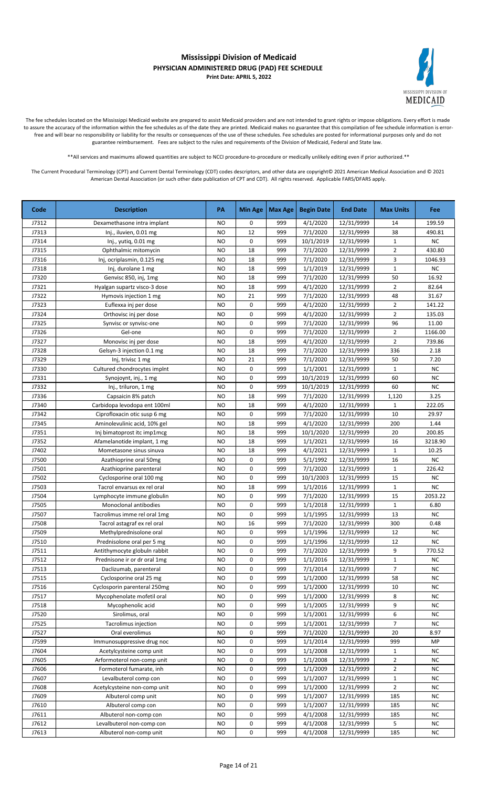

The fee schedules located on the Mississippi Medicaid website are prepared to assist Medicaid providers and are not intended to grant rights or impose obligations. Every effort is made to assure the accuracy of the information within the fee schedules as of the date they are printed. Medicaid makes no guarantee that this compilation of fee schedule information is errorfree and will bear no responsibility or liability for the results or consequences of the use of these schedules. Fee schedules are posted for informational purposes only and do not guarantee reimbursement. Fees are subject to the rules and requirements of the Division of Medicaid, Federal and State law.

\*\*All services and maximums allowed quantities are subject to NCCI procedure-to-procedure or medically unlikely editing even if prior authorized.\*\*

| J7312<br><b>NO</b><br>0<br>999<br>4/1/2020<br>12/31/9999<br>199.59<br>Dexamethasone intra implant<br>14<br>12<br>999<br>7/1/2020<br>38<br>J7313<br><b>NO</b><br>12/31/9999<br>490.81<br>Inj., iluvien, 0.01 mg<br>0<br><b>NC</b><br>J7314<br><b>NO</b><br>999<br>10/1/2019<br>$\mathbf{1}$<br>Inj., yutiq, 0.01 mg<br>12/31/9999<br>18<br>999<br>$\overline{2}$<br>J7315<br><b>NO</b><br>7/1/2020<br>12/31/9999<br>430.80<br>Ophthalmic mitomycin<br>3<br>J7316<br><b>NO</b><br>18<br>999<br>7/1/2020<br>12/31/9999<br>1046.93<br>Inj, ocriplasmin, 0.125 mg<br>$\mathbf{1}$<br><b>NO</b><br>18<br>999<br>1/1/2019<br>12/31/9999<br>NC.<br>J7318<br>Inj, durolane 1 mg<br>16.92<br>J7320<br><b>NO</b><br>18<br>999<br>7/1/2020<br>12/31/9999<br>50<br>Genvisc 850, inj, 1mg<br>$\overline{2}$<br>J7321<br>NO<br>18<br>999<br>4/1/2020<br>12/31/9999<br>82.64<br>Hyalgan supartz visco-3 dose<br>J7322<br>NO<br>21<br>999<br>7/1/2020<br>12/31/9999<br>48<br>31.67<br>Hymovis injection 1 mg<br>0<br>$\overline{2}$<br>141.22<br>J7323<br>Euflexxa inj per dose<br>NO<br>999<br>4/1/2020<br>12/31/9999<br>J7324<br>0<br>999<br>4/1/2020<br>$\overline{2}$<br>135.03<br>Orthovisc inj per dose<br>NO<br>12/31/9999<br>J7325<br>NO<br>0<br>999<br>7/1/2020<br>12/31/9999<br>96<br>11.00<br>Synvisc or synvisc-one<br>J7326<br>Gel-one<br>0<br>999<br>7/1/2020<br>12/31/9999<br>$\overline{2}$<br>1166.00<br>NO<br>$\overline{2}$<br>18<br>J7327<br>Monovisc inj per dose<br><b>NO</b><br>999<br>4/1/2020<br>12/31/9999<br>739.86<br>J7328<br>18<br>336<br>2.18<br>Gelsyn-3 injection 0.1 mg<br><b>NO</b><br>999<br>7/1/2020<br>12/31/9999<br>21<br>J7329<br><b>NO</b><br>999<br>7/1/2020<br>12/31/9999<br>50<br>7.20<br>Inj, trivisc 1 mg<br>J7330<br>Cultured chondrocytes implnt<br><b>NO</b><br>0<br>999<br>1/1/2001<br>12/31/9999<br>$\mathbf{1}$<br><b>NC</b><br>0<br>60<br><b>NC</b><br>J7331<br><b>NO</b><br>999<br>10/1/2019<br>Synojoynt, inj., 1 mg<br>12/31/9999<br>NC<br>0<br>999<br>60<br>J7332<br><b>NO</b><br>10/1/2019<br>12/31/9999<br>Inj., triluron, 1 mg<br>J7336<br>18<br>999<br>1,120<br>3.25<br>Capsaicin 8% patch<br><b>NO</b><br>7/1/2020<br>12/31/9999<br>J7340<br><b>NO</b><br>18<br>999<br>4/1/2020<br>$\mathbf{1}$<br>222.05<br>Carbidopa levodopa ent 100ml<br>12/31/9999<br>0<br>7/1/2020<br>10<br>J7342<br>Ciprofloxacin otic susp 6 mg<br><b>NO</b><br>999<br>12/31/9999<br>29.97<br>J7345<br>18<br>999<br>4/1/2020<br>1.44<br>Aminolevulinic acid, 10% gel<br>NO<br>12/31/9999<br>200<br>200.85<br>J7351<br>18<br>999<br>10/1/2020<br>12/31/9999<br>20<br>Inj bimatoprost itc imp1mcg<br>NO<br>J7352<br><b>NO</b><br>18<br>999<br>1/1/2021<br>12/31/9999<br>16<br>3218.90<br>Afamelanotide implant, 1 mg<br>J7402<br><b>NO</b><br>18<br>999<br>4/1/2021<br>12/31/9999<br>$\mathbf{1}$<br>10.25<br>Mometasone sinus sinuva<br>NC<br>0<br>J7500<br><b>NO</b><br>999<br>5/1/1992<br>12/31/9999<br>16<br>Azathioprine oral 50mg<br>J7501<br>0<br>999<br>226.42<br>Azathioprine parenteral<br>NO<br>7/1/2020<br>12/31/9999<br>1<br>J7502<br><b>NO</b><br>0<br>999<br>10/1/2003<br>12/31/9999<br>15<br><b>NC</b><br>Cyclosporine oral 100 mg<br>J7503<br>18<br>999<br>1/1/2016<br><b>NC</b><br>Tacrol envarsus ex rel oral<br>NO<br>12/31/9999<br>$\mathbf{1}$<br>J7504<br>0<br>7/1/2020<br>15<br>2053.22<br>Lymphocyte immune globulin<br>NO<br>999<br>12/31/9999<br>J7505<br>0<br>999<br>1/1/2018<br>$\mathbf{1}$<br>6.80<br>Monoclonal antibodies<br>NO<br>12/31/9999<br>0<br>J7507<br><b>NO</b><br>999<br>1/1/1995<br>12/31/9999<br>13<br><b>NC</b><br>Tacrolimus imme rel oral 1mg<br>16<br>J7508<br>Tacrol astagraf ex rel oral<br><b>NO</b><br>999<br>7/1/2020<br>12/31/9999<br>300<br>0.48<br>J7509<br>0<br>999<br>1/1/1996<br>12<br><b>NC</b><br><b>NO</b><br>12/31/9999<br>Methylprednisolone oral<br>0<br>12<br><b>NC</b><br>999<br>1/1/1996<br>12/31/9999<br>J7510<br>NO<br>Prednisolone oral per 5 mg<br>9<br>J7511<br><b>NO</b><br>0<br>999<br>7/1/2020<br>12/31/9999<br>770.52<br>Antithymocyte globuln rabbit<br><b>NO</b><br>0<br>999<br>12/31/9999<br>$\mathbf{1}$<br><b>NC</b><br>J7512<br>Prednisone ir or dr oral 1mg<br>1/1/2016<br>$\overline{7}$<br>7/1/2014<br>J7513<br>0<br>999<br>12/31/9999<br><b>NC</b><br>Daclizumab, parenteral<br>NO<br>1/1/2000<br>J7515<br>Cyclosporine oral 25 mg<br>0<br>999<br>12/31/9999<br>58<br>NC.<br>NO<br>1/1/2000<br>12/31/9999<br><b>NC</b><br>J7516<br>Cyclosporin parenteral 250mg<br><b>NO</b><br>0<br>999<br>10<br>Mycophenolate mofetil oral<br>1/1/2000<br>8<br><b>NC</b><br>J7517<br><b>NO</b><br>0<br>999<br>12/31/9999<br>Mycophenolic acid<br>0<br>1/1/2005<br>12/31/9999<br><b>NC</b><br>J7518<br><b>NO</b><br>999<br>9<br>J7520<br>Sirolimus, oral<br>6<br><b>NC</b><br><b>NO</b><br>0<br>999<br>1/1/2001<br>12/31/9999<br>J7525<br>Tacrolimus injection<br>999<br>1/1/2001<br>12/31/9999<br>7<br>NC.<br>NO<br>0<br>J7527<br>Oral everolimus<br><b>NO</b><br>0<br>999<br>7/1/2020<br>12/31/9999<br>20<br>8.97<br>J7599<br>0<br>1/1/2014<br>12/31/9999<br>Immunosuppressive drug noc<br>NO<br>999<br>999<br>MP<br>J7604<br>Acetylcysteine comp unit<br>0<br>1/1/2008<br>12/31/9999<br><b>NC</b><br>NO<br>999<br>$\mathbf{1}$<br>J7605<br>Arformoterol non-comp unit<br>0<br>999<br>1/1/2008<br>12/31/9999<br>$\overline{2}$<br><b>NC</b><br>NO<br>Formoterol fumarate, inh<br>J7606<br>0<br>999<br>1/1/2009<br>12/31/9999<br>$\overline{2}$<br><b>NC</b><br><b>NO</b><br>J7607<br>Levalbuterol comp con<br><b>NO</b><br>0<br>999<br>1/1/2007<br>12/31/9999<br>$\mathbf{1}$<br><b>NC</b><br>$\overline{2}$<br>J7608<br>0<br>999<br>1/1/2000<br><b>NC</b><br>Acetylcysteine non-comp unit<br><b>NO</b><br>12/31/9999<br>J7609<br>NC<br><b>NO</b><br>0<br>999<br>1/1/2007<br>12/31/9999<br>185<br>Albuterol comp unit<br>999<br>J7610<br>Albuterol comp con<br><b>NO</b><br>0<br>1/1/2007<br>12/31/9999<br>185<br>NC.<br>J7611<br><b>NO</b><br>0<br>999<br>4/1/2008<br>12/31/9999<br>185<br><b>NC</b><br>Albuterol non-comp con<br>0<br>5<br>J7612<br>999<br>4/1/2008<br>12/31/9999<br>NC<br>Levalbuterol non-comp con<br>NO<br>0<br>4/1/2008<br>J7613<br>999<br>12/31/9999<br>185<br>NC<br>Albuterol non-comp unit<br>NO | Code | <b>Description</b> | PA | <b>Min Age</b> | Max Age | <b>Begin Date</b> | <b>End Date</b> | <b>Max Units</b> | Fee |
|-------------------------------------------------------------------------------------------------------------------------------------------------------------------------------------------------------------------------------------------------------------------------------------------------------------------------------------------------------------------------------------------------------------------------------------------------------------------------------------------------------------------------------------------------------------------------------------------------------------------------------------------------------------------------------------------------------------------------------------------------------------------------------------------------------------------------------------------------------------------------------------------------------------------------------------------------------------------------------------------------------------------------------------------------------------------------------------------------------------------------------------------------------------------------------------------------------------------------------------------------------------------------------------------------------------------------------------------------------------------------------------------------------------------------------------------------------------------------------------------------------------------------------------------------------------------------------------------------------------------------------------------------------------------------------------------------------------------------------------------------------------------------------------------------------------------------------------------------------------------------------------------------------------------------------------------------------------------------------------------------------------------------------------------------------------------------------------------------------------------------------------------------------------------------------------------------------------------------------------------------------------------------------------------------------------------------------------------------------------------------------------------------------------------------------------------------------------------------------------------------------------------------------------------------------------------------------------------------------------------------------------------------------------------------------------------------------------------------------------------------------------------------------------------------------------------------------------------------------------------------------------------------------------------------------------------------------------------------------------------------------------------------------------------------------------------------------------------------------------------------------------------------------------------------------------------------------------------------------------------------------------------------------------------------------------------------------------------------------------------------------------------------------------------------------------------------------------------------------------------------------------------------------------------------------------------------------------------------------------------------------------------------------------------------------------------------------------------------------------------------------------------------------------------------------------------------------------------------------------------------------------------------------------------------------------------------------------------------------------------------------------------------------------------------------------------------------------------------------------------------------------------------------------------------------------------------------------------------------------------------------------------------------------------------------------------------------------------------------------------------------------------------------------------------------------------------------------------------------------------------------------------------------------------------------------------------------------------------------------------------------------------------------------------------------------------------------------------------------------------------------------------------------------------------------------------------------------------------------------------------------------------------------------------------------------------------------------------------------------------------------------------------------------------------------------------------------------------------------------------------------------------------------------------------------------------------------------------------------------------------------------------------------------------------------------------------------------------------------------------------------------------------------------------------------------------------------------------------------------------------------------------------------------------------------------------------------------------------------------------------------------------------------------------------------------------------------------------------------------------------------------------------------------------------------------------------------------------------------------------------------------------------------------------------------------------------------------------------------------------------------------------------------------------------------------------------------------------------------------------------------------------------------------------------------------------------------------------------|------|--------------------|----|----------------|---------|-------------------|-----------------|------------------|-----|
|                                                                                                                                                                                                                                                                                                                                                                                                                                                                                                                                                                                                                                                                                                                                                                                                                                                                                                                                                                                                                                                                                                                                                                                                                                                                                                                                                                                                                                                                                                                                                                                                                                                                                                                                                                                                                                                                                                                                                                                                                                                                                                                                                                                                                                                                                                                                                                                                                                                                                                                                                                                                                                                                                                                                                                                                                                                                                                                                                                                                                                                                                                                                                                                                                                                                                                                                                                                                                                                                                                                                                                                                                                                                                                                                                                                                                                                                                                                                                                                                                                                                                                                                                                                                                                                                                                                                                                                                                                                                                                                                                                                                                                                                                                                                                                                                                                                                                                                                                                                                                                                                                                                                                                                                                                                                                                                                                                                                                                                                                                                                                                                                                                                                                                                                                                                                                                                                                                                                                                                                                                                                                                                                                                                                                         |      |                    |    |                |         |                   |                 |                  |     |
|                                                                                                                                                                                                                                                                                                                                                                                                                                                                                                                                                                                                                                                                                                                                                                                                                                                                                                                                                                                                                                                                                                                                                                                                                                                                                                                                                                                                                                                                                                                                                                                                                                                                                                                                                                                                                                                                                                                                                                                                                                                                                                                                                                                                                                                                                                                                                                                                                                                                                                                                                                                                                                                                                                                                                                                                                                                                                                                                                                                                                                                                                                                                                                                                                                                                                                                                                                                                                                                                                                                                                                                                                                                                                                                                                                                                                                                                                                                                                                                                                                                                                                                                                                                                                                                                                                                                                                                                                                                                                                                                                                                                                                                                                                                                                                                                                                                                                                                                                                                                                                                                                                                                                                                                                                                                                                                                                                                                                                                                                                                                                                                                                                                                                                                                                                                                                                                                                                                                                                                                                                                                                                                                                                                                                         |      |                    |    |                |         |                   |                 |                  |     |
|                                                                                                                                                                                                                                                                                                                                                                                                                                                                                                                                                                                                                                                                                                                                                                                                                                                                                                                                                                                                                                                                                                                                                                                                                                                                                                                                                                                                                                                                                                                                                                                                                                                                                                                                                                                                                                                                                                                                                                                                                                                                                                                                                                                                                                                                                                                                                                                                                                                                                                                                                                                                                                                                                                                                                                                                                                                                                                                                                                                                                                                                                                                                                                                                                                                                                                                                                                                                                                                                                                                                                                                                                                                                                                                                                                                                                                                                                                                                                                                                                                                                                                                                                                                                                                                                                                                                                                                                                                                                                                                                                                                                                                                                                                                                                                                                                                                                                                                                                                                                                                                                                                                                                                                                                                                                                                                                                                                                                                                                                                                                                                                                                                                                                                                                                                                                                                                                                                                                                                                                                                                                                                                                                                                                                         |      |                    |    |                |         |                   |                 |                  |     |
|                                                                                                                                                                                                                                                                                                                                                                                                                                                                                                                                                                                                                                                                                                                                                                                                                                                                                                                                                                                                                                                                                                                                                                                                                                                                                                                                                                                                                                                                                                                                                                                                                                                                                                                                                                                                                                                                                                                                                                                                                                                                                                                                                                                                                                                                                                                                                                                                                                                                                                                                                                                                                                                                                                                                                                                                                                                                                                                                                                                                                                                                                                                                                                                                                                                                                                                                                                                                                                                                                                                                                                                                                                                                                                                                                                                                                                                                                                                                                                                                                                                                                                                                                                                                                                                                                                                                                                                                                                                                                                                                                                                                                                                                                                                                                                                                                                                                                                                                                                                                                                                                                                                                                                                                                                                                                                                                                                                                                                                                                                                                                                                                                                                                                                                                                                                                                                                                                                                                                                                                                                                                                                                                                                                                                         |      |                    |    |                |         |                   |                 |                  |     |
|                                                                                                                                                                                                                                                                                                                                                                                                                                                                                                                                                                                                                                                                                                                                                                                                                                                                                                                                                                                                                                                                                                                                                                                                                                                                                                                                                                                                                                                                                                                                                                                                                                                                                                                                                                                                                                                                                                                                                                                                                                                                                                                                                                                                                                                                                                                                                                                                                                                                                                                                                                                                                                                                                                                                                                                                                                                                                                                                                                                                                                                                                                                                                                                                                                                                                                                                                                                                                                                                                                                                                                                                                                                                                                                                                                                                                                                                                                                                                                                                                                                                                                                                                                                                                                                                                                                                                                                                                                                                                                                                                                                                                                                                                                                                                                                                                                                                                                                                                                                                                                                                                                                                                                                                                                                                                                                                                                                                                                                                                                                                                                                                                                                                                                                                                                                                                                                                                                                                                                                                                                                                                                                                                                                                                         |      |                    |    |                |         |                   |                 |                  |     |
|                                                                                                                                                                                                                                                                                                                                                                                                                                                                                                                                                                                                                                                                                                                                                                                                                                                                                                                                                                                                                                                                                                                                                                                                                                                                                                                                                                                                                                                                                                                                                                                                                                                                                                                                                                                                                                                                                                                                                                                                                                                                                                                                                                                                                                                                                                                                                                                                                                                                                                                                                                                                                                                                                                                                                                                                                                                                                                                                                                                                                                                                                                                                                                                                                                                                                                                                                                                                                                                                                                                                                                                                                                                                                                                                                                                                                                                                                                                                                                                                                                                                                                                                                                                                                                                                                                                                                                                                                                                                                                                                                                                                                                                                                                                                                                                                                                                                                                                                                                                                                                                                                                                                                                                                                                                                                                                                                                                                                                                                                                                                                                                                                                                                                                                                                                                                                                                                                                                                                                                                                                                                                                                                                                                                                         |      |                    |    |                |         |                   |                 |                  |     |
|                                                                                                                                                                                                                                                                                                                                                                                                                                                                                                                                                                                                                                                                                                                                                                                                                                                                                                                                                                                                                                                                                                                                                                                                                                                                                                                                                                                                                                                                                                                                                                                                                                                                                                                                                                                                                                                                                                                                                                                                                                                                                                                                                                                                                                                                                                                                                                                                                                                                                                                                                                                                                                                                                                                                                                                                                                                                                                                                                                                                                                                                                                                                                                                                                                                                                                                                                                                                                                                                                                                                                                                                                                                                                                                                                                                                                                                                                                                                                                                                                                                                                                                                                                                                                                                                                                                                                                                                                                                                                                                                                                                                                                                                                                                                                                                                                                                                                                                                                                                                                                                                                                                                                                                                                                                                                                                                                                                                                                                                                                                                                                                                                                                                                                                                                                                                                                                                                                                                                                                                                                                                                                                                                                                                                         |      |                    |    |                |         |                   |                 |                  |     |
|                                                                                                                                                                                                                                                                                                                                                                                                                                                                                                                                                                                                                                                                                                                                                                                                                                                                                                                                                                                                                                                                                                                                                                                                                                                                                                                                                                                                                                                                                                                                                                                                                                                                                                                                                                                                                                                                                                                                                                                                                                                                                                                                                                                                                                                                                                                                                                                                                                                                                                                                                                                                                                                                                                                                                                                                                                                                                                                                                                                                                                                                                                                                                                                                                                                                                                                                                                                                                                                                                                                                                                                                                                                                                                                                                                                                                                                                                                                                                                                                                                                                                                                                                                                                                                                                                                                                                                                                                                                                                                                                                                                                                                                                                                                                                                                                                                                                                                                                                                                                                                                                                                                                                                                                                                                                                                                                                                                                                                                                                                                                                                                                                                                                                                                                                                                                                                                                                                                                                                                                                                                                                                                                                                                                                         |      |                    |    |                |         |                   |                 |                  |     |
|                                                                                                                                                                                                                                                                                                                                                                                                                                                                                                                                                                                                                                                                                                                                                                                                                                                                                                                                                                                                                                                                                                                                                                                                                                                                                                                                                                                                                                                                                                                                                                                                                                                                                                                                                                                                                                                                                                                                                                                                                                                                                                                                                                                                                                                                                                                                                                                                                                                                                                                                                                                                                                                                                                                                                                                                                                                                                                                                                                                                                                                                                                                                                                                                                                                                                                                                                                                                                                                                                                                                                                                                                                                                                                                                                                                                                                                                                                                                                                                                                                                                                                                                                                                                                                                                                                                                                                                                                                                                                                                                                                                                                                                                                                                                                                                                                                                                                                                                                                                                                                                                                                                                                                                                                                                                                                                                                                                                                                                                                                                                                                                                                                                                                                                                                                                                                                                                                                                                                                                                                                                                                                                                                                                                                         |      |                    |    |                |         |                   |                 |                  |     |
|                                                                                                                                                                                                                                                                                                                                                                                                                                                                                                                                                                                                                                                                                                                                                                                                                                                                                                                                                                                                                                                                                                                                                                                                                                                                                                                                                                                                                                                                                                                                                                                                                                                                                                                                                                                                                                                                                                                                                                                                                                                                                                                                                                                                                                                                                                                                                                                                                                                                                                                                                                                                                                                                                                                                                                                                                                                                                                                                                                                                                                                                                                                                                                                                                                                                                                                                                                                                                                                                                                                                                                                                                                                                                                                                                                                                                                                                                                                                                                                                                                                                                                                                                                                                                                                                                                                                                                                                                                                                                                                                                                                                                                                                                                                                                                                                                                                                                                                                                                                                                                                                                                                                                                                                                                                                                                                                                                                                                                                                                                                                                                                                                                                                                                                                                                                                                                                                                                                                                                                                                                                                                                                                                                                                                         |      |                    |    |                |         |                   |                 |                  |     |
|                                                                                                                                                                                                                                                                                                                                                                                                                                                                                                                                                                                                                                                                                                                                                                                                                                                                                                                                                                                                                                                                                                                                                                                                                                                                                                                                                                                                                                                                                                                                                                                                                                                                                                                                                                                                                                                                                                                                                                                                                                                                                                                                                                                                                                                                                                                                                                                                                                                                                                                                                                                                                                                                                                                                                                                                                                                                                                                                                                                                                                                                                                                                                                                                                                                                                                                                                                                                                                                                                                                                                                                                                                                                                                                                                                                                                                                                                                                                                                                                                                                                                                                                                                                                                                                                                                                                                                                                                                                                                                                                                                                                                                                                                                                                                                                                                                                                                                                                                                                                                                                                                                                                                                                                                                                                                                                                                                                                                                                                                                                                                                                                                                                                                                                                                                                                                                                                                                                                                                                                                                                                                                                                                                                                                         |      |                    |    |                |         |                   |                 |                  |     |
|                                                                                                                                                                                                                                                                                                                                                                                                                                                                                                                                                                                                                                                                                                                                                                                                                                                                                                                                                                                                                                                                                                                                                                                                                                                                                                                                                                                                                                                                                                                                                                                                                                                                                                                                                                                                                                                                                                                                                                                                                                                                                                                                                                                                                                                                                                                                                                                                                                                                                                                                                                                                                                                                                                                                                                                                                                                                                                                                                                                                                                                                                                                                                                                                                                                                                                                                                                                                                                                                                                                                                                                                                                                                                                                                                                                                                                                                                                                                                                                                                                                                                                                                                                                                                                                                                                                                                                                                                                                                                                                                                                                                                                                                                                                                                                                                                                                                                                                                                                                                                                                                                                                                                                                                                                                                                                                                                                                                                                                                                                                                                                                                                                                                                                                                                                                                                                                                                                                                                                                                                                                                                                                                                                                                                         |      |                    |    |                |         |                   |                 |                  |     |
|                                                                                                                                                                                                                                                                                                                                                                                                                                                                                                                                                                                                                                                                                                                                                                                                                                                                                                                                                                                                                                                                                                                                                                                                                                                                                                                                                                                                                                                                                                                                                                                                                                                                                                                                                                                                                                                                                                                                                                                                                                                                                                                                                                                                                                                                                                                                                                                                                                                                                                                                                                                                                                                                                                                                                                                                                                                                                                                                                                                                                                                                                                                                                                                                                                                                                                                                                                                                                                                                                                                                                                                                                                                                                                                                                                                                                                                                                                                                                                                                                                                                                                                                                                                                                                                                                                                                                                                                                                                                                                                                                                                                                                                                                                                                                                                                                                                                                                                                                                                                                                                                                                                                                                                                                                                                                                                                                                                                                                                                                                                                                                                                                                                                                                                                                                                                                                                                                                                                                                                                                                                                                                                                                                                                                         |      |                    |    |                |         |                   |                 |                  |     |
|                                                                                                                                                                                                                                                                                                                                                                                                                                                                                                                                                                                                                                                                                                                                                                                                                                                                                                                                                                                                                                                                                                                                                                                                                                                                                                                                                                                                                                                                                                                                                                                                                                                                                                                                                                                                                                                                                                                                                                                                                                                                                                                                                                                                                                                                                                                                                                                                                                                                                                                                                                                                                                                                                                                                                                                                                                                                                                                                                                                                                                                                                                                                                                                                                                                                                                                                                                                                                                                                                                                                                                                                                                                                                                                                                                                                                                                                                                                                                                                                                                                                                                                                                                                                                                                                                                                                                                                                                                                                                                                                                                                                                                                                                                                                                                                                                                                                                                                                                                                                                                                                                                                                                                                                                                                                                                                                                                                                                                                                                                                                                                                                                                                                                                                                                                                                                                                                                                                                                                                                                                                                                                                                                                                                                         |      |                    |    |                |         |                   |                 |                  |     |
|                                                                                                                                                                                                                                                                                                                                                                                                                                                                                                                                                                                                                                                                                                                                                                                                                                                                                                                                                                                                                                                                                                                                                                                                                                                                                                                                                                                                                                                                                                                                                                                                                                                                                                                                                                                                                                                                                                                                                                                                                                                                                                                                                                                                                                                                                                                                                                                                                                                                                                                                                                                                                                                                                                                                                                                                                                                                                                                                                                                                                                                                                                                                                                                                                                                                                                                                                                                                                                                                                                                                                                                                                                                                                                                                                                                                                                                                                                                                                                                                                                                                                                                                                                                                                                                                                                                                                                                                                                                                                                                                                                                                                                                                                                                                                                                                                                                                                                                                                                                                                                                                                                                                                                                                                                                                                                                                                                                                                                                                                                                                                                                                                                                                                                                                                                                                                                                                                                                                                                                                                                                                                                                                                                                                                         |      |                    |    |                |         |                   |                 |                  |     |
|                                                                                                                                                                                                                                                                                                                                                                                                                                                                                                                                                                                                                                                                                                                                                                                                                                                                                                                                                                                                                                                                                                                                                                                                                                                                                                                                                                                                                                                                                                                                                                                                                                                                                                                                                                                                                                                                                                                                                                                                                                                                                                                                                                                                                                                                                                                                                                                                                                                                                                                                                                                                                                                                                                                                                                                                                                                                                                                                                                                                                                                                                                                                                                                                                                                                                                                                                                                                                                                                                                                                                                                                                                                                                                                                                                                                                                                                                                                                                                                                                                                                                                                                                                                                                                                                                                                                                                                                                                                                                                                                                                                                                                                                                                                                                                                                                                                                                                                                                                                                                                                                                                                                                                                                                                                                                                                                                                                                                                                                                                                                                                                                                                                                                                                                                                                                                                                                                                                                                                                                                                                                                                                                                                                                                         |      |                    |    |                |         |                   |                 |                  |     |
|                                                                                                                                                                                                                                                                                                                                                                                                                                                                                                                                                                                                                                                                                                                                                                                                                                                                                                                                                                                                                                                                                                                                                                                                                                                                                                                                                                                                                                                                                                                                                                                                                                                                                                                                                                                                                                                                                                                                                                                                                                                                                                                                                                                                                                                                                                                                                                                                                                                                                                                                                                                                                                                                                                                                                                                                                                                                                                                                                                                                                                                                                                                                                                                                                                                                                                                                                                                                                                                                                                                                                                                                                                                                                                                                                                                                                                                                                                                                                                                                                                                                                                                                                                                                                                                                                                                                                                                                                                                                                                                                                                                                                                                                                                                                                                                                                                                                                                                                                                                                                                                                                                                                                                                                                                                                                                                                                                                                                                                                                                                                                                                                                                                                                                                                                                                                                                                                                                                                                                                                                                                                                                                                                                                                                         |      |                    |    |                |         |                   |                 |                  |     |
|                                                                                                                                                                                                                                                                                                                                                                                                                                                                                                                                                                                                                                                                                                                                                                                                                                                                                                                                                                                                                                                                                                                                                                                                                                                                                                                                                                                                                                                                                                                                                                                                                                                                                                                                                                                                                                                                                                                                                                                                                                                                                                                                                                                                                                                                                                                                                                                                                                                                                                                                                                                                                                                                                                                                                                                                                                                                                                                                                                                                                                                                                                                                                                                                                                                                                                                                                                                                                                                                                                                                                                                                                                                                                                                                                                                                                                                                                                                                                                                                                                                                                                                                                                                                                                                                                                                                                                                                                                                                                                                                                                                                                                                                                                                                                                                                                                                                                                                                                                                                                                                                                                                                                                                                                                                                                                                                                                                                                                                                                                                                                                                                                                                                                                                                                                                                                                                                                                                                                                                                                                                                                                                                                                                                                         |      |                    |    |                |         |                   |                 |                  |     |
|                                                                                                                                                                                                                                                                                                                                                                                                                                                                                                                                                                                                                                                                                                                                                                                                                                                                                                                                                                                                                                                                                                                                                                                                                                                                                                                                                                                                                                                                                                                                                                                                                                                                                                                                                                                                                                                                                                                                                                                                                                                                                                                                                                                                                                                                                                                                                                                                                                                                                                                                                                                                                                                                                                                                                                                                                                                                                                                                                                                                                                                                                                                                                                                                                                                                                                                                                                                                                                                                                                                                                                                                                                                                                                                                                                                                                                                                                                                                                                                                                                                                                                                                                                                                                                                                                                                                                                                                                                                                                                                                                                                                                                                                                                                                                                                                                                                                                                                                                                                                                                                                                                                                                                                                                                                                                                                                                                                                                                                                                                                                                                                                                                                                                                                                                                                                                                                                                                                                                                                                                                                                                                                                                                                                                         |      |                    |    |                |         |                   |                 |                  |     |
|                                                                                                                                                                                                                                                                                                                                                                                                                                                                                                                                                                                                                                                                                                                                                                                                                                                                                                                                                                                                                                                                                                                                                                                                                                                                                                                                                                                                                                                                                                                                                                                                                                                                                                                                                                                                                                                                                                                                                                                                                                                                                                                                                                                                                                                                                                                                                                                                                                                                                                                                                                                                                                                                                                                                                                                                                                                                                                                                                                                                                                                                                                                                                                                                                                                                                                                                                                                                                                                                                                                                                                                                                                                                                                                                                                                                                                                                                                                                                                                                                                                                                                                                                                                                                                                                                                                                                                                                                                                                                                                                                                                                                                                                                                                                                                                                                                                                                                                                                                                                                                                                                                                                                                                                                                                                                                                                                                                                                                                                                                                                                                                                                                                                                                                                                                                                                                                                                                                                                                                                                                                                                                                                                                                                                         |      |                    |    |                |         |                   |                 |                  |     |
|                                                                                                                                                                                                                                                                                                                                                                                                                                                                                                                                                                                                                                                                                                                                                                                                                                                                                                                                                                                                                                                                                                                                                                                                                                                                                                                                                                                                                                                                                                                                                                                                                                                                                                                                                                                                                                                                                                                                                                                                                                                                                                                                                                                                                                                                                                                                                                                                                                                                                                                                                                                                                                                                                                                                                                                                                                                                                                                                                                                                                                                                                                                                                                                                                                                                                                                                                                                                                                                                                                                                                                                                                                                                                                                                                                                                                                                                                                                                                                                                                                                                                                                                                                                                                                                                                                                                                                                                                                                                                                                                                                                                                                                                                                                                                                                                                                                                                                                                                                                                                                                                                                                                                                                                                                                                                                                                                                                                                                                                                                                                                                                                                                                                                                                                                                                                                                                                                                                                                                                                                                                                                                                                                                                                                         |      |                    |    |                |         |                   |                 |                  |     |
|                                                                                                                                                                                                                                                                                                                                                                                                                                                                                                                                                                                                                                                                                                                                                                                                                                                                                                                                                                                                                                                                                                                                                                                                                                                                                                                                                                                                                                                                                                                                                                                                                                                                                                                                                                                                                                                                                                                                                                                                                                                                                                                                                                                                                                                                                                                                                                                                                                                                                                                                                                                                                                                                                                                                                                                                                                                                                                                                                                                                                                                                                                                                                                                                                                                                                                                                                                                                                                                                                                                                                                                                                                                                                                                                                                                                                                                                                                                                                                                                                                                                                                                                                                                                                                                                                                                                                                                                                                                                                                                                                                                                                                                                                                                                                                                                                                                                                                                                                                                                                                                                                                                                                                                                                                                                                                                                                                                                                                                                                                                                                                                                                                                                                                                                                                                                                                                                                                                                                                                                                                                                                                                                                                                                                         |      |                    |    |                |         |                   |                 |                  |     |
|                                                                                                                                                                                                                                                                                                                                                                                                                                                                                                                                                                                                                                                                                                                                                                                                                                                                                                                                                                                                                                                                                                                                                                                                                                                                                                                                                                                                                                                                                                                                                                                                                                                                                                                                                                                                                                                                                                                                                                                                                                                                                                                                                                                                                                                                                                                                                                                                                                                                                                                                                                                                                                                                                                                                                                                                                                                                                                                                                                                                                                                                                                                                                                                                                                                                                                                                                                                                                                                                                                                                                                                                                                                                                                                                                                                                                                                                                                                                                                                                                                                                                                                                                                                                                                                                                                                                                                                                                                                                                                                                                                                                                                                                                                                                                                                                                                                                                                                                                                                                                                                                                                                                                                                                                                                                                                                                                                                                                                                                                                                                                                                                                                                                                                                                                                                                                                                                                                                                                                                                                                                                                                                                                                                                                         |      |                    |    |                |         |                   |                 |                  |     |
|                                                                                                                                                                                                                                                                                                                                                                                                                                                                                                                                                                                                                                                                                                                                                                                                                                                                                                                                                                                                                                                                                                                                                                                                                                                                                                                                                                                                                                                                                                                                                                                                                                                                                                                                                                                                                                                                                                                                                                                                                                                                                                                                                                                                                                                                                                                                                                                                                                                                                                                                                                                                                                                                                                                                                                                                                                                                                                                                                                                                                                                                                                                                                                                                                                                                                                                                                                                                                                                                                                                                                                                                                                                                                                                                                                                                                                                                                                                                                                                                                                                                                                                                                                                                                                                                                                                                                                                                                                                                                                                                                                                                                                                                                                                                                                                                                                                                                                                                                                                                                                                                                                                                                                                                                                                                                                                                                                                                                                                                                                                                                                                                                                                                                                                                                                                                                                                                                                                                                                                                                                                                                                                                                                                                                         |      |                    |    |                |         |                   |                 |                  |     |
|                                                                                                                                                                                                                                                                                                                                                                                                                                                                                                                                                                                                                                                                                                                                                                                                                                                                                                                                                                                                                                                                                                                                                                                                                                                                                                                                                                                                                                                                                                                                                                                                                                                                                                                                                                                                                                                                                                                                                                                                                                                                                                                                                                                                                                                                                                                                                                                                                                                                                                                                                                                                                                                                                                                                                                                                                                                                                                                                                                                                                                                                                                                                                                                                                                                                                                                                                                                                                                                                                                                                                                                                                                                                                                                                                                                                                                                                                                                                                                                                                                                                                                                                                                                                                                                                                                                                                                                                                                                                                                                                                                                                                                                                                                                                                                                                                                                                                                                                                                                                                                                                                                                                                                                                                                                                                                                                                                                                                                                                                                                                                                                                                                                                                                                                                                                                                                                                                                                                                                                                                                                                                                                                                                                                                         |      |                    |    |                |         |                   |                 |                  |     |
|                                                                                                                                                                                                                                                                                                                                                                                                                                                                                                                                                                                                                                                                                                                                                                                                                                                                                                                                                                                                                                                                                                                                                                                                                                                                                                                                                                                                                                                                                                                                                                                                                                                                                                                                                                                                                                                                                                                                                                                                                                                                                                                                                                                                                                                                                                                                                                                                                                                                                                                                                                                                                                                                                                                                                                                                                                                                                                                                                                                                                                                                                                                                                                                                                                                                                                                                                                                                                                                                                                                                                                                                                                                                                                                                                                                                                                                                                                                                                                                                                                                                                                                                                                                                                                                                                                                                                                                                                                                                                                                                                                                                                                                                                                                                                                                                                                                                                                                                                                                                                                                                                                                                                                                                                                                                                                                                                                                                                                                                                                                                                                                                                                                                                                                                                                                                                                                                                                                                                                                                                                                                                                                                                                                                                         |      |                    |    |                |         |                   |                 |                  |     |
|                                                                                                                                                                                                                                                                                                                                                                                                                                                                                                                                                                                                                                                                                                                                                                                                                                                                                                                                                                                                                                                                                                                                                                                                                                                                                                                                                                                                                                                                                                                                                                                                                                                                                                                                                                                                                                                                                                                                                                                                                                                                                                                                                                                                                                                                                                                                                                                                                                                                                                                                                                                                                                                                                                                                                                                                                                                                                                                                                                                                                                                                                                                                                                                                                                                                                                                                                                                                                                                                                                                                                                                                                                                                                                                                                                                                                                                                                                                                                                                                                                                                                                                                                                                                                                                                                                                                                                                                                                                                                                                                                                                                                                                                                                                                                                                                                                                                                                                                                                                                                                                                                                                                                                                                                                                                                                                                                                                                                                                                                                                                                                                                                                                                                                                                                                                                                                                                                                                                                                                                                                                                                                                                                                                                                         |      |                    |    |                |         |                   |                 |                  |     |
|                                                                                                                                                                                                                                                                                                                                                                                                                                                                                                                                                                                                                                                                                                                                                                                                                                                                                                                                                                                                                                                                                                                                                                                                                                                                                                                                                                                                                                                                                                                                                                                                                                                                                                                                                                                                                                                                                                                                                                                                                                                                                                                                                                                                                                                                                                                                                                                                                                                                                                                                                                                                                                                                                                                                                                                                                                                                                                                                                                                                                                                                                                                                                                                                                                                                                                                                                                                                                                                                                                                                                                                                                                                                                                                                                                                                                                                                                                                                                                                                                                                                                                                                                                                                                                                                                                                                                                                                                                                                                                                                                                                                                                                                                                                                                                                                                                                                                                                                                                                                                                                                                                                                                                                                                                                                                                                                                                                                                                                                                                                                                                                                                                                                                                                                                                                                                                                                                                                                                                                                                                                                                                                                                                                                                         |      |                    |    |                |         |                   |                 |                  |     |
|                                                                                                                                                                                                                                                                                                                                                                                                                                                                                                                                                                                                                                                                                                                                                                                                                                                                                                                                                                                                                                                                                                                                                                                                                                                                                                                                                                                                                                                                                                                                                                                                                                                                                                                                                                                                                                                                                                                                                                                                                                                                                                                                                                                                                                                                                                                                                                                                                                                                                                                                                                                                                                                                                                                                                                                                                                                                                                                                                                                                                                                                                                                                                                                                                                                                                                                                                                                                                                                                                                                                                                                                                                                                                                                                                                                                                                                                                                                                                                                                                                                                                                                                                                                                                                                                                                                                                                                                                                                                                                                                                                                                                                                                                                                                                                                                                                                                                                                                                                                                                                                                                                                                                                                                                                                                                                                                                                                                                                                                                                                                                                                                                                                                                                                                                                                                                                                                                                                                                                                                                                                                                                                                                                                                                         |      |                    |    |                |         |                   |                 |                  |     |
|                                                                                                                                                                                                                                                                                                                                                                                                                                                                                                                                                                                                                                                                                                                                                                                                                                                                                                                                                                                                                                                                                                                                                                                                                                                                                                                                                                                                                                                                                                                                                                                                                                                                                                                                                                                                                                                                                                                                                                                                                                                                                                                                                                                                                                                                                                                                                                                                                                                                                                                                                                                                                                                                                                                                                                                                                                                                                                                                                                                                                                                                                                                                                                                                                                                                                                                                                                                                                                                                                                                                                                                                                                                                                                                                                                                                                                                                                                                                                                                                                                                                                                                                                                                                                                                                                                                                                                                                                                                                                                                                                                                                                                                                                                                                                                                                                                                                                                                                                                                                                                                                                                                                                                                                                                                                                                                                                                                                                                                                                                                                                                                                                                                                                                                                                                                                                                                                                                                                                                                                                                                                                                                                                                                                                         |      |                    |    |                |         |                   |                 |                  |     |
|                                                                                                                                                                                                                                                                                                                                                                                                                                                                                                                                                                                                                                                                                                                                                                                                                                                                                                                                                                                                                                                                                                                                                                                                                                                                                                                                                                                                                                                                                                                                                                                                                                                                                                                                                                                                                                                                                                                                                                                                                                                                                                                                                                                                                                                                                                                                                                                                                                                                                                                                                                                                                                                                                                                                                                                                                                                                                                                                                                                                                                                                                                                                                                                                                                                                                                                                                                                                                                                                                                                                                                                                                                                                                                                                                                                                                                                                                                                                                                                                                                                                                                                                                                                                                                                                                                                                                                                                                                                                                                                                                                                                                                                                                                                                                                                                                                                                                                                                                                                                                                                                                                                                                                                                                                                                                                                                                                                                                                                                                                                                                                                                                                                                                                                                                                                                                                                                                                                                                                                                                                                                                                                                                                                                                         |      |                    |    |                |         |                   |                 |                  |     |
|                                                                                                                                                                                                                                                                                                                                                                                                                                                                                                                                                                                                                                                                                                                                                                                                                                                                                                                                                                                                                                                                                                                                                                                                                                                                                                                                                                                                                                                                                                                                                                                                                                                                                                                                                                                                                                                                                                                                                                                                                                                                                                                                                                                                                                                                                                                                                                                                                                                                                                                                                                                                                                                                                                                                                                                                                                                                                                                                                                                                                                                                                                                                                                                                                                                                                                                                                                                                                                                                                                                                                                                                                                                                                                                                                                                                                                                                                                                                                                                                                                                                                                                                                                                                                                                                                                                                                                                                                                                                                                                                                                                                                                                                                                                                                                                                                                                                                                                                                                                                                                                                                                                                                                                                                                                                                                                                                                                                                                                                                                                                                                                                                                                                                                                                                                                                                                                                                                                                                                                                                                                                                                                                                                                                                         |      |                    |    |                |         |                   |                 |                  |     |
|                                                                                                                                                                                                                                                                                                                                                                                                                                                                                                                                                                                                                                                                                                                                                                                                                                                                                                                                                                                                                                                                                                                                                                                                                                                                                                                                                                                                                                                                                                                                                                                                                                                                                                                                                                                                                                                                                                                                                                                                                                                                                                                                                                                                                                                                                                                                                                                                                                                                                                                                                                                                                                                                                                                                                                                                                                                                                                                                                                                                                                                                                                                                                                                                                                                                                                                                                                                                                                                                                                                                                                                                                                                                                                                                                                                                                                                                                                                                                                                                                                                                                                                                                                                                                                                                                                                                                                                                                                                                                                                                                                                                                                                                                                                                                                                                                                                                                                                                                                                                                                                                                                                                                                                                                                                                                                                                                                                                                                                                                                                                                                                                                                                                                                                                                                                                                                                                                                                                                                                                                                                                                                                                                                                                                         |      |                    |    |                |         |                   |                 |                  |     |
|                                                                                                                                                                                                                                                                                                                                                                                                                                                                                                                                                                                                                                                                                                                                                                                                                                                                                                                                                                                                                                                                                                                                                                                                                                                                                                                                                                                                                                                                                                                                                                                                                                                                                                                                                                                                                                                                                                                                                                                                                                                                                                                                                                                                                                                                                                                                                                                                                                                                                                                                                                                                                                                                                                                                                                                                                                                                                                                                                                                                                                                                                                                                                                                                                                                                                                                                                                                                                                                                                                                                                                                                                                                                                                                                                                                                                                                                                                                                                                                                                                                                                                                                                                                                                                                                                                                                                                                                                                                                                                                                                                                                                                                                                                                                                                                                                                                                                                                                                                                                                                                                                                                                                                                                                                                                                                                                                                                                                                                                                                                                                                                                                                                                                                                                                                                                                                                                                                                                                                                                                                                                                                                                                                                                                         |      |                    |    |                |         |                   |                 |                  |     |
|                                                                                                                                                                                                                                                                                                                                                                                                                                                                                                                                                                                                                                                                                                                                                                                                                                                                                                                                                                                                                                                                                                                                                                                                                                                                                                                                                                                                                                                                                                                                                                                                                                                                                                                                                                                                                                                                                                                                                                                                                                                                                                                                                                                                                                                                                                                                                                                                                                                                                                                                                                                                                                                                                                                                                                                                                                                                                                                                                                                                                                                                                                                                                                                                                                                                                                                                                                                                                                                                                                                                                                                                                                                                                                                                                                                                                                                                                                                                                                                                                                                                                                                                                                                                                                                                                                                                                                                                                                                                                                                                                                                                                                                                                                                                                                                                                                                                                                                                                                                                                                                                                                                                                                                                                                                                                                                                                                                                                                                                                                                                                                                                                                                                                                                                                                                                                                                                                                                                                                                                                                                                                                                                                                                                                         |      |                    |    |                |         |                   |                 |                  |     |
|                                                                                                                                                                                                                                                                                                                                                                                                                                                                                                                                                                                                                                                                                                                                                                                                                                                                                                                                                                                                                                                                                                                                                                                                                                                                                                                                                                                                                                                                                                                                                                                                                                                                                                                                                                                                                                                                                                                                                                                                                                                                                                                                                                                                                                                                                                                                                                                                                                                                                                                                                                                                                                                                                                                                                                                                                                                                                                                                                                                                                                                                                                                                                                                                                                                                                                                                                                                                                                                                                                                                                                                                                                                                                                                                                                                                                                                                                                                                                                                                                                                                                                                                                                                                                                                                                                                                                                                                                                                                                                                                                                                                                                                                                                                                                                                                                                                                                                                                                                                                                                                                                                                                                                                                                                                                                                                                                                                                                                                                                                                                                                                                                                                                                                                                                                                                                                                                                                                                                                                                                                                                                                                                                                                                                         |      |                    |    |                |         |                   |                 |                  |     |
|                                                                                                                                                                                                                                                                                                                                                                                                                                                                                                                                                                                                                                                                                                                                                                                                                                                                                                                                                                                                                                                                                                                                                                                                                                                                                                                                                                                                                                                                                                                                                                                                                                                                                                                                                                                                                                                                                                                                                                                                                                                                                                                                                                                                                                                                                                                                                                                                                                                                                                                                                                                                                                                                                                                                                                                                                                                                                                                                                                                                                                                                                                                                                                                                                                                                                                                                                                                                                                                                                                                                                                                                                                                                                                                                                                                                                                                                                                                                                                                                                                                                                                                                                                                                                                                                                                                                                                                                                                                                                                                                                                                                                                                                                                                                                                                                                                                                                                                                                                                                                                                                                                                                                                                                                                                                                                                                                                                                                                                                                                                                                                                                                                                                                                                                                                                                                                                                                                                                                                                                                                                                                                                                                                                                                         |      |                    |    |                |         |                   |                 |                  |     |
|                                                                                                                                                                                                                                                                                                                                                                                                                                                                                                                                                                                                                                                                                                                                                                                                                                                                                                                                                                                                                                                                                                                                                                                                                                                                                                                                                                                                                                                                                                                                                                                                                                                                                                                                                                                                                                                                                                                                                                                                                                                                                                                                                                                                                                                                                                                                                                                                                                                                                                                                                                                                                                                                                                                                                                                                                                                                                                                                                                                                                                                                                                                                                                                                                                                                                                                                                                                                                                                                                                                                                                                                                                                                                                                                                                                                                                                                                                                                                                                                                                                                                                                                                                                                                                                                                                                                                                                                                                                                                                                                                                                                                                                                                                                                                                                                                                                                                                                                                                                                                                                                                                                                                                                                                                                                                                                                                                                                                                                                                                                                                                                                                                                                                                                                                                                                                                                                                                                                                                                                                                                                                                                                                                                                                         |      |                    |    |                |         |                   |                 |                  |     |
|                                                                                                                                                                                                                                                                                                                                                                                                                                                                                                                                                                                                                                                                                                                                                                                                                                                                                                                                                                                                                                                                                                                                                                                                                                                                                                                                                                                                                                                                                                                                                                                                                                                                                                                                                                                                                                                                                                                                                                                                                                                                                                                                                                                                                                                                                                                                                                                                                                                                                                                                                                                                                                                                                                                                                                                                                                                                                                                                                                                                                                                                                                                                                                                                                                                                                                                                                                                                                                                                                                                                                                                                                                                                                                                                                                                                                                                                                                                                                                                                                                                                                                                                                                                                                                                                                                                                                                                                                                                                                                                                                                                                                                                                                                                                                                                                                                                                                                                                                                                                                                                                                                                                                                                                                                                                                                                                                                                                                                                                                                                                                                                                                                                                                                                                                                                                                                                                                                                                                                                                                                                                                                                                                                                                                         |      |                    |    |                |         |                   |                 |                  |     |
|                                                                                                                                                                                                                                                                                                                                                                                                                                                                                                                                                                                                                                                                                                                                                                                                                                                                                                                                                                                                                                                                                                                                                                                                                                                                                                                                                                                                                                                                                                                                                                                                                                                                                                                                                                                                                                                                                                                                                                                                                                                                                                                                                                                                                                                                                                                                                                                                                                                                                                                                                                                                                                                                                                                                                                                                                                                                                                                                                                                                                                                                                                                                                                                                                                                                                                                                                                                                                                                                                                                                                                                                                                                                                                                                                                                                                                                                                                                                                                                                                                                                                                                                                                                                                                                                                                                                                                                                                                                                                                                                                                                                                                                                                                                                                                                                                                                                                                                                                                                                                                                                                                                                                                                                                                                                                                                                                                                                                                                                                                                                                                                                                                                                                                                                                                                                                                                                                                                                                                                                                                                                                                                                                                                                                         |      |                    |    |                |         |                   |                 |                  |     |
|                                                                                                                                                                                                                                                                                                                                                                                                                                                                                                                                                                                                                                                                                                                                                                                                                                                                                                                                                                                                                                                                                                                                                                                                                                                                                                                                                                                                                                                                                                                                                                                                                                                                                                                                                                                                                                                                                                                                                                                                                                                                                                                                                                                                                                                                                                                                                                                                                                                                                                                                                                                                                                                                                                                                                                                                                                                                                                                                                                                                                                                                                                                                                                                                                                                                                                                                                                                                                                                                                                                                                                                                                                                                                                                                                                                                                                                                                                                                                                                                                                                                                                                                                                                                                                                                                                                                                                                                                                                                                                                                                                                                                                                                                                                                                                                                                                                                                                                                                                                                                                                                                                                                                                                                                                                                                                                                                                                                                                                                                                                                                                                                                                                                                                                                                                                                                                                                                                                                                                                                                                                                                                                                                                                                                         |      |                    |    |                |         |                   |                 |                  |     |
|                                                                                                                                                                                                                                                                                                                                                                                                                                                                                                                                                                                                                                                                                                                                                                                                                                                                                                                                                                                                                                                                                                                                                                                                                                                                                                                                                                                                                                                                                                                                                                                                                                                                                                                                                                                                                                                                                                                                                                                                                                                                                                                                                                                                                                                                                                                                                                                                                                                                                                                                                                                                                                                                                                                                                                                                                                                                                                                                                                                                                                                                                                                                                                                                                                                                                                                                                                                                                                                                                                                                                                                                                                                                                                                                                                                                                                                                                                                                                                                                                                                                                                                                                                                                                                                                                                                                                                                                                                                                                                                                                                                                                                                                                                                                                                                                                                                                                                                                                                                                                                                                                                                                                                                                                                                                                                                                                                                                                                                                                                                                                                                                                                                                                                                                                                                                                                                                                                                                                                                                                                                                                                                                                                                                                         |      |                    |    |                |         |                   |                 |                  |     |
|                                                                                                                                                                                                                                                                                                                                                                                                                                                                                                                                                                                                                                                                                                                                                                                                                                                                                                                                                                                                                                                                                                                                                                                                                                                                                                                                                                                                                                                                                                                                                                                                                                                                                                                                                                                                                                                                                                                                                                                                                                                                                                                                                                                                                                                                                                                                                                                                                                                                                                                                                                                                                                                                                                                                                                                                                                                                                                                                                                                                                                                                                                                                                                                                                                                                                                                                                                                                                                                                                                                                                                                                                                                                                                                                                                                                                                                                                                                                                                                                                                                                                                                                                                                                                                                                                                                                                                                                                                                                                                                                                                                                                                                                                                                                                                                                                                                                                                                                                                                                                                                                                                                                                                                                                                                                                                                                                                                                                                                                                                                                                                                                                                                                                                                                                                                                                                                                                                                                                                                                                                                                                                                                                                                                                         |      |                    |    |                |         |                   |                 |                  |     |
|                                                                                                                                                                                                                                                                                                                                                                                                                                                                                                                                                                                                                                                                                                                                                                                                                                                                                                                                                                                                                                                                                                                                                                                                                                                                                                                                                                                                                                                                                                                                                                                                                                                                                                                                                                                                                                                                                                                                                                                                                                                                                                                                                                                                                                                                                                                                                                                                                                                                                                                                                                                                                                                                                                                                                                                                                                                                                                                                                                                                                                                                                                                                                                                                                                                                                                                                                                                                                                                                                                                                                                                                                                                                                                                                                                                                                                                                                                                                                                                                                                                                                                                                                                                                                                                                                                                                                                                                                                                                                                                                                                                                                                                                                                                                                                                                                                                                                                                                                                                                                                                                                                                                                                                                                                                                                                                                                                                                                                                                                                                                                                                                                                                                                                                                                                                                                                                                                                                                                                                                                                                                                                                                                                                                                         |      |                    |    |                |         |                   |                 |                  |     |
|                                                                                                                                                                                                                                                                                                                                                                                                                                                                                                                                                                                                                                                                                                                                                                                                                                                                                                                                                                                                                                                                                                                                                                                                                                                                                                                                                                                                                                                                                                                                                                                                                                                                                                                                                                                                                                                                                                                                                                                                                                                                                                                                                                                                                                                                                                                                                                                                                                                                                                                                                                                                                                                                                                                                                                                                                                                                                                                                                                                                                                                                                                                                                                                                                                                                                                                                                                                                                                                                                                                                                                                                                                                                                                                                                                                                                                                                                                                                                                                                                                                                                                                                                                                                                                                                                                                                                                                                                                                                                                                                                                                                                                                                                                                                                                                                                                                                                                                                                                                                                                                                                                                                                                                                                                                                                                                                                                                                                                                                                                                                                                                                                                                                                                                                                                                                                                                                                                                                                                                                                                                                                                                                                                                                                         |      |                    |    |                |         |                   |                 |                  |     |
|                                                                                                                                                                                                                                                                                                                                                                                                                                                                                                                                                                                                                                                                                                                                                                                                                                                                                                                                                                                                                                                                                                                                                                                                                                                                                                                                                                                                                                                                                                                                                                                                                                                                                                                                                                                                                                                                                                                                                                                                                                                                                                                                                                                                                                                                                                                                                                                                                                                                                                                                                                                                                                                                                                                                                                                                                                                                                                                                                                                                                                                                                                                                                                                                                                                                                                                                                                                                                                                                                                                                                                                                                                                                                                                                                                                                                                                                                                                                                                                                                                                                                                                                                                                                                                                                                                                                                                                                                                                                                                                                                                                                                                                                                                                                                                                                                                                                                                                                                                                                                                                                                                                                                                                                                                                                                                                                                                                                                                                                                                                                                                                                                                                                                                                                                                                                                                                                                                                                                                                                                                                                                                                                                                                                                         |      |                    |    |                |         |                   |                 |                  |     |
|                                                                                                                                                                                                                                                                                                                                                                                                                                                                                                                                                                                                                                                                                                                                                                                                                                                                                                                                                                                                                                                                                                                                                                                                                                                                                                                                                                                                                                                                                                                                                                                                                                                                                                                                                                                                                                                                                                                                                                                                                                                                                                                                                                                                                                                                                                                                                                                                                                                                                                                                                                                                                                                                                                                                                                                                                                                                                                                                                                                                                                                                                                                                                                                                                                                                                                                                                                                                                                                                                                                                                                                                                                                                                                                                                                                                                                                                                                                                                                                                                                                                                                                                                                                                                                                                                                                                                                                                                                                                                                                                                                                                                                                                                                                                                                                                                                                                                                                                                                                                                                                                                                                                                                                                                                                                                                                                                                                                                                                                                                                                                                                                                                                                                                                                                                                                                                                                                                                                                                                                                                                                                                                                                                                                                         |      |                    |    |                |         |                   |                 |                  |     |
|                                                                                                                                                                                                                                                                                                                                                                                                                                                                                                                                                                                                                                                                                                                                                                                                                                                                                                                                                                                                                                                                                                                                                                                                                                                                                                                                                                                                                                                                                                                                                                                                                                                                                                                                                                                                                                                                                                                                                                                                                                                                                                                                                                                                                                                                                                                                                                                                                                                                                                                                                                                                                                                                                                                                                                                                                                                                                                                                                                                                                                                                                                                                                                                                                                                                                                                                                                                                                                                                                                                                                                                                                                                                                                                                                                                                                                                                                                                                                                                                                                                                                                                                                                                                                                                                                                                                                                                                                                                                                                                                                                                                                                                                                                                                                                                                                                                                                                                                                                                                                                                                                                                                                                                                                                                                                                                                                                                                                                                                                                                                                                                                                                                                                                                                                                                                                                                                                                                                                                                                                                                                                                                                                                                                                         |      |                    |    |                |         |                   |                 |                  |     |
|                                                                                                                                                                                                                                                                                                                                                                                                                                                                                                                                                                                                                                                                                                                                                                                                                                                                                                                                                                                                                                                                                                                                                                                                                                                                                                                                                                                                                                                                                                                                                                                                                                                                                                                                                                                                                                                                                                                                                                                                                                                                                                                                                                                                                                                                                                                                                                                                                                                                                                                                                                                                                                                                                                                                                                                                                                                                                                                                                                                                                                                                                                                                                                                                                                                                                                                                                                                                                                                                                                                                                                                                                                                                                                                                                                                                                                                                                                                                                                                                                                                                                                                                                                                                                                                                                                                                                                                                                                                                                                                                                                                                                                                                                                                                                                                                                                                                                                                                                                                                                                                                                                                                                                                                                                                                                                                                                                                                                                                                                                                                                                                                                                                                                                                                                                                                                                                                                                                                                                                                                                                                                                                                                                                                                         |      |                    |    |                |         |                   |                 |                  |     |
|                                                                                                                                                                                                                                                                                                                                                                                                                                                                                                                                                                                                                                                                                                                                                                                                                                                                                                                                                                                                                                                                                                                                                                                                                                                                                                                                                                                                                                                                                                                                                                                                                                                                                                                                                                                                                                                                                                                                                                                                                                                                                                                                                                                                                                                                                                                                                                                                                                                                                                                                                                                                                                                                                                                                                                                                                                                                                                                                                                                                                                                                                                                                                                                                                                                                                                                                                                                                                                                                                                                                                                                                                                                                                                                                                                                                                                                                                                                                                                                                                                                                                                                                                                                                                                                                                                                                                                                                                                                                                                                                                                                                                                                                                                                                                                                                                                                                                                                                                                                                                                                                                                                                                                                                                                                                                                                                                                                                                                                                                                                                                                                                                                                                                                                                                                                                                                                                                                                                                                                                                                                                                                                                                                                                                         |      |                    |    |                |         |                   |                 |                  |     |
|                                                                                                                                                                                                                                                                                                                                                                                                                                                                                                                                                                                                                                                                                                                                                                                                                                                                                                                                                                                                                                                                                                                                                                                                                                                                                                                                                                                                                                                                                                                                                                                                                                                                                                                                                                                                                                                                                                                                                                                                                                                                                                                                                                                                                                                                                                                                                                                                                                                                                                                                                                                                                                                                                                                                                                                                                                                                                                                                                                                                                                                                                                                                                                                                                                                                                                                                                                                                                                                                                                                                                                                                                                                                                                                                                                                                                                                                                                                                                                                                                                                                                                                                                                                                                                                                                                                                                                                                                                                                                                                                                                                                                                                                                                                                                                                                                                                                                                                                                                                                                                                                                                                                                                                                                                                                                                                                                                                                                                                                                                                                                                                                                                                                                                                                                                                                                                                                                                                                                                                                                                                                                                                                                                                                                         |      |                    |    |                |         |                   |                 |                  |     |
|                                                                                                                                                                                                                                                                                                                                                                                                                                                                                                                                                                                                                                                                                                                                                                                                                                                                                                                                                                                                                                                                                                                                                                                                                                                                                                                                                                                                                                                                                                                                                                                                                                                                                                                                                                                                                                                                                                                                                                                                                                                                                                                                                                                                                                                                                                                                                                                                                                                                                                                                                                                                                                                                                                                                                                                                                                                                                                                                                                                                                                                                                                                                                                                                                                                                                                                                                                                                                                                                                                                                                                                                                                                                                                                                                                                                                                                                                                                                                                                                                                                                                                                                                                                                                                                                                                                                                                                                                                                                                                                                                                                                                                                                                                                                                                                                                                                                                                                                                                                                                                                                                                                                                                                                                                                                                                                                                                                                                                                                                                                                                                                                                                                                                                                                                                                                                                                                                                                                                                                                                                                                                                                                                                                                                         |      |                    |    |                |         |                   |                 |                  |     |
|                                                                                                                                                                                                                                                                                                                                                                                                                                                                                                                                                                                                                                                                                                                                                                                                                                                                                                                                                                                                                                                                                                                                                                                                                                                                                                                                                                                                                                                                                                                                                                                                                                                                                                                                                                                                                                                                                                                                                                                                                                                                                                                                                                                                                                                                                                                                                                                                                                                                                                                                                                                                                                                                                                                                                                                                                                                                                                                                                                                                                                                                                                                                                                                                                                                                                                                                                                                                                                                                                                                                                                                                                                                                                                                                                                                                                                                                                                                                                                                                                                                                                                                                                                                                                                                                                                                                                                                                                                                                                                                                                                                                                                                                                                                                                                                                                                                                                                                                                                                                                                                                                                                                                                                                                                                                                                                                                                                                                                                                                                                                                                                                                                                                                                                                                                                                                                                                                                                                                                                                                                                                                                                                                                                                                         |      |                    |    |                |         |                   |                 |                  |     |
|                                                                                                                                                                                                                                                                                                                                                                                                                                                                                                                                                                                                                                                                                                                                                                                                                                                                                                                                                                                                                                                                                                                                                                                                                                                                                                                                                                                                                                                                                                                                                                                                                                                                                                                                                                                                                                                                                                                                                                                                                                                                                                                                                                                                                                                                                                                                                                                                                                                                                                                                                                                                                                                                                                                                                                                                                                                                                                                                                                                                                                                                                                                                                                                                                                                                                                                                                                                                                                                                                                                                                                                                                                                                                                                                                                                                                                                                                                                                                                                                                                                                                                                                                                                                                                                                                                                                                                                                                                                                                                                                                                                                                                                                                                                                                                                                                                                                                                                                                                                                                                                                                                                                                                                                                                                                                                                                                                                                                                                                                                                                                                                                                                                                                                                                                                                                                                                                                                                                                                                                                                                                                                                                                                                                                         |      |                    |    |                |         |                   |                 |                  |     |
|                                                                                                                                                                                                                                                                                                                                                                                                                                                                                                                                                                                                                                                                                                                                                                                                                                                                                                                                                                                                                                                                                                                                                                                                                                                                                                                                                                                                                                                                                                                                                                                                                                                                                                                                                                                                                                                                                                                                                                                                                                                                                                                                                                                                                                                                                                                                                                                                                                                                                                                                                                                                                                                                                                                                                                                                                                                                                                                                                                                                                                                                                                                                                                                                                                                                                                                                                                                                                                                                                                                                                                                                                                                                                                                                                                                                                                                                                                                                                                                                                                                                                                                                                                                                                                                                                                                                                                                                                                                                                                                                                                                                                                                                                                                                                                                                                                                                                                                                                                                                                                                                                                                                                                                                                                                                                                                                                                                                                                                                                                                                                                                                                                                                                                                                                                                                                                                                                                                                                                                                                                                                                                                                                                                                                         |      |                    |    |                |         |                   |                 |                  |     |
|                                                                                                                                                                                                                                                                                                                                                                                                                                                                                                                                                                                                                                                                                                                                                                                                                                                                                                                                                                                                                                                                                                                                                                                                                                                                                                                                                                                                                                                                                                                                                                                                                                                                                                                                                                                                                                                                                                                                                                                                                                                                                                                                                                                                                                                                                                                                                                                                                                                                                                                                                                                                                                                                                                                                                                                                                                                                                                                                                                                                                                                                                                                                                                                                                                                                                                                                                                                                                                                                                                                                                                                                                                                                                                                                                                                                                                                                                                                                                                                                                                                                                                                                                                                                                                                                                                                                                                                                                                                                                                                                                                                                                                                                                                                                                                                                                                                                                                                                                                                                                                                                                                                                                                                                                                                                                                                                                                                                                                                                                                                                                                                                                                                                                                                                                                                                                                                                                                                                                                                                                                                                                                                                                                                                                         |      |                    |    |                |         |                   |                 |                  |     |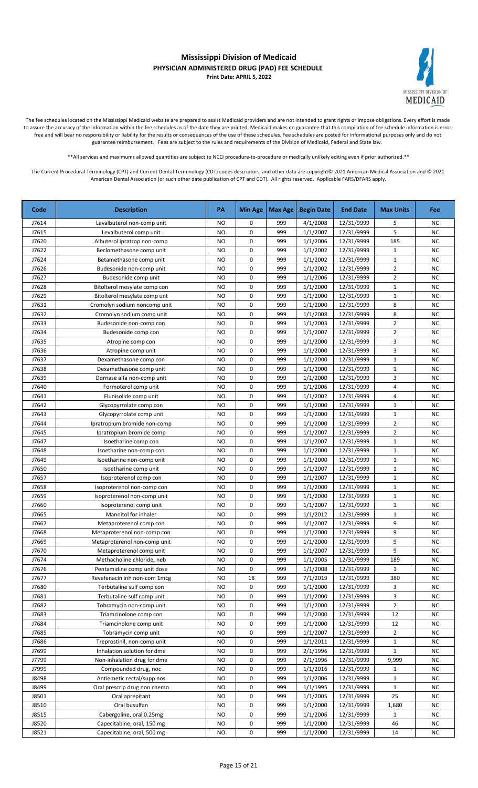

The fee schedules located on the Mississippi Medicaid website are prepared to assist Medicaid providers and are not intended to grant rights or impose obligations. Every effort is made to assure the accuracy of the information within the fee schedules as of the date they are printed. Medicaid makes no guarantee that this compilation of fee schedule information is errorfree and will bear no responsibility or liability for the results or consequences of the use of these schedules. Fee schedules are posted for informational purposes only and do not guarantee reimbursement. Fees are subject to the rules and requirements of the Division of Medicaid, Federal and State law.

\*\*All services and maximums allowed quantities are subject to NCCI procedure-to-procedure or medically unlikely editing even if prior authorized.\*\*

| Code  | <b>Description</b>           | PA        | <b>Min Age</b> | Max Age | <b>Begin Date</b> | <b>End Date</b> | <b>Max Units</b> | Fee       |
|-------|------------------------------|-----------|----------------|---------|-------------------|-----------------|------------------|-----------|
| J7614 | Levalbuterol non-comp unit   | NO        | 0              | 999     | 4/1/2008          | 12/31/9999      | 5                | <b>NC</b> |
| J7615 | Levalbuterol comp unit       | <b>NO</b> | 0              | 999     | 1/1/2007          | 12/31/9999      | 5                | <b>NC</b> |
| J7620 | Albuterol ipratrop non-comp  | <b>NO</b> | 0              | 999     | 1/1/2006          | 12/31/9999      | 185              | <b>NC</b> |
| J7622 | Beclomethasone comp unit     | <b>NO</b> | 0              | 999     | 1/1/2002          | 12/31/9999      | $\mathbf{1}$     | <b>NC</b> |
| J7624 | Betamethasone comp unit      | <b>NO</b> | 0              | 999     | 1/1/2002          | 12/31/9999      | $\mathbf 1$      | <b>NC</b> |
| J7626 | Budesonide non-comp unit     | <b>NO</b> | 0              | 999     | 1/1/2002          | 12/31/9999      | $\overline{2}$   | <b>NC</b> |
| J7627 | Budesonide comp unit         | <b>NO</b> | 0              | 999     | 1/1/2006          | 12/31/9999      | $\overline{2}$   | <b>NC</b> |
| J7628 | Bitolterol mesylate comp con | <b>NO</b> | 0              | 999     | 1/1/2000          | 12/31/9999      | $\mathbf{1}$     | <b>NC</b> |
| J7629 | Bitolterol mesylate comp unt | <b>NO</b> | 0              | 999     | 1/1/2000          | 12/31/9999      | $\mathbf 1$      | <b>NC</b> |
| J7631 | Cromolyn sodium noncomp unit | <b>NO</b> | 0              | 999     | 1/1/2000          | 12/31/9999      | 8                | <b>NC</b> |
| J7632 | Cromolyn sodium comp unit    | <b>NO</b> | 0              | 999     | 1/1/2008          | 12/31/9999      | 8                | <b>NC</b> |
| J7633 | Budesonide non-comp con      | <b>NO</b> | 0              | 999     | 1/1/2003          | 12/31/9999      | $\overline{2}$   | <b>NC</b> |
| J7634 | Budesonide comp con          | <b>NO</b> | 0              | 999     | 1/1/2007          | 12/31/9999      | $\overline{2}$   | <b>NC</b> |
| J7635 | Atropine comp con            | <b>NO</b> | 0              | 999     | 1/1/2000          | 12/31/9999      | 3                | <b>NC</b> |
| J7636 | Atropine comp unit           | <b>NO</b> | 0              | 999     | 1/1/2000          | 12/31/9999      | 3                | <b>NC</b> |
| J7637 | Dexamethasone comp con       | <b>NO</b> | 0              | 999     | 1/1/2000          | 12/31/9999      | $\mathbf{1}$     | <b>NC</b> |
| J7638 | Dexamethasone comp unit      | ΝO        | 0              | 999     | 1/1/2000          | 12/31/9999      | $\mathbf{1}$     | <b>NC</b> |
| J7639 | Dornase alfa non-comp unit   | NO        | 0              | 999     | 1/1/2000          | 12/31/9999      | 3                | <b>NC</b> |
| J7640 | Formoterol comp unit         | <b>NO</b> | 0              | 999     | 1/1/2006          | 12/31/9999      | 4                | <b>NC</b> |
| J7641 | Flunisolide comp unit        | NO        | 0              | 999     | 1/1/2002          | 12/31/9999      | 4                | <b>NC</b> |
| J7642 | Glycopyrrolate comp con      | <b>NO</b> | 0              | 999     | 1/1/2000          | 12/31/9999      | $\mathbf{1}$     | <b>NC</b> |
| J7643 | Glycopyrrolate comp unit     | NO        | 0              | 999     | 1/1/2000          | 12/31/9999      | $\mathbf{1}$     | <b>NC</b> |
| J7644 | Ipratropium bromide non-comp | <b>NO</b> | 0              | 999     | 1/1/2000          | 12/31/9999      | $\overline{2}$   | <b>NC</b> |
| J7645 | Ipratropium bromide comp     | NO        | 0              | 999     | 1/1/2007          | 12/31/9999      | $\overline{2}$   | <b>NC</b> |
| J7647 | Isoetharine comp con         | NO        | 0              | 999     | 1/1/2007          | 12/31/9999      | $\mathbf{1}$     | <b>NC</b> |
| J7648 | Isoetharine non-comp con     | <b>NO</b> | 0              | 999     | 1/1/2000          | 12/31/9999      | $\mathbf{1}$     | <b>NC</b> |
| J7649 | Isoetharine non-comp unit    | <b>NO</b> | 0              | 999     | 1/1/2000          | 12/31/9999      | $\mathbf{1}$     | <b>NC</b> |
| J7650 | Isoetharine comp unit        | <b>NO</b> | 0              | 999     | 1/1/2007          | 12/31/9999      | $\mathbf{1}$     | <b>NC</b> |
| J7657 | Isoproterenol comp con       | <b>NO</b> | 0              | 999     | 1/1/2007          | 12/31/9999      | $\mathbf{1}$     | <b>NC</b> |
| J7658 | Isoproterenol non-comp con   | <b>NO</b> | 0              | 999     | 1/1/2000          | 12/31/9999      | $\mathbf{1}$     | <b>NC</b> |
| J7659 | Isoproterenol non-comp unit  | <b>NO</b> | 0              | 999     | 1/1/2000          | 12/31/9999      | $\mathbf{1}$     | <b>NC</b> |
| J7660 | Isoproterenol comp unit      | NO        | 0              | 999     | 1/1/2007          | 12/31/9999      | $\mathbf{1}$     | <b>NC</b> |
| J7665 | Mannitol for inhaler         | NO        | 0              | 999     | 1/1/2012          | 12/31/9999      | $\mathbf{1}$     | <b>NC</b> |
| J7667 | Metaproterenol comp con      | <b>NO</b> | 0              | 999     | 1/1/2007          | 12/31/9999      | 9                | <b>NC</b> |
| J7668 | Metaproterenol non-comp con  | <b>NO</b> | 0              | 999     | 1/1/2000          | 12/31/9999      | 9                | <b>NC</b> |
| J7669 | Metaproterenol non-comp unit | <b>NO</b> | 0              | 999     | 1/1/2000          | 12/31/9999      | 9                | <b>NC</b> |
| J7670 | Metaproterenol comp unit     | <b>NO</b> | 0              | 999     | 1/1/2007          | 12/31/9999      | 9                | NC        |
| J7674 | Methacholine chloride, neb   | NO        | 0              | 999     | 1/1/2005          | 12/31/9999      | 189              | <b>NC</b> |
| J7676 | Pentamidine comp unit dose   | <b>NO</b> | 0              | 999     | 1/1/2008          | 12/31/9999      | $\mathbf{1}$     | <b>NC</b> |
| J7677 | Revefenacin inh non-com 1mcg | <b>NO</b> | 18             | 999     | 7/1/2019          | 12/31/9999      | 380              | <b>NC</b> |
| J7680 | Terbutaline sulf comp con    | NO.       | 0              | 999     | 1/1/2000          | 12/31/9999      | 3                | <b>NC</b> |
| J7681 | Terbutaline sulf comp unit   | <b>NO</b> | 0              | 999     | 1/1/2000          | 12/31/9999      | 3                | NC        |
| J7682 | Tobramycin non-comp unit     | NO        | 0              | 999     | 1/1/2000          | 12/31/9999      | $\overline{2}$   | <b>NC</b> |
| J7683 | Triamcinolone comp con       | NO        | 0              | 999     | 1/1/2000          | 12/31/9999      | 12               | <b>NC</b> |
| J7684 | Triamcinolone comp unit      | NO        | 0              | 999     | 1/1/2000          | 12/31/9999      | 12               | NC        |
| J7685 | Tobramycin comp unit         | <b>NO</b> | 0              | 999     | 1/1/2007          | 12/31/9999      | $\overline{2}$   | NC        |
| J7686 | Treprostinil, non-comp unit  | NO        | 0              | 999     | 1/1/2011          | 12/31/9999      | $\mathbf{1}$     | <b>NC</b> |
| J7699 | Inhalation solution for dme  | NO        | 0              | 999     | 2/1/1996          | 12/31/9999      | $\mathbf{1}$     | <b>NC</b> |
| J7799 | Non-inhalation drug for dme  | NO        | 0              | 999     | 2/1/1996          | 12/31/9999      | 9,999            | <b>NC</b> |
| J7999 | Compounded drug, noc         | <b>NO</b> | 0              | 999     | 1/1/2016          | 12/31/9999      | $\mathbf{1}$     | <b>NC</b> |
| J8498 | Antiemetic rectal/supp nos   | <b>NO</b> | 0              | 999     | 1/1/2006          | 12/31/9999      | $\mathbf{1}$     | <b>NC</b> |
| J8499 | Oral prescrip drug non chemo | NO        | 0              | 999     | 1/1/1995          | 12/31/9999      | $\mathbf{1}$     | <b>NC</b> |
| J8501 | Oral aprepitant              | NO.       | 0              | 999     | 1/1/2005          | 12/31/9999      | 25               | <b>NC</b> |
| J8510 | Oral busulfan                | NO.       | 0              | 999     | 1/1/2000          | 12/31/9999      | 1,680            | <b>NC</b> |
| J8515 | Cabergoline, oral 0.25mg     | NO        | 0              | 999     | 1/1/2006          | 12/31/9999      | $\mathbf{1}$     | <b>NC</b> |
| J8520 | Capecitabine, oral, 150 mg   | <b>NO</b> | 0              | 999     | 1/1/2000          | 12/31/9999      | 46               | <b>NC</b> |
| J8521 | Capecitabine, oral, 500 mg   | <b>NO</b> | 0              | 999     | 1/1/2000          | 12/31/9999      | 14               | <b>NC</b> |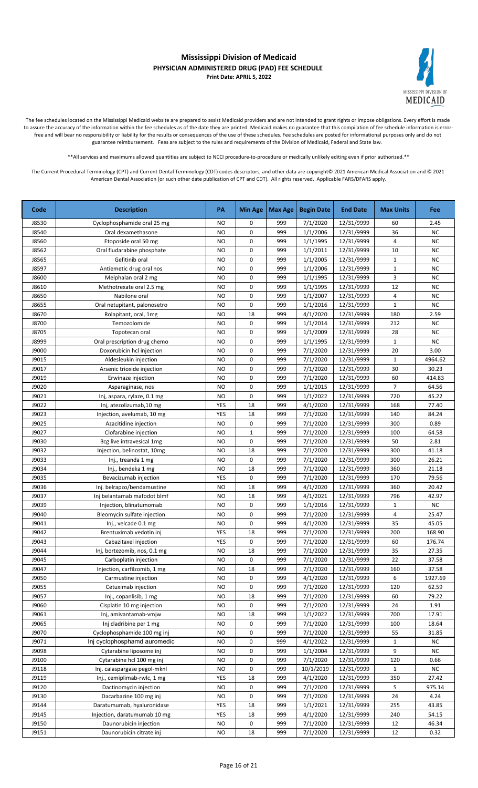

The fee schedules located on the Mississippi Medicaid website are prepared to assist Medicaid providers and are not intended to grant rights or impose obligations. Every effort is made to assure the accuracy of the information within the fee schedules as of the date they are printed. Medicaid makes no guarantee that this compilation of fee schedule information is errorfree and will bear no responsibility or liability for the results or consequences of the use of these schedules. Fee schedules are posted for informational purposes only and do not guarantee reimbursement. Fees are subject to the rules and requirements of the Division of Medicaid, Federal and State law.

\*\*All services and maximums allowed quantities are subject to NCCI procedure-to-procedure or medically unlikely editing even if prior authorized.\*\*

| Code  | <b>Description</b>           | PA        | <b>Min Age</b> | Max Age | <b>Begin Date</b> | <b>End Date</b> | <b>Max Units</b>        | Fee       |
|-------|------------------------------|-----------|----------------|---------|-------------------|-----------------|-------------------------|-----------|
| J8530 | Cyclophosphamide oral 25 mg  | NO.       | 0              | 999     | 7/1/2020          | 12/31/9999      | 60                      | 2.45      |
| J8540 | Oral dexamethasone           | <b>NO</b> | 0              | 999     | 1/1/2006          | 12/31/9999      | 36                      | <b>NC</b> |
| J8560 | Etoposide oral 50 mg         | <b>NO</b> | 0              | 999     | 1/1/1995          | 12/31/9999      | 4                       | <b>NC</b> |
| J8562 | Oral fludarabine phosphate   | <b>NO</b> | 0              | 999     | 1/1/2011          | 12/31/9999      | 10                      | <b>NC</b> |
| J8565 | Gefitinib oral               | <b>NO</b> | 0              | 999     | 1/1/2005          | 12/31/9999      | $\mathbf{1}$            | <b>NC</b> |
| J8597 | Antiemetic drug oral nos     | <b>NO</b> | 0              | 999     | 1/1/2006          | 12/31/9999      | $\mathbf{1}$            | <b>NC</b> |
| J8600 | Melphalan oral 2 mg          | <b>NO</b> | 0              | 999     | 1/1/1995          | 12/31/9999      | 3                       | <b>NC</b> |
| J8610 | Methotrexate oral 2.5 mg     | <b>NO</b> | 0              | 999     | 1/1/1995          | 12/31/9999      | 12                      | <b>NC</b> |
| J8650 | Nabilone oral                | <b>NO</b> | 0              | 999     | 1/1/2007          | 12/31/9999      | $\overline{\mathbf{4}}$ | <b>NC</b> |
| J8655 | Oral netupitant, palonosetro | <b>NO</b> | 0              | 999     | 1/1/2016          | 12/31/9999      | $\mathbf{1}$            | <b>NC</b> |
| J8670 | Rolapitant, oral, 1mg        | <b>NO</b> | 18             | 999     | 4/1/2020          | 12/31/9999      | 180                     | 2.59      |
| J8700 | Temozolomide                 | <b>NO</b> | 0              | 999     | 1/1/2014          | 12/31/9999      | 212                     | <b>NC</b> |
| J8705 | Topotecan oral               | <b>NO</b> | 0              | 999     | 1/1/2009          | 12/31/9999      | 28                      | <b>NC</b> |
| J8999 | Oral prescription drug chemo | <b>NO</b> | 0              | 999     | 1/1/1995          | 12/31/9999      | $\mathbf{1}$            | <b>NC</b> |
| J9000 | Doxorubicin hcl injection    | <b>NO</b> | 0              | 999     | 7/1/2020          | 12/31/9999      | 20                      | 3.00      |
| J9015 | Aldesleukin injection        | <b>NO</b> | 0              | 999     | 7/1/2020          | 12/31/9999      | $\mathbf{1}$            | 4964.62   |
| J9017 | Arsenic trioxide injection   | NO        | 0              | 999     | 7/1/2020          | 12/31/9999      | 30                      | 30.23     |
| J9019 | Erwinaze injection           | <b>NO</b> | 0              | 999     | 7/1/2020          | 12/31/9999      | 60                      | 414.83    |
| J9020 | Asparaginase, nos            | NO        | 0              | 999     | 1/1/2015          | 12/31/9999      | $\overline{7}$          | 64.56     |
| J9021 | Inj, aspara, rylaze, 0.1 mg  | <b>NO</b> | 0              | 999     | 1/1/2022          | 12/31/9999      | 720                     | 45.22     |
| J9022 | Inj, atezolizumab, 10 mg     | YES       | 18             | 999     | 4/1/2020          | 12/31/9999      | 168                     | 77.40     |
| J9023 | Injection, avelumab, 10 mg   | YES       | 18             | 999     | 7/1/2020          | 12/31/9999      | 140                     | 84.24     |
| J9025 | Azacitidine injection        | <b>NO</b> | 0              | 999     | 7/1/2020          | 12/31/9999      | 300                     | 0.89      |
| J9027 | Clofarabine injection        | <b>NO</b> | $\mathbf 1$    | 999     | 7/1/2020          | 12/31/9999      | 100                     | 64.58     |
| J9030 | Bcg live intravesical 1mg    | <b>NO</b> | 0              | 999     | 7/1/2020          | 12/31/9999      | 50                      | 2.81      |
| J9032 | Injection, belinostat, 10mg  | <b>NO</b> | 18             | 999     | 7/1/2020          | 12/31/9999      | 300                     | 41.18     |
| J9033 | Inj., treanda 1 mg           | <b>NO</b> | 0              | 999     | 7/1/2020          | 12/31/9999      | 300                     | 26.21     |
| J9034 | Inj., bendeka 1 mg           | <b>NO</b> | 18             | 999     | 7/1/2020          | 12/31/9999      | 360                     | 21.18     |
| J9035 | Bevacizumab injection        | YES       | 0              | 999     | 7/1/2020          | 12/31/9999      | 170                     | 79.56     |
| J9036 | Inj. belrapzo/bendamustine   | <b>NO</b> | 18             | 999     | 4/1/2020          | 12/31/9999      | 360                     | 20.42     |
| J9037 | Inj belantamab mafodot blmf  | <b>NO</b> | 18             | 999     | 4/1/2021          | 12/31/9999      | 796                     | 42.97     |
| J9039 | Injection, blinatumomab      | <b>NO</b> | 0              | 999     | 1/1/2016          | 12/31/9999      | $\mathbf{1}$            | <b>NC</b> |
| J9040 | Bleomycin sulfate injection  | <b>NO</b> | 0              | 999     | 7/1/2020          | 12/31/9999      | 4                       | 25.47     |
| J9041 | Inj., velcade 0.1 mg         | <b>NO</b> | 0              | 999     | 4/1/2020          | 12/31/9999      | 35                      | 45.05     |
| J9042 | Brentuximab vedotin inj      | YES       | 18             | 999     | 7/1/2020          | 12/31/9999      | 200                     | 168.90    |
| J9043 | Cabazitaxel injection        | YES       | 0              | 999     | 7/1/2020          | 12/31/9999      | 60                      | 176.74    |
| J9044 | Inj, bortezomib, nos, 0.1 mg | <b>NO</b> | 18             | 999     | 7/1/2020          | 12/31/9999      | 35                      | 27.35     |
| J9045 | Carboplatin injection        | NO.       | 0              | 999     | 7/1/2020          | 12/31/9999      | 22                      | 37.58     |
| J9047 | Injection, carfilzomib, 1 mg | NO        | 18             | 999     | 7/1/2020          | 12/31/9999      | 160                     | 37.58     |
| J9050 | Carmustine injection         | NO        | 0              | 999     | 4/1/2020          | 12/31/9999      | 6                       | 1927.69   |
| J9055 | Cetuximab injection          | NO        | 0              | 999     | 7/1/2020          | 12/31/9999      | 120                     | 62.59     |
| J9057 | Inj., copanlisib, 1 mg       | NO        | 18             | 999     | 7/1/2020          | 12/31/9999      | 60                      | 79.22     |
| J9060 | Cisplatin 10 mg injection    | NO        | 0              | 999     | 7/1/2020          | 12/31/9999      | 24                      | 1.91      |
| J9061 | Inj, amivantamab-vmjw        | NO        | 18             | 999     | 1/1/2022          | 12/31/9999      | 700                     | 17.91     |
| J9065 | Inj cladribine per 1 mg      | NO        | 0              | 999     | 7/1/2020          | 12/31/9999      | 100                     | 18.64     |
| J9070 | Cyclophosphamide 100 mg inj  | <b>NO</b> | 0              | 999     | 7/1/2020          | 12/31/9999      | 55                      | 31.85     |
| J9071 | Inj cyclophosphamd auromedic | <b>NO</b> | 0              | 999     | 4/1/2022          | 12/31/9999      | $\mathbf{1}$            | NC        |
| J9098 | Cytarabine liposome inj      | NO        | 0              | 999     | 1/1/2004          | 12/31/9999      | 9                       | <b>NC</b> |
| J9100 | Cytarabine hcl 100 mg inj    | NO        | 0              | 999     | 7/1/2020          | 12/31/9999      | 120                     | 0.66      |
| J9118 | Inj. calaspargase pegol-mknl | NO.       | 0              | 999     | 10/1/2019         | 12/31/9999      | $\mathbf{1}$            | <b>NC</b> |
| J9119 | Inj., cemiplimab-rwlc, 1 mg  | YES       | 18             | 999     | 4/1/2020          | 12/31/9999      | 350                     | 27.42     |
| J9120 | Dactinomycin injection       | NO        | 0              | 999     | 7/1/2020          | 12/31/9999      | 5                       | 975.14    |
| J9130 | Dacarbazine 100 mg inj       | <b>NO</b> | 0              | 999     | 7/1/2020          | 12/31/9999      | 24                      | 4.24      |
| J9144 | Daratumumab, hyaluronidase   | YES       | 18             | 999     | 1/1/2021          | 12/31/9999      | 255                     | 43.85     |
| J9145 | Injection, daratumumab 10 mg | YES       | 18             | 999     | 4/1/2020          | 12/31/9999      | 240                     | 54.15     |
| J9150 | Daunorubicin injection       | NO        | 0              | 999     | 7/1/2020          | 12/31/9999      | 12                      | 46.34     |
| J9151 | Daunorubicin citrate inj     | NO.       | 18             | 999     | 7/1/2020          | 12/31/9999      | 12                      | 0.32      |
|       |                              |           |                |         |                   |                 |                         |           |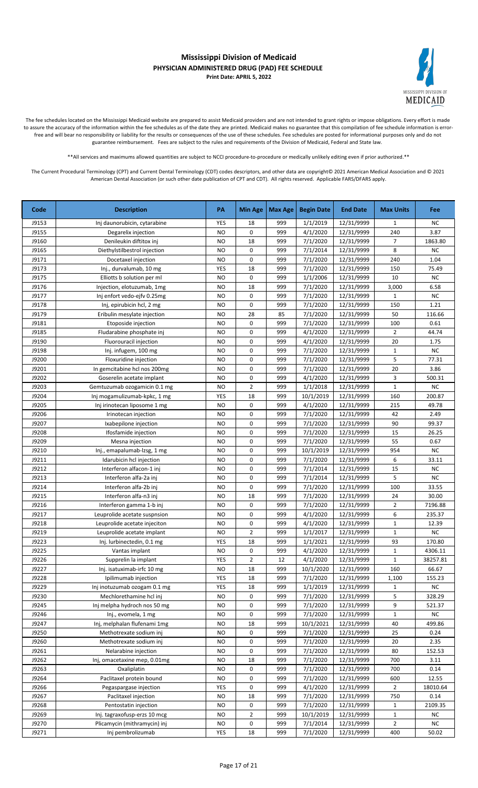

The fee schedules located on the Mississippi Medicaid website are prepared to assist Medicaid providers and are not intended to grant rights or impose obligations. Every effort is made to assure the accuracy of the information within the fee schedules as of the date they are printed. Medicaid makes no guarantee that this compilation of fee schedule information is errorfree and will bear no responsibility or liability for the results or consequences of the use of these schedules. Fee schedules are posted for informational purposes only and do not guarantee reimbursement. Fees are subject to the rules and requirements of the Division of Medicaid, Federal and State law.

\*\*All services and maximums allowed quantities are subject to NCCI procedure-to-procedure or medically unlikely editing even if prior authorized.\*\*

| Code  | <b>Description</b>           | PA        | <b>Min Age</b> | Max Age | <b>Begin Date</b> | <b>End Date</b> | <b>Max Units</b> | Fee       |
|-------|------------------------------|-----------|----------------|---------|-------------------|-----------------|------------------|-----------|
| J9153 | Inj daunorubicin, cytarabine | YES       | 18             | 999     | 1/1/2019          | 12/31/9999      | $\mathbf{1}$     | <b>NC</b> |
| J9155 | Degarelix injection          | <b>NO</b> | 0              | 999     | 4/1/2020          | 12/31/9999      | 240              | 3.87      |
| J9160 | Denileukin diftitox inj      | <b>NO</b> | 18             | 999     | 7/1/2020          | 12/31/9999      | $\overline{7}$   | 1863.80   |
| J9165 | Diethylstilbestrol injection | NO        | 0              | 999     | 7/1/2014          | 12/31/9999      | 8                | NC        |
| J9171 | Docetaxel injection          | <b>NO</b> | 0              | 999     | 7/1/2020          | 12/31/9999      | 240              | 1.04      |
| J9173 | Inj., durvalumab, 10 mg      | YES       | 18             | 999     | 7/1/2020          | 12/31/9999      | 150              | 75.49     |
| J9175 | Elliotts b solution per ml   | <b>NO</b> | 0              | 999     | 1/1/2006          | 12/31/9999      | 10               | <b>NC</b> |
| J9176 | Injection, elotuzumab, 1mg   | <b>NO</b> | 18             | 999     | 7/1/2020          | 12/31/9999      | 3,000            | 6.58      |
| J9177 | Inj enfort vedo-ejfv 0.25mg  | <b>NO</b> | 0              | 999     | 7/1/2020          | 12/31/9999      | $\mathbf{1}$     | <b>NC</b> |
| J9178 | Inj, epirubicin hcl, 2 mg    | <b>NO</b> | 0              | 999     | 7/1/2020          | 12/31/9999      | 150              | 1.21      |
| J9179 | Eribulin mesylate injection  | <b>NO</b> | 28             | 85      | 7/1/2020          | 12/31/9999      | 50               | 116.66    |
| J9181 | Etoposide injection          | <b>NO</b> | 0              | 999     | 7/1/2020          | 12/31/9999      | 100              | 0.61      |
| J9185 | Fludarabine phosphate inj    | <b>NO</b> | 0              | 999     | 4/1/2020          | 12/31/9999      | $\overline{2}$   | 44.74     |
| J9190 | Fluorouracil injection       | <b>NO</b> | 0              | 999     | 4/1/2020          | 12/31/9999      | 20               | 1.75      |
| J9198 | Inj. infugem, 100 mg         | <b>NO</b> | 0              | 999     | 7/1/2020          | 12/31/9999      | $\mathbf{1}$     | <b>NC</b> |
| J9200 | Floxuridine injection        | <b>NO</b> | 0              | 999     | 7/1/2020          | 12/31/9999      | 5                | 77.31     |
| J9201 | In gemcitabine hcl nos 200mg | NO        | 0              | 999     | 7/1/2020          | 12/31/9999      | 20               | 3.86      |
| J9202 | Goserelin acetate implant    | <b>NO</b> | 0              | 999     | 4/1/2020          | 12/31/9999      | 3                | 500.31    |
| J9203 | Gemtuzumab ozogamicin 0.1 mg | <b>NO</b> | $\overline{2}$ | 999     | 1/1/2018          | 12/31/9999      | $\mathbf{1}$     | <b>NC</b> |
| J9204 | Inj mogamulizumab-kpkc, 1 mg | YES       | 18             | 999     | 10/1/2019         | 12/31/9999      | 160              | 200.87    |
| J9205 | Inj irinotecan liposome 1 mg | NO        | 0              | 999     | 4/1/2020          | 12/31/9999      | 215              | 49.78     |
| J9206 | Irinotecan injection         | <b>NO</b> | 0              | 999     | 7/1/2020          | 12/31/9999      | 42               | 2.49      |
| J9207 | Ixabepilone injection        | NO        | 0              | 999     | 7/1/2020          | 12/31/9999      | 90               | 99.37     |
| J9208 | Ifosfamide injection         | <b>NO</b> | 0              | 999     | 7/1/2020          | 12/31/9999      | 15               | 26.25     |
| J9209 | Mesna injection              | <b>NO</b> | 0              | 999     | 7/1/2020          | 12/31/9999      | 55               | 0.67      |
| J9210 | Inj., emapalumab-lzsg, 1 mg  | <b>NO</b> | 0              | 999     | 10/1/2019         | 12/31/9999      | 954              | NC        |
| J9211 | Idarubicin hcl injection     | <b>NO</b> | 0              | 999     | 7/1/2020          | 12/31/9999      | 6                | 33.11     |
| J9212 | Interferon alfacon-1 inj     | <b>NO</b> | 0              | 999     | 7/1/2014          | 12/31/9999      | 15               | <b>NC</b> |
| J9213 | Interferon alfa-2a inj       | <b>NO</b> | 0              | 999     | 7/1/2014          | 12/31/9999      | 5                | <b>NC</b> |
| J9214 | Interferon alfa-2b inj       | <b>NO</b> | 0              | 999     | 7/1/2020          | 12/31/9999      | 100              | 33.55     |
| J9215 | Interferon alfa-n3 inj       | <b>NO</b> | 18             | 999     | 7/1/2020          | 12/31/9999      | 24               | 30.00     |
| J9216 | Interferon gamma 1-b inj     | <b>NO</b> | 0              | 999     | 7/1/2020          | 12/31/9999      | $\overline{2}$   | 7196.88   |
| J9217 | Leuprolide acetate suspnsion | <b>NO</b> | 0              | 999     | 4/1/2020          | 12/31/9999      | 6                | 235.37    |
| J9218 | Leuprolide acetate injeciton | <b>NO</b> | 0              | 999     | 4/1/2020          | 12/31/9999      | $\mathbf{1}$     | 12.39     |
| J9219 | Leuprolide acetate implant   | <b>NO</b> | $\overline{2}$ | 999     | 1/1/2017          | 12/31/9999      | $\mathbf 1$      | NC        |
| J9223 | Inj. lurbinectedin, 0.1 mg   | YES       | 18             | 999     | 1/1/2021          | 12/31/9999      | 93               | 170.80    |
| J9225 | Vantas implant               | <b>NO</b> | 0              | 999     | 4/1/2020          | 12/31/9999      | $\mathbf 1$      | 4306.11   |
| J9226 | Supprelin la implant         | YES       | $\overline{2}$ | 12      | 4/1/2020          | 12/31/9999      | $\mathbf{1}$     | 38257.81  |
| J9227 | Inj. isatuximab-irfc 10 mg   | NO        | 18             | 999     | 10/1/2020         | 12/31/9999      | 160              | 66.67     |
| J9228 | Ipilimumab injection         | YES       | 18             | 999     | 7/1/2020          | 12/31/9999      | 1,100            | 155.23    |
| J9229 | Inj inotuzumab ozogam 0.1 mg | YES       | 18             | 999     | 1/1/2019          | 12/31/9999      | $\mathbf{1}$     | NC        |
| J9230 | Mechlorethamine hcl inj      | NO        | 0              | 999     | 7/1/2020          | 12/31/9999      | 5                | 328.29    |
| J9245 | Inj melpha hydroch nos 50 mg | NO        | 0              | 999     | 7/1/2020          | 12/31/9999      | 9                | 521.37    |
| J9246 | Inj., evomela, 1 mg          | NO        | 0              | 999     | 7/1/2020          | 12/31/9999      | $\mathbf{1}$     | <b>NC</b> |
| J9247 | Inj, melphalan flufenami 1mg | NO        | 18             | 999     | 10/1/2021         | 12/31/9999      | 40               | 499.86    |
| J9250 | Methotrexate sodium inj      | NO        | 0              | 999     | 7/1/2020          | 12/31/9999      | 25               | 0.24      |
| J9260 | Methotrexate sodium inj      | NO        | 0              | 999     | 7/1/2020          | 12/31/9999      | 20               | 2.35      |
| J9261 | Nelarabine injection         | <b>NO</b> | 0              | 999     | 7/1/2020          | 12/31/9999      | 80               | 152.53    |
| J9262 | Inj, omacetaxine mep, 0.01mg | <b>NO</b> | 18             | 999     | 7/1/2020          | 12/31/9999      | 700              | 3.11      |
| J9263 | Oxaliplatin                  | <b>NO</b> | 0              | 999     | 7/1/2020          | 12/31/9999      | 700              | 0.14      |
| J9264 | Paclitaxel protein bound     | NO        | 0              | 999     | 7/1/2020          | 12/31/9999      | 600              | 12.55     |
| J9266 | Pegaspargase injection       | YES       | 0              | 999     | 4/1/2020          | 12/31/9999      | 2                | 18010.64  |
| J9267 | Paclitaxel injection         | NO.       | 18             | 999     | 7/1/2020          | 12/31/9999      | 750              | 0.14      |
| J9268 | Pentostatin injection        | NO        | 0              | 999     | 7/1/2020          | 12/31/9999      | 1                | 2109.35   |
| J9269 | Inj. tagraxofusp-erzs 10 mcg | <b>NO</b> | $\overline{2}$ | 999     | 10/1/2019         | 12/31/9999      | $\mathbf{1}$     | <b>NC</b> |
| J9270 | Plicamycin (mithramycin) inj | NO        | 0              | 999     | 7/1/2014          | 12/31/9999      | $\overline{2}$   | NC        |
| J9271 | Inj pembrolizumab            | YES       | 18             | 999     | 7/1/2020          | 12/31/9999      | 400              | 50.02     |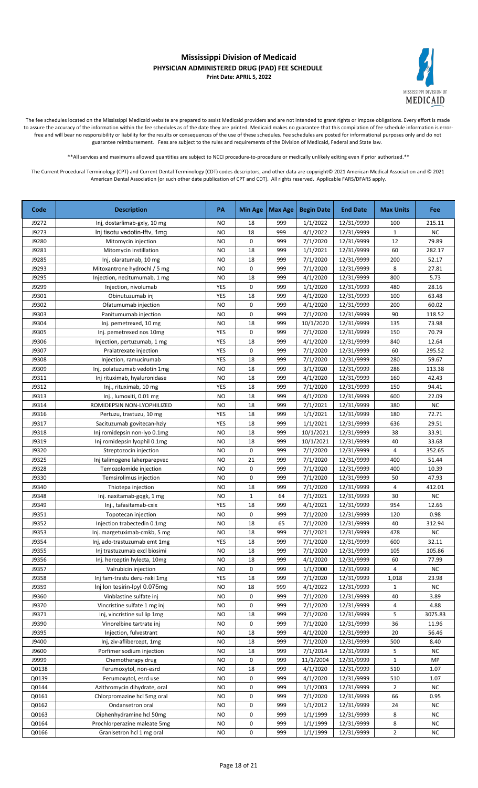

The fee schedules located on the Mississippi Medicaid website are prepared to assist Medicaid providers and are not intended to grant rights or impose obligations. Every effort is made to assure the accuracy of the information within the fee schedules as of the date they are printed. Medicaid makes no guarantee that this compilation of fee schedule information is errorfree and will bear no responsibility or liability for the results or consequences of the use of these schedules. Fee schedules are posted for informational purposes only and do not guarantee reimbursement. Fees are subject to the rules and requirements of the Division of Medicaid, Federal and State law.

\*\*All services and maximums allowed quantities are subject to NCCI procedure-to-procedure or medically unlikely editing even if prior authorized.\*\*

| Code           | <b>Description</b>                                           | PA              | <b>Min Age</b> | Max Age   | <b>Begin Date</b>    | <b>End Date</b>          | <b>Max Units</b> | <b>Fee</b>          |
|----------------|--------------------------------------------------------------|-----------------|----------------|-----------|----------------------|--------------------------|------------------|---------------------|
| J9272          | Inj, dostarlimab-gxly, 10 mg                                 | <b>NO</b>       | 18             | 999       | 1/1/2022             | 12/31/9999               | 100              | 215.11              |
| J9273          | Inj tisotu vedotin-tftv, 1mg                                 | <b>NO</b>       | 18             | 999       | 4/1/2022             | 12/31/9999               | $\mathbf{1}$     | <b>NC</b>           |
| J9280          | Mitomycin injection                                          | <b>NO</b>       | 0              | 999       | 7/1/2020             | 12/31/9999               | 12               | 79.89               |
| J9281          | Mitomycin instillation                                       | <b>NO</b>       | 18             | 999       | 1/1/2021             | 12/31/9999               | 60               | 282.17              |
| J9285          | Inj, olaratumab, 10 mg                                       | <b>NO</b>       | 18             | 999       | 7/1/2020             | 12/31/9999               | 200              | 52.17               |
| J9293          | Mitoxantrone hydrochl / 5 mg                                 | <b>NO</b>       | 0              | 999       | 7/1/2020             | 12/31/9999               | 8                | 27.81               |
| J9295          | Injection, necitumumab, 1 mg                                 | <b>NO</b>       | 18             | 999       | 4/1/2020             | 12/31/9999               | 800              | 5.73                |
| J9299          | Injection, nivolumab                                         | YES             | 0              | 999       | 1/1/2020             | 12/31/9999               | 480              | 28.16               |
| J9301          | Obinutuzumab inj                                             | YES             | 18             | 999       | 4/1/2020             | 12/31/9999               | 100              | 63.48               |
| J9302          | Ofatumumab injection                                         | <b>NO</b>       | 0              | 999       | 4/1/2020             | 12/31/9999               | 200              | 60.02               |
| J9303          | Panitumumab injection                                        | <b>NO</b>       | 0              | 999       | 7/1/2020             | 12/31/9999               | 90               | 118.52              |
| J9304          | Inj. pemetrexed, 10 mg                                       | <b>NO</b>       | 18             | 999       | 10/1/2020            | 12/31/9999               | 135              | 73.98               |
| J9305          | Inj. pemetrexed nos 10mg                                     | YES             | 0              | 999       | 7/1/2020             | 12/31/9999               | 150              | 70.79               |
| J9306          | Injection, pertuzumab, 1 mg                                  | YES             | 18             | 999       | 4/1/2020             | 12/31/9999               | 840              | 12.64               |
| J9307          | Pralatrexate injection                                       | YES             | 0              | 999       | 7/1/2020             | 12/31/9999               | 60               | 295.52              |
| J9308          | Injection, ramucirumab                                       | YES             | 18             | 999       | 7/1/2020             | 12/31/9999               | 280              | 59.67               |
| J9309          | Inj, polatuzumab vedotin 1mg                                 | <b>NO</b>       | 18             | 999       | 3/1/2020             | 12/31/9999               | 286              | 113.38              |
| J9311          | Inj rituximab, hyaluronidase                                 | <b>NO</b>       | 18             | 999       | 4/1/2020             | 12/31/9999               | 160              | 42.43               |
| J9312          | Inj., rituximab, 10 mg                                       | YES             | 18             | 999       | 7/1/2020             | 12/31/9999               | 150              | 94.41               |
| J9313          | Inj., lumoxiti, 0.01 mg                                      | <b>NO</b>       | 18             | 999       | 4/1/2020             | 12/31/9999               | 600              | 22.09               |
| J9314          | ROMIDEPSIN NON-LYOPHILIZED                                   | <b>NO</b>       | 18             | 999       | 7/1/2021             | 12/31/9999               | 380              | NC.                 |
| J9316          | Pertuzu, trastuzu, 10 mg                                     | YES             | 18             | 999       | 1/1/2021             | 12/31/9999               | 180              | 72.71               |
| J9317          | Sacituzumab govitecan-hziy                                   | YES             | 18             | 999       | 1/1/2021             | 12/31/9999               | 636              | 29.51               |
| J9318          | Inj romidepsin non-lyo 0.1mg                                 | NO              | 18             | 999       | 10/1/2021            | 12/31/9999               | 38               | 33.91               |
| J9319          | Inj romidepsin lyophil 0.1mg                                 | NO              | 18             | 999       | 10/1/2021            | 12/31/9999               | 40               | 33.68               |
| J9320          | Streptozocin injection                                       | <b>NO</b>       | 0              | 999       | 7/1/2020             | 12/31/9999               | 4                | 352.65              |
| J9325          | Inj talimogene laherparepvec                                 | <b>NO</b>       | 21             | 999       | 7/1/2020             | 12/31/9999               | 400              | 51.44               |
| J9328          | Temozolomide injection                                       | <b>NO</b>       | 0              | 999       | 7/1/2020             | 12/31/9999               | 400              | 10.39               |
| J9330          | Temsirolimus injection                                       | NO              | 0              | 999       | 7/1/2020             | 12/31/9999               | 50               | 47.93               |
| J9340          | Thiotepa injection                                           | <b>NO</b>       | 18             | 999       | 7/1/2020             | 12/31/9999               | 4                | 412.01              |
| J9348          | Inj. naxitamab-gqgk, 1 mg                                    | <b>NO</b>       | 1              | 64        | 7/1/2021             | 12/31/9999               | 30               | NC                  |
| J9349          | Inj., tafasitamab-cxix                                       | YES             | 18             | 999       | 4/1/2021             | 12/31/9999               | 954              | 12.66               |
| J9351          | Topotecan injection<br>Injection trabectedin 0.1mg           | NO<br><b>NO</b> | 0              | 999<br>65 | 7/1/2020             | 12/31/9999               | 120<br>40        | 0.98                |
| J9352<br>J9353 | Inj. margetuximab-cmkb, 5 mg                                 | <b>NO</b>       | 18<br>18       | 999       | 7/1/2020<br>7/1/2021 | 12/31/9999<br>12/31/9999 | 478              | 312.94<br><b>NC</b> |
| J9354          |                                                              | YES             | 18             | 999       | 7/1/2020             |                          | 600              | 32.11               |
| J9355          | Inj, ado-trastuzumab emt 1mg<br>Inj trastuzumab excl biosimi | <b>NO</b>       | 18             | 999       | 7/1/2020             | 12/31/9999<br>12/31/9999 | 105              | 105.86              |
| J9356          | Inj. herceptin hylecta, 10mg                                 | <b>NO</b>       | 18             | 999       | 4/1/2020             | 12/31/9999               | 60               | 77.99               |
| J9357          | Valrubicin injection                                         | NO              | 0              | 999       | 1/1/2000             | 12/31/9999               | 4                | NC                  |
| J9358          | Inj fam-trastu deru-nxki 1mg                                 | YES             | 18             | 999       | 7/1/2020             | 12/31/9999               | 1,018            | 23.98               |
| J9359          | Inj Ion tesirin-Ipyl 0.075mg                                 | NO              | 18             | 999       | 4/1/2022             | 12/31/9999               | $\mathbf{1}$     | <b>NC</b>           |
| J9360          | Vinblastine sulfate inj                                      | NO              | 0              | 999       | 7/1/2020             | 12/31/9999               | 40               | 3.89                |
| J9370          | Vincristine sulfate 1 mg inj                                 | <b>NO</b>       | 0              | 999       | 7/1/2020             | 12/31/9999               | 4                | 4.88                |
| J9371          | Inj, vincristine sul lip 1mg                                 | NO              | 18             | 999       | 7/1/2020             | 12/31/9999               | 5                | 3075.83             |
| J9390          | Vinorelbine tartrate inj                                     | <b>NO</b>       | 0              | 999       | 7/1/2020             | 12/31/9999               | 36               | 11.96               |
| J9395          | Injection, fulvestrant                                       | NO              | 18             | 999       | 4/1/2020             | 12/31/9999               | 20               | 56.46               |
| J9400          | Inj, ziv-aflibercept, 1mg                                    | NO              | 18             | 999       | 7/1/2020             | 12/31/9999               | 500              | 8.40                |
| J9600          | Porfimer sodium injection                                    | NO              | 18             | 999       | 7/1/2014             | 12/31/9999               | 5                | <b>NC</b>           |
| J9999          | Chemotherapy drug                                            | NO              | 0              | 999       | 11/1/2004            | 12/31/9999               | $\mathbf{1}$     | MP                  |
| Q0138          | Ferumoxytol, non-esrd                                        | NO              | 18             | 999       | 4/1/2020             | 12/31/9999               | 510              | 1.07                |
| Q0139          | Ferumoxytol, esrd use                                        | <b>NO</b>       | 0              | 999       | 4/1/2020             | 12/31/9999               | 510              | 1.07                |
| Q0144          | Azithromycin dihydrate, oral                                 | <b>NO</b>       | 0              | 999       | 1/1/2003             | 12/31/9999               | 2                | <b>NC</b>           |
| Q0161          | Chlorpromazine hcl 5mg oral                                  | <b>NO</b>       | 0              | 999       | 7/1/2020             | 12/31/9999               | 66               | 0.95                |
| Q0162          | Ondansetron oral                                             | NO              | 0              | 999       | 1/1/2012             | 12/31/9999               | 24               | <b>NC</b>           |
| Q0163          | Diphenhydramine hcl 50mg                                     | <b>NO</b>       | 0              | 999       | 1/1/1999             | 12/31/9999               | 8                | NC.                 |
| Q0164          | Prochlorperazine maleate 5mg                                 | <b>NO</b>       | 0              | 999       | 1/1/1999             | 12/31/9999               | 8                | <b>NC</b>           |
| Q0166          | Granisetron hcl 1 mg oral                                    | NO              | 0              | 999       | 1/1/1999             | 12/31/9999               | $\overline{2}$   | <b>NC</b>           |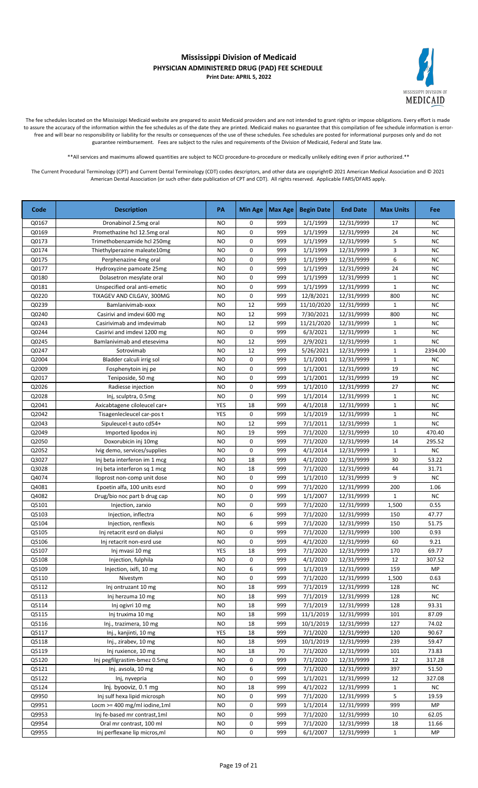

The fee schedules located on the Mississippi Medicaid website are prepared to assist Medicaid providers and are not intended to grant rights or impose obligations. Every effort is made to assure the accuracy of the information within the fee schedules as of the date they are printed. Medicaid makes no guarantee that this compilation of fee schedule information is errorfree and will bear no responsibility or liability for the results or consequences of the use of these schedules. Fee schedules are posted for informational purposes only and do not guarantee reimbursement. Fees are subject to the rules and requirements of the Division of Medicaid, Federal and State law.

\*\*All services and maximums allowed quantities are subject to NCCI procedure-to-procedure or medically unlikely editing even if prior authorized.\*\*

| Code  | <b>Description</b>              | PA        | <b>Min Age</b> | Max Age | <b>Begin Date</b> | <b>End Date</b> | <b>Max Units</b> | Fee       |
|-------|---------------------------------|-----------|----------------|---------|-------------------|-----------------|------------------|-----------|
| Q0167 | Dronabinol 2.5mg oral           | <b>NO</b> | 0              | 999     | 1/1/1999          | 12/31/9999      | 17               | <b>NC</b> |
| Q0169 | Promethazine hcl 12.5mg oral    | <b>NO</b> | 0              | 999     | 1/1/1999          | 12/31/9999      | 24               | <b>NC</b> |
| Q0173 | Trimethobenzamide hcl 250mg     | <b>NO</b> | 0              | 999     | 1/1/1999          | 12/31/9999      | 5                | NC        |
| Q0174 | Thiethylperazine maleate10mg    | <b>NO</b> | 0              | 999     | 1/1/1999          | 12/31/9999      | 3                | NC        |
| Q0175 | Perphenazine 4mg oral           | <b>NO</b> | 0              | 999     | 1/1/1999          | 12/31/9999      | 6                | <b>NC</b> |
| Q0177 | Hydroxyzine pamoate 25mg        | <b>NO</b> | 0              | 999     | 1/1/1999          | 12/31/9999      | 24               | <b>NC</b> |
| Q0180 | Dolasetron mesylate oral        | <b>NO</b> | 0              | 999     | 1/1/1999          | 12/31/9999      | $\mathbf{1}$     | <b>NC</b> |
| Q0181 | Unspecified oral anti-emetic    | <b>NO</b> | 0              | 999     | 1/1/1999          | 12/31/9999      | $\mathbf{1}$     | <b>NC</b> |
| Q0220 | TIXAGEV AND CILGAV, 300MG       | <b>NO</b> | 0              | 999     | 12/8/2021         | 12/31/9999      | 800              | <b>NC</b> |
| Q0239 | Bamlanivimab-xxxx               | <b>NO</b> | 12             | 999     | 11/10/2020        | 12/31/9999      | $\mathbf{1}$     | <b>NC</b> |
| Q0240 | Casirivi and imdevi 600 mg      | <b>NO</b> | 12             | 999     | 7/30/2021         | 12/31/9999      | 800              | <b>NC</b> |
| Q0243 | Casirivimab and imdevimab       | NO        | 12             | 999     | 11/21/2020        | 12/31/9999      | 1                | <b>NC</b> |
| Q0244 | Casirivi and imdevi 1200 mg     | <b>NO</b> | 0              | 999     | 6/3/2021          | 12/31/9999      | $\mathbf{1}$     | <b>NC</b> |
| Q0245 | Bamlanivimab and etesevima      | <b>NO</b> | 12             | 999     | 2/9/2021          | 12/31/9999      | $\mathbf{1}$     | <b>NC</b> |
| Q0247 | Sotrovimab                      | <b>NO</b> | 12             | 999     | 5/26/2021         | 12/31/9999      | $\mathbf{1}$     | 2394.00   |
| Q2004 | Bladder calculi irrig sol       | <b>NO</b> | 0              | 999     | 1/1/2001          | 12/31/9999      | $\mathbf{1}$     | <b>NC</b> |
| Q2009 | Fosphenytoin inj pe             | <b>NO</b> | 0              | 999     | 1/1/2001          | 12/31/9999      | 19               | <b>NC</b> |
| Q2017 | Teniposide, 50 mg               | <b>NO</b> | 0              | 999     | 1/1/2001          | 12/31/9999      | 19               | <b>NC</b> |
| Q2026 | Radiesse injection              | <b>NO</b> | 0              | 999     | 1/1/2010          | 12/31/9999      | 27               | <b>NC</b> |
| Q2028 | Inj, sculptra, 0.5mg            | <b>NO</b> | 0              | 999     | 1/1/2014          | 12/31/9999      | $\mathbf{1}$     | NC        |
| Q2041 | Axicabtagene ciloleucel car+    | YES       | 18             | 999     | 4/1/2018          | 12/31/9999      | $\mathbf{1}$     | <b>NC</b> |
| Q2042 | Tisagenlecleucel car-pos t      | YES       | 0              | 999     | 1/1/2019          | 12/31/9999      | $\mathbf{1}$     | <b>NC</b> |
| Q2043 | Sipuleucel-t auto cd54+         | <b>NO</b> | 12             | 999     | 7/1/2011          | 12/31/9999      | $\mathbf{1}$     | <b>NC</b> |
| Q2049 | Imported lipodox inj            | NO        | 19             | 999     | 7/1/2020          | 12/31/9999      | 10               | 470.40    |
| Q2050 | Doxorubicin inj 10mg            | NO        | 0              | 999     | 7/1/2020          | 12/31/9999      | 14               | 295.52    |
| Q2052 | Ivig demo, services/supplies    | <b>NO</b> | 0              | 999     | 4/1/2014          | 12/31/9999      | $\mathbf{1}$     | <b>NC</b> |
| Q3027 | Inj beta interferon im 1 mcg    | <b>NO</b> | 18             | 999     | 4/1/2020          | 12/31/9999      | 30               | 53.22     |
| Q3028 | Inj beta interferon sq 1 mcg    | <b>NO</b> | 18             | 999     | 7/1/2020          | 12/31/9999      | 44               | 31.71     |
| Q4074 | Iloprost non-comp unit dose     | NO        | 0              | 999     | 1/1/2010          | 12/31/9999      | 9                | <b>NC</b> |
| Q4081 | Epoetin alfa, 100 units esrd    | <b>NO</b> | 0              | 999     | 7/1/2020          | 12/31/9999      | 200              | 1.06      |
| Q4082 | Drug/bio noc part b drug cap    | <b>NO</b> | 0              | 999     | 1/1/2007          | 12/31/9999      | $\mathbf{1}$     | <b>NC</b> |
| Q5101 | Injection, zarxio               | <b>NO</b> | 0              | 999     | 7/1/2020          | 12/31/9999      | 1,500            | 0.55      |
| Q5103 | Injection, inflectra            | NO        | 6              | 999     | 7/1/2020          | 12/31/9999      | 150              | 47.77     |
| Q5104 | Injection, renflexis            | <b>NO</b> | 6              | 999     | 7/1/2020          | 12/31/9999      | 150              | 51.75     |
| Q5105 | Inj retacrit esrd on dialysi    | <b>NO</b> | 0              | 999     | 7/1/2020          | 12/31/9999      | 100              | 0.93      |
| Q5106 | Inj retacrit non-esrd use       | <b>NO</b> | 0              | 999     | 4/1/2020          | 12/31/9999      | 60               | 9.21      |
| Q5107 | Inj mvasi 10 mg                 | YES       | $18\,$         | 999     | 7/1/2020          | 12/31/9999      | 170              | 69.77     |
| Q5108 | Injection, fulphila             | <b>NO</b> | 0              | 999     | 4/1/2020          | 12/31/9999      | 12               | 307.52    |
| Q5109 | Injection, ixifi, 10 mg         | NO        | 6              | 999     | 1/1/2019          | 12/31/9999      | 159              | MP        |
| Q5110 | Nivestym                        | NO        | 0              | 999     | 7/1/2020          | 12/31/9999      | 1,500            | 0.63      |
| Q5112 | Inj ontruzant 10 mg             | NO        | 18             | 999     | 7/1/2019          | 12/31/9999      | 128              | NC        |
| Q5113 | Inj herzuma 10 mg               | NO        | 18             | 999     | 7/1/2019          | 12/31/9999      | 128              | NC        |
| Q5114 | Inj ogivri 10 mg                | <b>NO</b> | 18             | 999     | 7/1/2019          | 12/31/9999      | 128              | 93.31     |
| Q5115 | Inj truxima 10 mg               | NO        | 18             | 999     | 11/1/2019         | 12/31/9999      | 101              | 87.09     |
| Q5116 | Inj., trazimera, 10 mg          | <b>NO</b> | 18             | 999     | 10/1/2019         | 12/31/9999      | 127              | 74.02     |
| Q5117 | Inj., kanjinti, 10 mg           | YES       | 18             | 999     | 7/1/2020          | 12/31/9999      | 120              | 90.67     |
| Q5118 | Inj., zirabev, 10 mg            | NO        | 18             | 999     | 10/1/2019         | 12/31/9999      | 239              | 59.47     |
| Q5119 | Inj ruxience, 10 mg             | NO        | 18             | 70      | 7/1/2020          | 12/31/9999      | 101              | 73.83     |
| Q5120 | Inj pegfilgrastim-bmez 0.5mg    | NO        | 0              | 999     | 7/1/2020          | 12/31/9999      | 12               | 317.28    |
| Q5121 | Inj. avsola, 10 mg              | NO        | 6              | 999     | 7/1/2020          | 12/31/9999      | 397              | 51.50     |
| Q5122 | Inj, nyvepria                   | NO        | 0              | 999     | 1/1/2021          | 12/31/9999      | 12               | 327.08    |
| Q5124 | Inj. byooviz, 0.1 mg            | <b>NO</b> | 18             | 999     | 4/1/2022          | 12/31/9999      | 1                | NC        |
| Q9950 | Inj sulf hexa lipid microsph    | <b>NO</b> | 0              | 999     | 7/1/2020          | 12/31/9999      | 5                | 19.59     |
| Q9951 | Locm $>=$ 400 mg/ml iodine, 1ml | NO        | 0              | 999     | 1/1/2014          | 12/31/9999      | 999              | MP        |
| Q9953 | Inj fe-based mr contrast, 1ml   | <b>NO</b> | 0              | 999     | 7/1/2020          | 12/31/9999      | 10               | 62.05     |
| Q9954 | Oral mr contrast, 100 ml        | <b>NO</b> | 0              | 999     | 7/1/2020          | 12/31/9999      | 18               | 11.66     |
| Q9955 | Inj perflexane lip micros, ml   | NO        | 0              | 999     | 6/1/2007          | 12/31/9999      | $\mathbf{1}$     | MP        |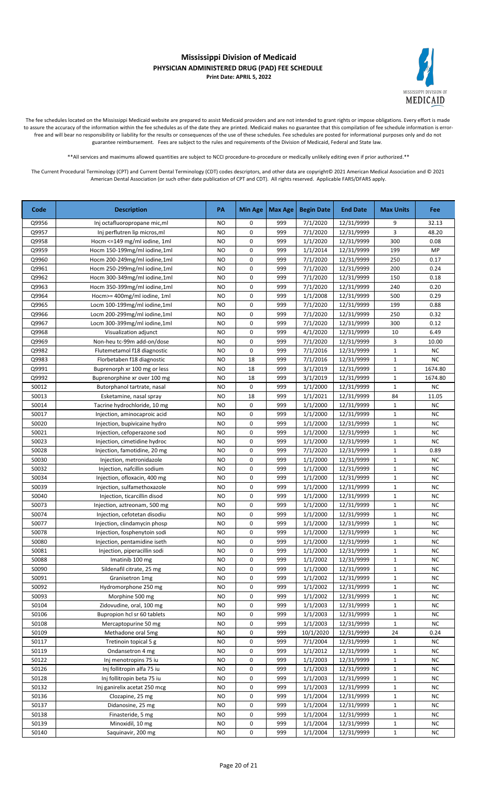

The fee schedules located on the Mississippi Medicaid website are prepared to assist Medicaid providers and are not intended to grant rights or impose obligations. Every effort is made to assure the accuracy of the information within the fee schedules as of the date they are printed. Medicaid makes no guarantee that this compilation of fee schedule information is errorfree and will bear no responsibility or liability for the results or consequences of the use of these schedules. Fee schedules are posted for informational purposes only and do not guarantee reimbursement. Fees are subject to the rules and requirements of the Division of Medicaid, Federal and State law.

\*\*All services and maximums allowed quantities are subject to NCCI procedure-to-procedure or medically unlikely editing even if prior authorized.\*\*

| Code  | <b>Description</b>            | PA        | Min Age | <b>Max Age</b> | <b>Begin Date</b> | <b>End Date</b> | <b>Max Units</b> | <b>Fee</b> |
|-------|-------------------------------|-----------|---------|----------------|-------------------|-----------------|------------------|------------|
| Q9956 | Inj octafluoropropane mic, ml | <b>NO</b> | 0       | 999            | 7/1/2020          | 12/31/9999      | 9                | 32.13      |
| Q9957 | Inj perflutren lip micros, ml | NO        | 0       | 999            | 7/1/2020          | 12/31/9999      | 3                | 48.20      |
| Q9958 | Hocm <= 149 mg/ml iodine, 1ml | <b>NO</b> | 0       | 999            | 1/1/2020          | 12/31/9999      | 300              | 0.08       |
| Q9959 | Hocm 150-199mg/ml iodine,1ml  | <b>NO</b> | 0       | 999            | 1/1/2014          | 12/31/9999      | 199              | MP         |
| Q9960 | Hocm 200-249mg/ml iodine,1ml  | <b>NO</b> | 0       | 999            | 7/1/2020          | 12/31/9999      | 250              | 0.17       |
| Q9961 | Hocm 250-299mg/ml iodine,1ml  | <b>NO</b> | 0       | 999            | 7/1/2020          | 12/31/9999      | 200              | 0.24       |
| Q9962 | Hocm 300-349mg/ml iodine,1ml  | <b>NO</b> | 0       | 999            | 7/1/2020          | 12/31/9999      | 150              | 0.18       |
| Q9963 | Hocm 350-399mg/ml iodine,1ml  | <b>NO</b> | 0       | 999            | 7/1/2020          | 12/31/9999      | 240              | 0.20       |
| Q9964 | Hocm>= 400mg/ml iodine, 1ml   | <b>NO</b> | 0       | 999            | 1/1/2008          | 12/31/9999      | 500              | 0.29       |
| Q9965 | Locm 100-199mg/ml iodine,1ml  | NO        | 0       | 999            | 7/1/2020          | 12/31/9999      | 199              | 0.88       |
| Q9966 | Locm 200-299mg/ml iodine,1ml  | <b>NO</b> | 0       | 999            | 7/1/2020          | 12/31/9999      | 250              | 0.32       |
| Q9967 | Locm 300-399mg/ml iodine,1ml  | <b>NO</b> | 0       | 999            | 7/1/2020          | 12/31/9999      | 300              | 0.12       |
| Q9968 | Visualization adjunct         | <b>NO</b> | 0       | 999            | 4/1/2020          | 12/31/9999      | 10               | 6.49       |
| Q9969 | Non-heu tc-99m add-on/dose    | NO        | 0       | 999            | 7/1/2020          | 12/31/9999      | 3                | 10.00      |
| Q9982 | Flutemetamol f18 diagnostic   | <b>NO</b> | 0       | 999            | 7/1/2016          | 12/31/9999      | $\mathbf 1$      | <b>NC</b>  |
| Q9983 | Florbetaben f18 diagnostic    | NO        | 18      | 999            | 7/1/2016          | 12/31/9999      | $\mathbf{1}$     | <b>NC</b>  |
| Q9991 | Buprenorph xr 100 mg or less  | <b>NO</b> | 18      | 999            | 3/1/2019          | 12/31/9999      | $\mathbf{1}$     | 1674.80    |
| Q9992 | Buprenorphine xr over 100 mg  | <b>NO</b> | 18      | 999            | 3/1/2019          | 12/31/9999      | $\mathbf{1}$     | 1674.80    |
| S0012 | Butorphanol tartrate, nasal   | <b>NO</b> | 0       | 999            | 1/1/2000          | 12/31/9999      | $\mathbf{1}$     | <b>NC</b>  |
| S0013 | Esketamine, nasal spray       | <b>NO</b> | 18      | 999            | 1/1/2021          | 12/31/9999      | 84               | 11.05      |
| S0014 | Tacrine hydrochloride, 10 mg  | <b>NO</b> | 0       | 999            | 1/1/2000          | 12/31/9999      | $\mathbf{1}$     | <b>NC</b>  |
| S0017 | Injection, aminocaproic acid  | <b>NO</b> | 0       | 999            | 1/1/2000          | 12/31/9999      | $\mathbf 1$      | <b>NC</b>  |
| S0020 | Injection, bupivicaine hydro  | NO        | 0       | 999            | 1/1/2000          | 12/31/9999      | 1                | <b>NC</b>  |
| S0021 | Injection, cefoperazone sod   | <b>NO</b> | 0       | 999            | 1/1/2000          | 12/31/9999      | $\mathbf 1$      | <b>NC</b>  |
| S0023 | Injection, cimetidine hydroc  | <b>NO</b> | 0       | 999            | 1/1/2000          | 12/31/9999      | $\mathbf{1}$     | <b>NC</b>  |
| S0028 | Injection, famotidine, 20 mg  | <b>NO</b> | 0       | 999            | 7/1/2020          | 12/31/9999      | $\mathbf{1}$     | 0.89       |
| S0030 | Injection, metronidazole      | NO        | 0       | 999            | 1/1/2000          | 12/31/9999      | $\mathbf 1$      | <b>NC</b>  |
| S0032 | Injection, nafcillin sodium   | <b>NO</b> | 0       | 999            | 1/1/2000          | 12/31/9999      | $\mathbf{1}$     | <b>NC</b>  |
| S0034 | Injection, ofloxacin, 400 mg  | <b>NO</b> | 0       | 999            | 1/1/2000          | 12/31/9999      | $\mathbf{1}$     | <b>NC</b>  |
| S0039 | Injection, sulfamethoxazole   | <b>NO</b> | 0       | 999            | 1/1/2000          | 12/31/9999      | $\mathbf 1$      | <b>NC</b>  |
| S0040 | Injection, ticarcillin disod  | NO        | 0       | 999            | 1/1/2000          | 12/31/9999      | $\mathbf{1}$     | <b>NC</b>  |
| S0073 | Injection, aztreonam, 500 mg  | <b>NO</b> | 0       | 999            | 1/1/2000          | 12/31/9999      | $\mathbf 1$      | <b>NC</b>  |
| S0074 | Injection, cefotetan disodiu  | <b>NO</b> | 0       | 999            | 1/1/2000          | 12/31/9999      | $\mathbf{1}$     | <b>NC</b>  |
| S0077 | Injection, clindamycin phosp  | NO        | 0       | 999            | 1/1/2000          | 12/31/9999      | $\mathbf{1}$     | <b>NC</b>  |
| S0078 | Injection, fosphenytoin sodi  | NO        | 0       | 999            | 1/1/2000          | 12/31/9999      | $\mathbf 1$      | <b>NC</b>  |
| S0080 | Injection, pentamidine iseth  | NO        | 0       | 999            | 1/1/2000          | 12/31/9999      | $\mathbf 1$      | <b>NC</b>  |
| S0081 | Injection, piperacillin sodi  | NO.       | 0       | 999            | 1/1/2000          | 12/31/9999      | $\mathbf 1$      | ΝC         |
| S0088 | Imatinib 100 mg               | <b>NO</b> | 0       | 999            | 1/1/2002          | 12/31/9999      | $\mathbf 1$      | <b>NC</b>  |
| S0090 | Sildenafil citrate, 25 mg     | NO        | 0       | 999            | 1/1/2000          | 12/31/9999      | 1                | <b>NC</b>  |
| S0091 | Granisetron 1mg               | <b>NO</b> | 0       | 999            | 1/1/2002          | 12/31/9999      | $\mathbf 1$      | <b>NC</b>  |
| S0092 | Hydromorphone 250 mg          | NO        | 0       | 999            | 1/1/2002          | 12/31/9999      | $\mathbf 1$      | <b>NC</b>  |
| S0093 | Morphine 500 mg               | NO.       | 0       | 999            | 1/1/2002          | 12/31/9999      | $\mathbf 1$      | <b>NC</b>  |
| S0104 | Zidovudine, oral, 100 mg      | NO        | 0       | 999            | 1/1/2003          | 12/31/9999      | $\mathbf 1$      | NC         |
| S0106 | Bupropion hcl sr 60 tablets   | NO        | 0       | 999            | 1/1/2003          | 12/31/9999      | $\mathbf{1}$     | <b>NC</b>  |
| S0108 | Mercaptopurine 50 mg          | NO        | 0       | 999            | 1/1/2003          | 12/31/9999      | $\mathbf{1}$     | NC         |
| S0109 | Methadone oral 5mg            | NO        | 0       | 999            | 10/1/2020         | 12/31/9999      | 24               | 0.24       |
| S0117 | Tretinoin topical 5 g         | <b>NO</b> | 0       | 999            | 7/1/2004          | 12/31/9999      | $\mathbf{1}$     | NC         |
| S0119 | Ondansetron 4 mg              | NO        | 0       | 999            | 1/1/2012          | 12/31/9999      | 1                | <b>NC</b>  |
| S0122 | Inj menotropins 75 iu         | NO        | 0       | 999            | 1/1/2003          | 12/31/9999      | $\mathbf{1}$     | <b>NC</b>  |
| S0126 | Inj follitropin alfa 75 iu    | NO        | 0       | 999            | 1/1/2003          | 12/31/9999      | $\mathbf{1}$     | <b>NC</b>  |
| S0128 | Inj follitropin beta 75 iu    | NO        | 0       | 999            | 1/1/2003          | 12/31/9999      | $\mathbf{1}$     | <b>NC</b>  |
| S0132 | Inj ganirelix acetat 250 mcg  | NO        | 0       | 999            | 1/1/2003          | 12/31/9999      | $\mathbf 1$      | <b>NC</b>  |
| S0136 | Clozapine, 25 mg              | NO        | 0       | 999            | 1/1/2004          | 12/31/9999      | $\mathbf{1}$     | <b>NC</b>  |
| S0137 | Didanosine, 25 mg             | <b>NO</b> | 0       | 999            | 1/1/2004          | 12/31/9999      | $\mathbf 1$      | <b>NC</b>  |
| S0138 | Finasteride, 5 mg             | <b>NO</b> | 0       | 999            | 1/1/2004          | 12/31/9999      | $\mathbf 1$      | <b>NC</b>  |
| S0139 | Minoxidil, 10 mg              | <b>NO</b> | 0       | 999            | 1/1/2004          | 12/31/9999      | $\mathbf 1$      | <b>NC</b>  |
| S0140 | Saquinavir, 200 mg            | NO.       | 0       | 999            | 1/1/2004          | 12/31/9999      | $\mathbf{1}$     | NC.        |